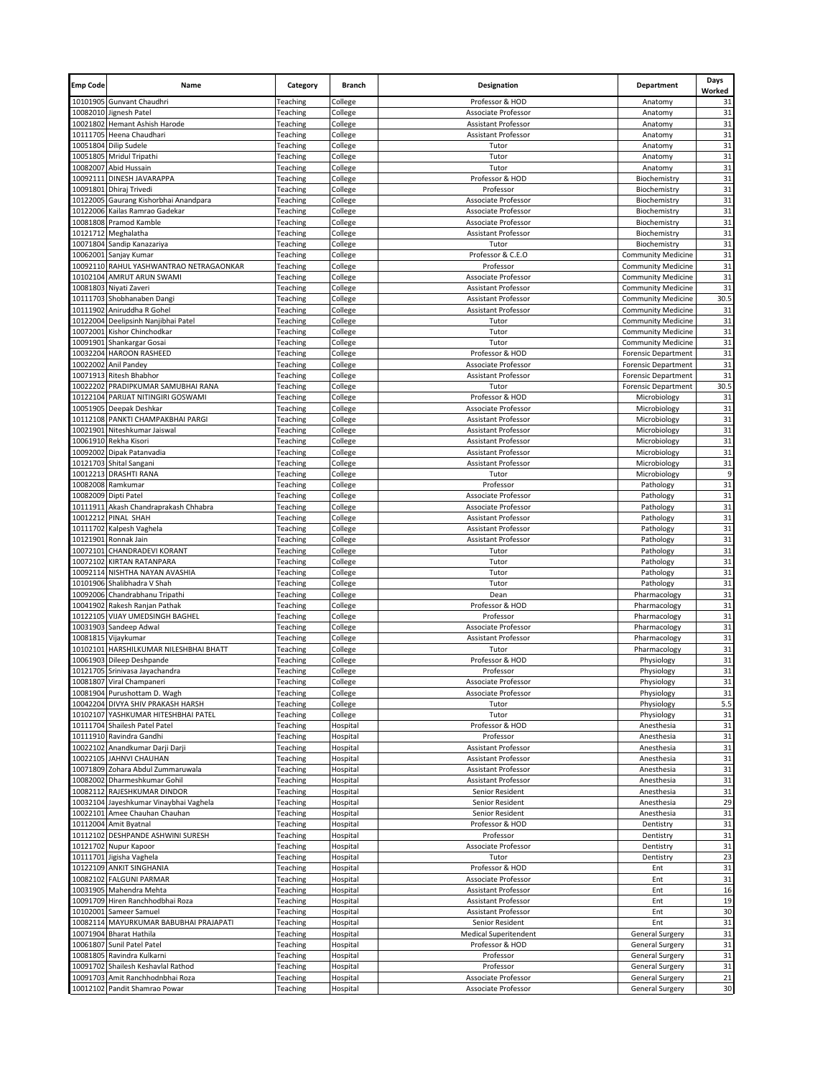| <b>Emp Code</b> | Name                                                        | Category             | <b>Branch</b>        | Designation                      | Department                                             | Days<br>Worked |
|-----------------|-------------------------------------------------------------|----------------------|----------------------|----------------------------------|--------------------------------------------------------|----------------|
|                 | 10101905 Gunvant Chaudhri                                   | Teaching             | College              | Professor & HOD                  | Anatomy                                                | 31             |
|                 | 10082010 Jignesh Patel                                      | Teaching             | College              | Associate Professor              | Anatomy                                                | 31             |
|                 | 10021802 Hemant Ashish Harode                               | Teaching             | College              | <b>Assistant Professor</b>       | Anatomy                                                | 31             |
|                 | 10111705 Heena Chaudhari                                    | Teaching             | College              | Assistant Professor              | Anatomy                                                | 31             |
| 10051804        | <b>Dilip Sudele</b><br>10051805 Mridul Tripathi             | Teaching<br>Teaching | College<br>College   | Tutor<br>Tutor                   | Anatomy<br>Anatomy                                     | 31<br>31       |
| 10082007        | Abid Hussain                                                | Teaching             | College              | Tutor                            | Anatomy                                                | 31             |
| 10092111        | DINESH JAVARAPPA                                            | Teaching             | College              | Professor & HOD                  | Biochemistry                                           | 31             |
|                 | 10091801 Dhiraj Trivedi                                     | Teaching             | College              | Professor                        | Biochemistry                                           | 31             |
|                 | 10122005 Gaurang Kishorbhai Anandpara                       | Teaching             | College              | Associate Professor              | Biochemistry                                           | 31             |
|                 | 10122006 Kailas Ramrao Gadekar                              | Teaching             | College              | Associate Professor              | Biochemistry                                           | 31             |
|                 | 10081808 Pramod Kamble                                      | Teaching             | College              | Associate Professor              | Biochemistry                                           | 31             |
|                 | 10121712 Meghalatha                                         | Teaching             | College              | Assistant Professor              | Biochemistry                                           | 31             |
|                 | 10071804 Sandip Kanazariya                                  | Teaching             | College              | Tutor                            | Biochemistry                                           | 31             |
| 10062001        | Sanjay Kumar                                                | Teaching             | College              | Professor & C.E.O                | <b>Community Medicine</b>                              | 31             |
|                 | 10092110 RAHUL YASHWANTRAO NETRAGAONKAR                     | Teaching             | College              | Professor                        | <b>Community Medicine</b>                              | 31             |
|                 | 10102104 AMRUT ARUN SWAMI                                   | Teaching             | College              | Associate Professor              | <b>Community Medicine</b>                              | 31             |
| 10081803        | Niyati Zaveri                                               | Teaching             | College              | Assistant Professor              | <b>Community Medicine</b>                              | 31             |
|                 | 10111703 Shobhanaben Dangi                                  | Teaching             | College              | Assistant Professor              | <b>Community Medicine</b>                              | 30.5           |
| 10122004        | 10111902 Aniruddha R Gohel                                  | Teaching             | College              | Assistant Professor              | <b>Community Medicine</b>                              | 31<br>31       |
| 10072001        | Deelipsinh Nanjibhai Patel<br>Kishor Chinchodkar            | Teaching<br>Teaching | College<br>College   | Tutor<br>Tutor                   | <b>Community Medicine</b><br><b>Community Medicine</b> | 31             |
|                 | 10091901 Shankargar Gosai                                   | Teaching             | College              | Tutor                            | <b>Community Medicine</b>                              | 31             |
|                 | 10032204 HAROON RASHEED                                     | Teaching             | College              | Professor & HOD                  | <b>Forensic Department</b>                             | 31             |
|                 | 10022002 Anil Pandey                                        | Teaching             | College              | Associate Professor              | <b>Forensic Department</b>                             | 31             |
|                 | 10071913 Ritesh Bhabhor                                     | Teaching             | College              | Assistant Professor              | <b>Forensic Department</b>                             | 31             |
| 10022202        | PRADIPKUMAR SAMUBHAI RANA                                   | Teaching             | College              | Tutor                            | <b>Forensic Department</b>                             | 30.5           |
|                 | 10122104 PARIJAT NITINGIRI GOSWAMI                          | Teaching             | College              | Professor & HOD                  | Microbiology                                           | 31             |
|                 | 10051905 Deepak Deshkar                                     | Teaching             | College              | Associate Professor              | Microbiology                                           | 31             |
|                 | 10112108 PANKTI CHAMPAKBHAI PARGI                           | Teaching             | College              | Assistant Professor              | Microbiology                                           | 31             |
|                 | 10021901 Niteshkumar Jaiswal                                | Teaching             | College              | Assistant Professor              | Microbiology                                           | 31             |
|                 | 10061910 Rekha Kisori                                       | Teaching             | College              | Assistant Professor              | Microbiology                                           | 31             |
| 10092002        | Dipak Patanvadia                                            | Teaching             | College              | Assistant Professor              | Microbiology                                           | 31             |
|                 | 10121703 Shital Sangani                                     | Teaching             | College              | Assistant Professor              | Microbiology                                           | 31             |
|                 | 10012213 DRASHTI RANA                                       | Teaching             | College              | Tutor                            | Microbiology                                           | 9              |
|                 | 10082008 Ramkumar                                           | Teaching             | College              | Professor                        | Pathology                                              | 31             |
|                 | 10082009 Dipti Patel                                        | Teaching             | College              | Associate Professor              | Pathology                                              | 31             |
|                 | 10111911 Akash Chandraprakash Chhabra                       | Teaching             | College              | Associate Professor              | Pathology                                              | 31             |
| 10012212        | <b>PINAL SHAH</b>                                           | Teaching             | College              | Assistant Professor              | Pathology                                              | 31             |
|                 | 10111702 Kalpesh Vaghela                                    | Teaching             | College              | Assistant Professor              | Pathology                                              | 31             |
|                 | 10121901 Ronnak Jain<br>10072101 CHANDRADEVI KORANT         | Teaching<br>Teaching | College<br>College   | Assistant Professor<br>Tutor     | Pathology<br>Pathology                                 | 31<br>31       |
|                 | 10072102 KIRTAN RATANPARA                                   | Teaching             | College              | Tutor                            | Pathology                                              | 31             |
|                 | 10092114 NISHTHA NAYAN AVASHIA                              | Teaching             | College              | Tutor                            | Pathology                                              | 31             |
|                 | 10101906 Shalibhadra V Shah                                 | Teaching             | College              | Tutor                            | Pathology                                              | 31             |
|                 | 10092006 Chandrabhanu Tripathi                              | Teaching             | College              | Dean                             | Pharmacology                                           | 31             |
|                 | 10041902 Rakesh Ranjan Pathak                               | Teaching             | College              | Professor & HOD                  | Pharmacology                                           | 31             |
|                 | 10122105 VIJAY UMEDSINGH BAGHEL                             | Teaching             | College              | Professor                        | Pharmacology                                           | 31             |
|                 | 10031903 Sandeep Adwal                                      | Teaching             | College              | Associate Professor              | Pharmacology                                           | 31             |
|                 | 10081815 Vijaykumar                                         | Teaching             | College              | Assistant Professor              | Pharmacology                                           | 31             |
|                 | 10102101 HARSHILKUMAR NILESHBHAI BHATT                      | Teaching             | College              | Tutor                            | Pharmacology                                           | 31             |
|                 | 10061903 Dileep Deshpande                                   | Teaching             | College              | Professor & HOD                  | Physiology                                             | 31             |
|                 | 10121705 Srinivasa Jayachandra                              | Teaching             | College              | Professor                        | Physiology                                             | 31             |
|                 | 10081807 Viral Champaneri                                   | Teaching             | College              | Associate Professor              | Physiology                                             | 31             |
|                 | 10081904 Purushottam D. Wagh                                | Teaching             | College              | Associate Professor              | Physiology                                             | 31             |
| 10042204        | DIVYA SHIV PRAKASH HARSH                                    | Teaching             | College              | Tutor                            | Physiology                                             | 5.5            |
| 10102107        | YASHKUMAR HITESHBHAI PATEL                                  | Teaching             | College              | Tutor                            | Physiology                                             | 31             |
|                 | 10111704 Shailesh Patel Patel                               | Teaching<br>Teaching | Hospital             | Professor & HOD                  | Anesthesia                                             | 31<br>31       |
|                 | 10111910 Ravindra Gandhi<br>10022102 Anandkumar Darji Darji | Teaching             | Hospital<br>Hospital | Professor<br>Assistant Professor | Anesthesia<br>Anesthesia                               | 31             |
|                 | 10022105 JAHNVI CHAUHAN                                     | Teaching             | Hospital             | Assistant Professor              | Anesthesia                                             | 31             |
|                 | 10071809 Zohara Abdul Zummaruwala                           | Teaching             | Hospital             | Assistant Professor              | Anesthesia                                             | 31             |
|                 | 10082002 Dharmeshkumar Gohil                                | Teaching             | Hospital             | <b>Assistant Professor</b>       | Anesthesia                                             | 31             |
|                 | 10082112 RAJESHKUMAR DINDOR                                 | Teaching             | Hospital             | Senior Resident                  | Anesthesia                                             | 31             |
|                 | 10032104 Jayeshkumar Vinaybhai Vaghela                      | Teaching             | Hospital             | Senior Resident                  | Anesthesia                                             | 29             |
|                 | 10022101 Amee Chauhan Chauhan                               | Teaching             | Hospital             | Senior Resident                  | Anesthesia                                             | 31             |
|                 | 10112004 Amit Byatnal                                       | Teaching             | Hospital             | Professor & HOD                  | Dentistry                                              | 31             |
| 10112102        | DESHPANDE ASHWINI SURESH                                    | Teaching             | Hospital             | Professor                        | Dentistry                                              | 31             |
|                 | 10121702 Nupur Kapoor                                       | Teaching             | Hospital             | Associate Professor              | Dentistry                                              | 31             |
|                 | 10111701 Jigisha Vaghela                                    | Teaching             | Hospital             | Tutor                            | Dentistry                                              | 23             |
|                 | 10122109 ANKIT SINGHANIA                                    | Teaching             | Hospital             | Professor & HOD                  | Ent                                                    | 31             |
|                 | 10082102 FALGUNI PARMAR                                     | Teaching             | Hospital             | Associate Professor              | Ent                                                    | 31             |
|                 | 10031905 Mahendra Mehta                                     | Teaching             | Hospital             | Assistant Professor              | Ent                                                    | 16             |
|                 | 10091709 Hiren Ranchhodbhai Roza                            | Teaching             | Hospital             | Assistant Professor              | Ent                                                    | 19             |
|                 | 10102001 Sameer Samuel                                      | Teaching             | Hospital             | Assistant Professor              | Ent                                                    | 30             |
|                 | 10082114 MAYURKUMAR BABUBHAI PRAJAPATI                      | Teaching             | Hospital             | Senior Resident                  | Ent                                                    | 31             |
|                 | 10071904 Bharat Hathila                                     | Teaching             | Hospital             | <b>Medical Superitendent</b>     | <b>General Surgery</b>                                 | 31             |
|                 | 10061807 Sunil Patel Patel                                  | Teaching             | Hospital             | Professor & HOD                  | <b>General Surgery</b>                                 | 31             |
| 10091702        | 10081805 Ravindra Kulkarni<br>Shailesh Keshavlal Rathod     | Teaching             | Hospital             | Professor<br>Professor           | <b>General Surgery</b><br><b>General Surgery</b>       | 31<br>31       |
|                 | 10091703 Amit Ranchhodnbhai Roza                            | Teaching<br>Teaching | Hospital<br>Hospital | Associate Professor              | <b>General Surgery</b>                                 | 21             |
|                 | 10012102 Pandit Shamrao Powar                               | Teaching             | Hospital             | Associate Professor              | General Surgery                                        | $30\,$         |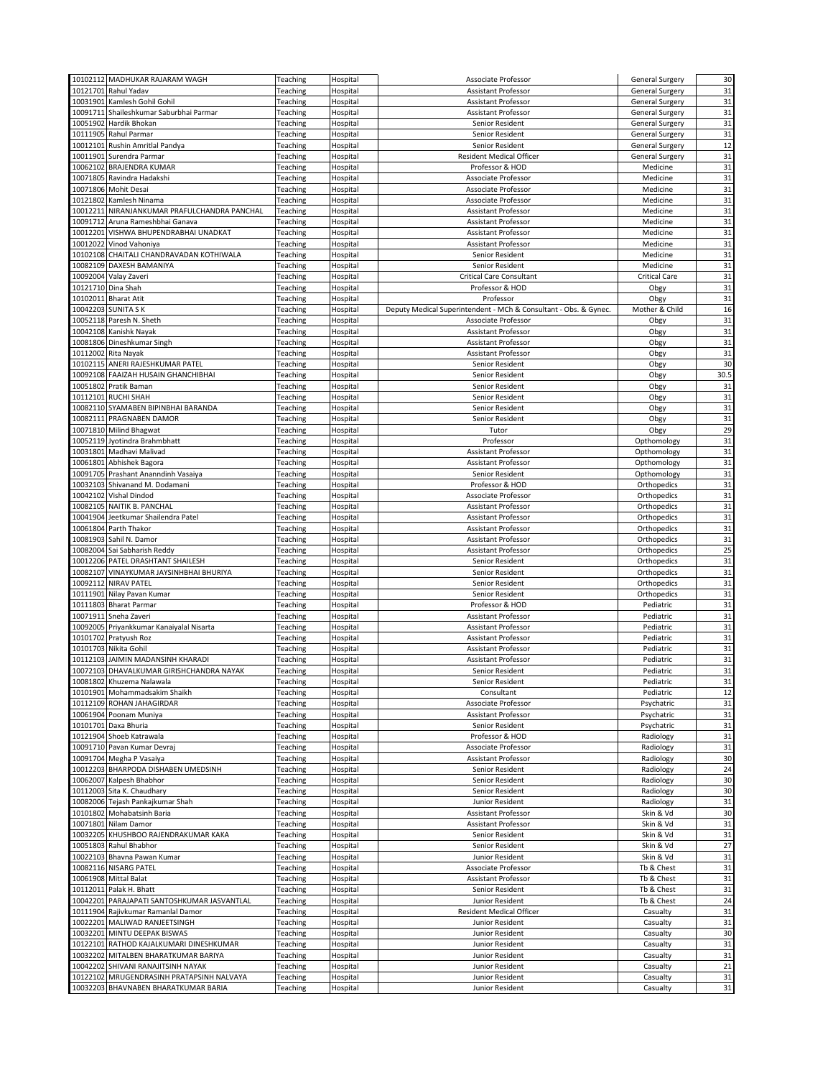| 10102112 MADHUKAR RAJARAM WAGH<br>Teaching<br>Hospital<br>Associate Professor<br><b>General Surgery</b><br>10121701<br>Teaching<br>Hospital<br>Rahul Yadav<br>Assistant Professor<br><b>General Surgery</b><br>Hospital<br>10031901 Kamlesh Gohil Gohil<br>Teaching<br>Assistant Professor<br><b>General Surgery</b><br>10091711 Shaileshkumar Saburbhai Parmar<br>Teaching<br>Hospital<br><b>Assistant Professor</b><br><b>General Surgery</b><br>10051902<br>Hardik Bhokan<br>Hospital<br>Teaching<br>Senior Resident<br><b>General Surgery</b><br>10111905 Rahul Parmar<br>Teaching<br>Hospital<br>Senior Resident<br><b>General Surgery</b><br>10012101 Rushin Amritlal Pandya<br>Teaching<br>Hospital<br>Senior Resident<br><b>General Surgery</b><br>10011901<br>Teaching<br>Hospital<br><b>Resident Medical Officer</b><br>Surendra Parmar<br><b>General Surgery</b><br>10062102 BRAJENDRA KUMAR<br>Teaching<br>Hospital<br>Professor & HOD<br>Medicine<br>10071805<br>Medicine<br>Ravindra Hadakshi<br>Teaching<br>Hospital<br>Associate Professor<br>10071806<br><b>Mohit Desai</b><br>Teaching<br>Hospital<br>Associate Professor<br>Medicine<br>10121802<br>Kamlesh Ninama<br>Teaching<br>Hospital<br>Associate Professor<br>Medicine<br>10012211 NIRANJANKUMAR PRAFULCHANDRA PANCHAL<br>Medicine<br>Teaching<br>Hospital<br>Assistant Professor<br>Hospital<br>10091712<br>Aruna Rameshbhai Ganava<br>Teaching<br>Assistant Professor<br>Medicine<br>VISHWA BHUPENDRABHAI UNADKAT<br>Hospital<br>Medicine<br>10012201<br>Teaching<br>Assistant Professor<br>10012022 Vinod Vahoniya<br>Medicine<br>Teaching<br>Hospital<br>Assistant Professor<br>10102108 CHAITALI CHANDRAVADAN KOTHIWALA<br>Teaching<br>Hospital<br><b>Senior Resident</b><br>Medicine<br>Medicine<br>10082109 DAXESH BAMANIYA<br>Teaching<br>Hospital<br>Senior Resident<br>10092004 Valay Zaveri<br>Teaching<br>Hospital<br><b>Critical Care Consultant</b><br><b>Critical Care</b><br>Obgy<br>10121710 Dina Shah<br>Teaching<br>Hospital<br>Professor & HOD<br>10102011<br><b>Bharat Atit</b><br>Teaching<br>Hospital<br>Professor<br>Obgy<br>10042203 SUNITA S K<br>Teaching<br>Hospital<br>Deputy Medical Superintendent - MCh & Consultant - Obs. & Gynec.<br>Mother & Child<br>Hospital<br>10052118 Paresh N. Sheth<br>Teaching<br>Associate Professor<br>Obgy<br>10042108 Kanishk Nayak<br>Obgy<br>Teaching<br>Hospital<br>Assistant Professor<br>10081806 Dineshkumar Singh<br>Teaching<br>Hospital<br>Obgy<br>Assistant Professor<br>10112002<br>Hospital<br>Obgy<br>Rita Nayak<br>Teaching<br>Assistant Professor<br>10102115 ANERI RAJESHKUMAR PATEL<br>Teaching<br>Hospital<br>Obgy<br>Senior Resident<br>10092108 FAAIZAH HUSAIN GHANCHIBHAI<br>Teaching<br>Hospital<br>Senior Resident<br>Obgy<br>Pratik Baman<br>10051802<br>Teaching<br>Hospital<br>Senior Resident<br>Obgy<br>10112101<br><b>RUCHI SHAH</b><br>Obgy<br>Teaching<br>Hospital<br>Senior Resident<br>10082110 SYAMABEN BIPINBHAI BARANDA<br>Obgy<br>Teaching<br>Hospital<br>Senior Resident<br>10082111 PRAGNABEN DAMOR<br>Hospital<br>Senior Resident<br>Teaching<br>Obgy<br>10071810 Milind Bhagwat<br>Hospital<br>Obgy<br>Teaching<br>Tutor<br>10052119 Jyotindra Brahmbhatt<br>Teaching<br>Hospital<br>Professor<br>Opthomology<br>10031801 Madhavi Malivad<br>Teaching<br>Hospital<br>Assistant Professor<br>Opthomology<br>10061801<br>Abhishek Bagora<br>Teaching<br>Hospital<br><b>Assistant Professor</b><br>Opthomology<br>Opthomology<br>10091705 Prashant Ananndinh Vasaiya<br>Teaching<br>Hospital<br>Senior Resident<br>10032103 Shivanand M. Dodamani<br>Hospital<br>Teaching<br>Professor & HOD<br>Orthopedics<br>10042102 Vishal Dindod<br>Teaching<br>Hospital<br>Orthopedics<br>Associate Professor<br>10082105 NAITIK B. PANCHAL<br>Orthopedics<br>Teaching<br>Hospital<br>Assistant Professor<br>10041904 Jeetkumar Shailendra Patel<br>Orthopedics<br>Teaching<br>Hospital<br>Assistant Professor<br>10061804 Parth Thakor<br>Teaching<br>Hospital<br><b>Assistant Professor</b><br>Orthopedics<br>10081903 Sahil N. Damor<br>Teaching<br>Hospital<br>Assistant Professor<br>Orthopedics<br>Hospital<br>10082004 Sai Sabharish Reddy<br>Teaching<br>Assistant Professor<br>Orthopedics<br>10012206 PATEL DRASHTANT SHAILESH<br>Hospital<br>Teaching<br>Senior Resident<br>Orthopedics<br>10082107 VINAYKUMAR JAYSINHBHAI BHURIYA<br>Hospital<br>Orthopedics<br>Teaching<br>Senior Resident<br>10092112 NIRAV PATEL<br>Teaching<br>Hospital<br>Orthopedics<br>Senior Resident<br>10111901<br>Nilay Pavan Kumar<br>Teaching<br>Hospital<br><b>Senior Resident</b><br>Orthopedics<br>10111803<br>Pediatric<br><b>Bharat Parmar</b><br>Teaching<br>Hospital<br>Professor & HOD<br>10071911<br>Sneha Zaveri<br>Teaching<br>Hospital<br>Pediatric<br>Assistant Professor<br>10092005 Priyankkumar Kanaiyalal Nisarta<br>Pediatric<br>Teaching<br>Hospital<br>Assistant Professor<br>10101702 Pratyush Roz<br>Hospital<br>Pediatric<br>Teaching<br>Assistant Professor<br>10101703 Nikita Gohil<br>Teaching<br>Hospital<br>Assistant Professor<br>Pediatric<br>10112103 JAIMIN MADANSINH KHARADI<br>Pediatric<br>Teaching<br>Hospital<br>Assistant Professor<br>10072103 DHAVALKUMAR GIRISHCHANDRA NAYAK<br>Hospital<br>Pediatric<br>Teaching<br>Senior Resident<br>10081802 Khuzema Nalawala<br>Hospital<br>Teaching<br>Senior Resident<br>Pediatric<br>Teaching<br>10101901 Mohammadsakim Shaikh<br>Hospital<br>Consultant<br>Pediatric<br>10112109<br><b>ROHAN JAHAGIRDAR</b><br>Teaching<br>Hospital<br>Associate Professor<br>Psychatric<br>10061904 Poonam Muniya<br>Teaching<br>Hospital<br>Assistant Professor<br>Psychatric<br>10101701 Daxa Bhuria<br>Teaching<br>Hospital<br>Senior Resident<br>Psychatric<br>10121904 Shoeb Katrawala<br>Teaching<br>Hospital<br>Professor & HOD<br>Radiology<br>10091710 Pavan Kumar Devraj<br>Teaching<br>Hospital<br>Associate Professor<br>Radiology<br>10091704 Megha P Vasaiya<br>Teaching<br>Hospital<br>Assistant Professor<br>Radiology<br>10012203 BHARPODA DISHABEN UMEDSINH<br>Teaching<br>Hospital<br><b>Senior Resident</b><br>Radiology<br>Radiology<br>10062007 Kalpesh Bhabhor<br>Teaching<br>Hospital<br>Senior Resident<br>10112003 Sita K. Chaudhary<br>Teaching<br>Hospital<br>Senior Resident<br>Radiology<br>10082006 Tejash Pankajkumar Shah<br>Teaching<br>Hospital<br>Junior Resident<br>Radiology<br>Skin & Vd<br>10101802 Mohabatsinh Baria<br>Teaching<br>Hospital<br>Assistant Professor<br>Skin & Vd<br>10071801 Nilam Damor<br>Hospital<br>Teaching<br>Assistant Professor<br>10032205 KHUSHBOO RAJENDRAKUMAR KAKA<br>Skin & Vd<br>Teaching<br>Hospital<br>Senior Resident<br>10051803 Rahul Bhabhor<br>Teaching<br>Hospital<br>Senior Resident<br>Skin & Vd<br>Skin & Vd<br>10022103 Bhavna Pawan Kumar<br>Hospital<br>Teaching<br>Junior Resident<br>10082116 NISARG PATEL<br>Tb & Chest<br>Teaching<br>Hospital<br>Associate Professor<br>10061908 Mittal Balat<br>Tb & Chest<br>Teaching<br>Hospital<br>Assistant Professor<br>10112011 Palak H. Bhatt<br>Hospital<br>Tb & Chest<br>Teaching<br>Senior Resident<br>10042201 PARAJAPATI SANTOSHKUMAR JASVANTLAL<br>Tb & Chest<br>Teaching<br>Hospital<br>Junior Resident<br><b>Resident Medical Officer</b><br>10111904 Rajivkumar Ramanlal Damor<br>Teaching<br>Hospital<br>Casualty<br>10022201 MALIWAD RANJEETSINGH<br>Teaching<br>Hospital<br>Junior Resident<br>Casualty<br>10032201 MINTU DEEPAK BISWAS<br>Teaching<br>Hospital<br>Junior Resident<br>Casualty<br>10122101<br>RATHOD KAJALKUMARI DINESHKUMAR<br>Teaching<br>Hospital<br>Junior Resident<br>Casualty<br>10032202 MITALBEN BHARATKUMAR BARIYA<br>Teaching<br>Hospital<br>Junior Resident<br>Casualty<br>10042202 SHIVANI RANAJITSINH NAYAK<br>Teaching<br>Hospital<br>Junior Resident<br>Casualty<br>MRUGENDRASINH PRATAPSINH NALVAYA<br>10122102<br>Teaching<br>Hospital<br>Junior Resident<br>Casualty | 30<br>31<br>31<br>31<br>31<br>31<br>12<br>31<br>31<br>31<br>31<br>31<br>31<br>31<br>31<br>31<br>31<br>31<br>31<br>31<br>31 |
|-----------------------------------------------------------------------------------------------------------------------------------------------------------------------------------------------------------------------------------------------------------------------------------------------------------------------------------------------------------------------------------------------------------------------------------------------------------------------------------------------------------------------------------------------------------------------------------------------------------------------------------------------------------------------------------------------------------------------------------------------------------------------------------------------------------------------------------------------------------------------------------------------------------------------------------------------------------------------------------------------------------------------------------------------------------------------------------------------------------------------------------------------------------------------------------------------------------------------------------------------------------------------------------------------------------------------------------------------------------------------------------------------------------------------------------------------------------------------------------------------------------------------------------------------------------------------------------------------------------------------------------------------------------------------------------------------------------------------------------------------------------------------------------------------------------------------------------------------------------------------------------------------------------------------------------------------------------------------------------------------------------------------------------------------------------------------------------------------------------------------------------------------------------------------------------------------------------------------------------------------------------------------------------------------------------------------------------------------------------------------------------------------------------------------------------------------------------------------------------------------------------------------------------------------------------------------------------------------------------------------------------------------------------------------------------------------------------------------------------------------------------------------------------------------------------------------------------------------------------------------------------------------------------------------------------------------------------------------------------------------------------------------------------------------------------------------------------------------------------------------------------------------------------------------------------------------------------------------------------------------------------------------------------------------------------------------------------------------------------------------------------------------------------------------------------------------------------------------------------------------------------------------------------------------------------------------------------------------------------------------------------------------------------------------------------------------------------------------------------------------------------------------------------------------------------------------------------------------------------------------------------------------------------------------------------------------------------------------------------------------------------------------------------------------------------------------------------------------------------------------------------------------------------------------------------------------------------------------------------------------------------------------------------------------------------------------------------------------------------------------------------------------------------------------------------------------------------------------------------------------------------------------------------------------------------------------------------------------------------------------------------------------------------------------------------------------------------------------------------------------------------------------------------------------------------------------------------------------------------------------------------------------------------------------------------------------------------------------------------------------------------------------------------------------------------------------------------------------------------------------------------------------------------------------------------------------------------------------------------------------------------------------------------------------------------------------------------------------------------------------------------------------------------------------------------------------------------------------------------------------------------------------------------------------------------------------------------------------------------------------------------------------------------------------------------------------------------------------------------------------------------------------------------------------------------------------------------------------------------------------------------------------------------------------------------------------------------------------------------------------------------------------------------------------------------------------------------------------------------------------------------------------------------------------------------------------------------------------------------------------------------------------------------------------------------------------------------------------------------------------------------------------------------------------------------------------------------------------------------------------------------------------------------------------------------------------------------------------------------------------------------------------------------------------------------------------------------------------------------------------------------------------------------------------------------------------------------------------------------------------------------------------------------------------------------------------------------------------------------------------------------------------------------------------------------------------------------------------------------------------------------------------------------------------------------------------------------------------------------------------------------------------------------------------------------------------------------------------------------------------------------------------------------------------------------------------------------------------------------------------------------------------------------------------------------------------------------------------------------------------------------------------------------------------------------------------------------------------------------------------------------------------------------------------------------------------------------------------------------------------------------------------------------------------------------------------------------------------------------------|----------------------------------------------------------------------------------------------------------------------------|
|                                                                                                                                                                                                                                                                                                                                                                                                                                                                                                                                                                                                                                                                                                                                                                                                                                                                                                                                                                                                                                                                                                                                                                                                                                                                                                                                                                                                                                                                                                                                                                                                                                                                                                                                                                                                                                                                                                                                                                                                                                                                                                                                                                                                                                                                                                                                                                                                                                                                                                                                                                                                                                                                                                                                                                                                                                                                                                                                                                                                                                                                                                                                                                                                                                                                                                                                                                                                                                                                                                                                                                                                                                                                                                                                                                                                                                                                                                                                                                                                                                                                                                                                                                                                                                                                                                                                                                                                                                                                                                                                                                                                                                                                                                                                                                                                                                                                                                                                                                                                                                                                                                                                                                                                                                                                                                                                                                                                                                                                                                                                                                                                                                                                                                                                                                                                                                                                                                                                                                                                                                                                                                                                                                                                                                                                                                                                                                                                                                                                                                                                                                                                                                                                                                                                                                                                                                                                                                                                                                                                                                                                                                                                                                                                                                                                                                                                                                                                                                                                                                                                                                                                                                                                                                                                                                                                                                                                                                                                                                                         |                                                                                                                            |
|                                                                                                                                                                                                                                                                                                                                                                                                                                                                                                                                                                                                                                                                                                                                                                                                                                                                                                                                                                                                                                                                                                                                                                                                                                                                                                                                                                                                                                                                                                                                                                                                                                                                                                                                                                                                                                                                                                                                                                                                                                                                                                                                                                                                                                                                                                                                                                                                                                                                                                                                                                                                                                                                                                                                                                                                                                                                                                                                                                                                                                                                                                                                                                                                                                                                                                                                                                                                                                                                                                                                                                                                                                                                                                                                                                                                                                                                                                                                                                                                                                                                                                                                                                                                                                                                                                                                                                                                                                                                                                                                                                                                                                                                                                                                                                                                                                                                                                                                                                                                                                                                                                                                                                                                                                                                                                                                                                                                                                                                                                                                                                                                                                                                                                                                                                                                                                                                                                                                                                                                                                                                                                                                                                                                                                                                                                                                                                                                                                                                                                                                                                                                                                                                                                                                                                                                                                                                                                                                                                                                                                                                                                                                                                                                                                                                                                                                                                                                                                                                                                                                                                                                                                                                                                                                                                                                                                                                                                                                                                                         |                                                                                                                            |
|                                                                                                                                                                                                                                                                                                                                                                                                                                                                                                                                                                                                                                                                                                                                                                                                                                                                                                                                                                                                                                                                                                                                                                                                                                                                                                                                                                                                                                                                                                                                                                                                                                                                                                                                                                                                                                                                                                                                                                                                                                                                                                                                                                                                                                                                                                                                                                                                                                                                                                                                                                                                                                                                                                                                                                                                                                                                                                                                                                                                                                                                                                                                                                                                                                                                                                                                                                                                                                                                                                                                                                                                                                                                                                                                                                                                                                                                                                                                                                                                                                                                                                                                                                                                                                                                                                                                                                                                                                                                                                                                                                                                                                                                                                                                                                                                                                                                                                                                                                                                                                                                                                                                                                                                                                                                                                                                                                                                                                                                                                                                                                                                                                                                                                                                                                                                                                                                                                                                                                                                                                                                                                                                                                                                                                                                                                                                                                                                                                                                                                                                                                                                                                                                                                                                                                                                                                                                                                                                                                                                                                                                                                                                                                                                                                                                                                                                                                                                                                                                                                                                                                                                                                                                                                                                                                                                                                                                                                                                                                                         |                                                                                                                            |
|                                                                                                                                                                                                                                                                                                                                                                                                                                                                                                                                                                                                                                                                                                                                                                                                                                                                                                                                                                                                                                                                                                                                                                                                                                                                                                                                                                                                                                                                                                                                                                                                                                                                                                                                                                                                                                                                                                                                                                                                                                                                                                                                                                                                                                                                                                                                                                                                                                                                                                                                                                                                                                                                                                                                                                                                                                                                                                                                                                                                                                                                                                                                                                                                                                                                                                                                                                                                                                                                                                                                                                                                                                                                                                                                                                                                                                                                                                                                                                                                                                                                                                                                                                                                                                                                                                                                                                                                                                                                                                                                                                                                                                                                                                                                                                                                                                                                                                                                                                                                                                                                                                                                                                                                                                                                                                                                                                                                                                                                                                                                                                                                                                                                                                                                                                                                                                                                                                                                                                                                                                                                                                                                                                                                                                                                                                                                                                                                                                                                                                                                                                                                                                                                                                                                                                                                                                                                                                                                                                                                                                                                                                                                                                                                                                                                                                                                                                                                                                                                                                                                                                                                                                                                                                                                                                                                                                                                                                                                                                                         |                                                                                                                            |
|                                                                                                                                                                                                                                                                                                                                                                                                                                                                                                                                                                                                                                                                                                                                                                                                                                                                                                                                                                                                                                                                                                                                                                                                                                                                                                                                                                                                                                                                                                                                                                                                                                                                                                                                                                                                                                                                                                                                                                                                                                                                                                                                                                                                                                                                                                                                                                                                                                                                                                                                                                                                                                                                                                                                                                                                                                                                                                                                                                                                                                                                                                                                                                                                                                                                                                                                                                                                                                                                                                                                                                                                                                                                                                                                                                                                                                                                                                                                                                                                                                                                                                                                                                                                                                                                                                                                                                                                                                                                                                                                                                                                                                                                                                                                                                                                                                                                                                                                                                                                                                                                                                                                                                                                                                                                                                                                                                                                                                                                                                                                                                                                                                                                                                                                                                                                                                                                                                                                                                                                                                                                                                                                                                                                                                                                                                                                                                                                                                                                                                                                                                                                                                                                                                                                                                                                                                                                                                                                                                                                                                                                                                                                                                                                                                                                                                                                                                                                                                                                                                                                                                                                                                                                                                                                                                                                                                                                                                                                                                                         |                                                                                                                            |
|                                                                                                                                                                                                                                                                                                                                                                                                                                                                                                                                                                                                                                                                                                                                                                                                                                                                                                                                                                                                                                                                                                                                                                                                                                                                                                                                                                                                                                                                                                                                                                                                                                                                                                                                                                                                                                                                                                                                                                                                                                                                                                                                                                                                                                                                                                                                                                                                                                                                                                                                                                                                                                                                                                                                                                                                                                                                                                                                                                                                                                                                                                                                                                                                                                                                                                                                                                                                                                                                                                                                                                                                                                                                                                                                                                                                                                                                                                                                                                                                                                                                                                                                                                                                                                                                                                                                                                                                                                                                                                                                                                                                                                                                                                                                                                                                                                                                                                                                                                                                                                                                                                                                                                                                                                                                                                                                                                                                                                                                                                                                                                                                                                                                                                                                                                                                                                                                                                                                                                                                                                                                                                                                                                                                                                                                                                                                                                                                                                                                                                                                                                                                                                                                                                                                                                                                                                                                                                                                                                                                                                                                                                                                                                                                                                                                                                                                                                                                                                                                                                                                                                                                                                                                                                                                                                                                                                                                                                                                                                                         |                                                                                                                            |
|                                                                                                                                                                                                                                                                                                                                                                                                                                                                                                                                                                                                                                                                                                                                                                                                                                                                                                                                                                                                                                                                                                                                                                                                                                                                                                                                                                                                                                                                                                                                                                                                                                                                                                                                                                                                                                                                                                                                                                                                                                                                                                                                                                                                                                                                                                                                                                                                                                                                                                                                                                                                                                                                                                                                                                                                                                                                                                                                                                                                                                                                                                                                                                                                                                                                                                                                                                                                                                                                                                                                                                                                                                                                                                                                                                                                                                                                                                                                                                                                                                                                                                                                                                                                                                                                                                                                                                                                                                                                                                                                                                                                                                                                                                                                                                                                                                                                                                                                                                                                                                                                                                                                                                                                                                                                                                                                                                                                                                                                                                                                                                                                                                                                                                                                                                                                                                                                                                                                                                                                                                                                                                                                                                                                                                                                                                                                                                                                                                                                                                                                                                                                                                                                                                                                                                                                                                                                                                                                                                                                                                                                                                                                                                                                                                                                                                                                                                                                                                                                                                                                                                                                                                                                                                                                                                                                                                                                                                                                                                                         |                                                                                                                            |
|                                                                                                                                                                                                                                                                                                                                                                                                                                                                                                                                                                                                                                                                                                                                                                                                                                                                                                                                                                                                                                                                                                                                                                                                                                                                                                                                                                                                                                                                                                                                                                                                                                                                                                                                                                                                                                                                                                                                                                                                                                                                                                                                                                                                                                                                                                                                                                                                                                                                                                                                                                                                                                                                                                                                                                                                                                                                                                                                                                                                                                                                                                                                                                                                                                                                                                                                                                                                                                                                                                                                                                                                                                                                                                                                                                                                                                                                                                                                                                                                                                                                                                                                                                                                                                                                                                                                                                                                                                                                                                                                                                                                                                                                                                                                                                                                                                                                                                                                                                                                                                                                                                                                                                                                                                                                                                                                                                                                                                                                                                                                                                                                                                                                                                                                                                                                                                                                                                                                                                                                                                                                                                                                                                                                                                                                                                                                                                                                                                                                                                                                                                                                                                                                                                                                                                                                                                                                                                                                                                                                                                                                                                                                                                                                                                                                                                                                                                                                                                                                                                                                                                                                                                                                                                                                                                                                                                                                                                                                                                                         |                                                                                                                            |
|                                                                                                                                                                                                                                                                                                                                                                                                                                                                                                                                                                                                                                                                                                                                                                                                                                                                                                                                                                                                                                                                                                                                                                                                                                                                                                                                                                                                                                                                                                                                                                                                                                                                                                                                                                                                                                                                                                                                                                                                                                                                                                                                                                                                                                                                                                                                                                                                                                                                                                                                                                                                                                                                                                                                                                                                                                                                                                                                                                                                                                                                                                                                                                                                                                                                                                                                                                                                                                                                                                                                                                                                                                                                                                                                                                                                                                                                                                                                                                                                                                                                                                                                                                                                                                                                                                                                                                                                                                                                                                                                                                                                                                                                                                                                                                                                                                                                                                                                                                                                                                                                                                                                                                                                                                                                                                                                                                                                                                                                                                                                                                                                                                                                                                                                                                                                                                                                                                                                                                                                                                                                                                                                                                                                                                                                                                                                                                                                                                                                                                                                                                                                                                                                                                                                                                                                                                                                                                                                                                                                                                                                                                                                                                                                                                                                                                                                                                                                                                                                                                                                                                                                                                                                                                                                                                                                                                                                                                                                                                                         |                                                                                                                            |
|                                                                                                                                                                                                                                                                                                                                                                                                                                                                                                                                                                                                                                                                                                                                                                                                                                                                                                                                                                                                                                                                                                                                                                                                                                                                                                                                                                                                                                                                                                                                                                                                                                                                                                                                                                                                                                                                                                                                                                                                                                                                                                                                                                                                                                                                                                                                                                                                                                                                                                                                                                                                                                                                                                                                                                                                                                                                                                                                                                                                                                                                                                                                                                                                                                                                                                                                                                                                                                                                                                                                                                                                                                                                                                                                                                                                                                                                                                                                                                                                                                                                                                                                                                                                                                                                                                                                                                                                                                                                                                                                                                                                                                                                                                                                                                                                                                                                                                                                                                                                                                                                                                                                                                                                                                                                                                                                                                                                                                                                                                                                                                                                                                                                                                                                                                                                                                                                                                                                                                                                                                                                                                                                                                                                                                                                                                                                                                                                                                                                                                                                                                                                                                                                                                                                                                                                                                                                                                                                                                                                                                                                                                                                                                                                                                                                                                                                                                                                                                                                                                                                                                                                                                                                                                                                                                                                                                                                                                                                                                                         |                                                                                                                            |
|                                                                                                                                                                                                                                                                                                                                                                                                                                                                                                                                                                                                                                                                                                                                                                                                                                                                                                                                                                                                                                                                                                                                                                                                                                                                                                                                                                                                                                                                                                                                                                                                                                                                                                                                                                                                                                                                                                                                                                                                                                                                                                                                                                                                                                                                                                                                                                                                                                                                                                                                                                                                                                                                                                                                                                                                                                                                                                                                                                                                                                                                                                                                                                                                                                                                                                                                                                                                                                                                                                                                                                                                                                                                                                                                                                                                                                                                                                                                                                                                                                                                                                                                                                                                                                                                                                                                                                                                                                                                                                                                                                                                                                                                                                                                                                                                                                                                                                                                                                                                                                                                                                                                                                                                                                                                                                                                                                                                                                                                                                                                                                                                                                                                                                                                                                                                                                                                                                                                                                                                                                                                                                                                                                                                                                                                                                                                                                                                                                                                                                                                                                                                                                                                                                                                                                                                                                                                                                                                                                                                                                                                                                                                                                                                                                                                                                                                                                                                                                                                                                                                                                                                                                                                                                                                                                                                                                                                                                                                                                                         |                                                                                                                            |
|                                                                                                                                                                                                                                                                                                                                                                                                                                                                                                                                                                                                                                                                                                                                                                                                                                                                                                                                                                                                                                                                                                                                                                                                                                                                                                                                                                                                                                                                                                                                                                                                                                                                                                                                                                                                                                                                                                                                                                                                                                                                                                                                                                                                                                                                                                                                                                                                                                                                                                                                                                                                                                                                                                                                                                                                                                                                                                                                                                                                                                                                                                                                                                                                                                                                                                                                                                                                                                                                                                                                                                                                                                                                                                                                                                                                                                                                                                                                                                                                                                                                                                                                                                                                                                                                                                                                                                                                                                                                                                                                                                                                                                                                                                                                                                                                                                                                                                                                                                                                                                                                                                                                                                                                                                                                                                                                                                                                                                                                                                                                                                                                                                                                                                                                                                                                                                                                                                                                                                                                                                                                                                                                                                                                                                                                                                                                                                                                                                                                                                                                                                                                                                                                                                                                                                                                                                                                                                                                                                                                                                                                                                                                                                                                                                                                                                                                                                                                                                                                                                                                                                                                                                                                                                                                                                                                                                                                                                                                                                                         |                                                                                                                            |
|                                                                                                                                                                                                                                                                                                                                                                                                                                                                                                                                                                                                                                                                                                                                                                                                                                                                                                                                                                                                                                                                                                                                                                                                                                                                                                                                                                                                                                                                                                                                                                                                                                                                                                                                                                                                                                                                                                                                                                                                                                                                                                                                                                                                                                                                                                                                                                                                                                                                                                                                                                                                                                                                                                                                                                                                                                                                                                                                                                                                                                                                                                                                                                                                                                                                                                                                                                                                                                                                                                                                                                                                                                                                                                                                                                                                                                                                                                                                                                                                                                                                                                                                                                                                                                                                                                                                                                                                                                                                                                                                                                                                                                                                                                                                                                                                                                                                                                                                                                                                                                                                                                                                                                                                                                                                                                                                                                                                                                                                                                                                                                                                                                                                                                                                                                                                                                                                                                                                                                                                                                                                                                                                                                                                                                                                                                                                                                                                                                                                                                                                                                                                                                                                                                                                                                                                                                                                                                                                                                                                                                                                                                                                                                                                                                                                                                                                                                                                                                                                                                                                                                                                                                                                                                                                                                                                                                                                                                                                                                                         |                                                                                                                            |
|                                                                                                                                                                                                                                                                                                                                                                                                                                                                                                                                                                                                                                                                                                                                                                                                                                                                                                                                                                                                                                                                                                                                                                                                                                                                                                                                                                                                                                                                                                                                                                                                                                                                                                                                                                                                                                                                                                                                                                                                                                                                                                                                                                                                                                                                                                                                                                                                                                                                                                                                                                                                                                                                                                                                                                                                                                                                                                                                                                                                                                                                                                                                                                                                                                                                                                                                                                                                                                                                                                                                                                                                                                                                                                                                                                                                                                                                                                                                                                                                                                                                                                                                                                                                                                                                                                                                                                                                                                                                                                                                                                                                                                                                                                                                                                                                                                                                                                                                                                                                                                                                                                                                                                                                                                                                                                                                                                                                                                                                                                                                                                                                                                                                                                                                                                                                                                                                                                                                                                                                                                                                                                                                                                                                                                                                                                                                                                                                                                                                                                                                                                                                                                                                                                                                                                                                                                                                                                                                                                                                                                                                                                                                                                                                                                                                                                                                                                                                                                                                                                                                                                                                                                                                                                                                                                                                                                                                                                                                                                                         |                                                                                                                            |
|                                                                                                                                                                                                                                                                                                                                                                                                                                                                                                                                                                                                                                                                                                                                                                                                                                                                                                                                                                                                                                                                                                                                                                                                                                                                                                                                                                                                                                                                                                                                                                                                                                                                                                                                                                                                                                                                                                                                                                                                                                                                                                                                                                                                                                                                                                                                                                                                                                                                                                                                                                                                                                                                                                                                                                                                                                                                                                                                                                                                                                                                                                                                                                                                                                                                                                                                                                                                                                                                                                                                                                                                                                                                                                                                                                                                                                                                                                                                                                                                                                                                                                                                                                                                                                                                                                                                                                                                                                                                                                                                                                                                                                                                                                                                                                                                                                                                                                                                                                                                                                                                                                                                                                                                                                                                                                                                                                                                                                                                                                                                                                                                                                                                                                                                                                                                                                                                                                                                                                                                                                                                                                                                                                                                                                                                                                                                                                                                                                                                                                                                                                                                                                                                                                                                                                                                                                                                                                                                                                                                                                                                                                                                                                                                                                                                                                                                                                                                                                                                                                                                                                                                                                                                                                                                                                                                                                                                                                                                                                                         |                                                                                                                            |
|                                                                                                                                                                                                                                                                                                                                                                                                                                                                                                                                                                                                                                                                                                                                                                                                                                                                                                                                                                                                                                                                                                                                                                                                                                                                                                                                                                                                                                                                                                                                                                                                                                                                                                                                                                                                                                                                                                                                                                                                                                                                                                                                                                                                                                                                                                                                                                                                                                                                                                                                                                                                                                                                                                                                                                                                                                                                                                                                                                                                                                                                                                                                                                                                                                                                                                                                                                                                                                                                                                                                                                                                                                                                                                                                                                                                                                                                                                                                                                                                                                                                                                                                                                                                                                                                                                                                                                                                                                                                                                                                                                                                                                                                                                                                                                                                                                                                                                                                                                                                                                                                                                                                                                                                                                                                                                                                                                                                                                                                                                                                                                                                                                                                                                                                                                                                                                                                                                                                                                                                                                                                                                                                                                                                                                                                                                                                                                                                                                                                                                                                                                                                                                                                                                                                                                                                                                                                                                                                                                                                                                                                                                                                                                                                                                                                                                                                                                                                                                                                                                                                                                                                                                                                                                                                                                                                                                                                                                                                                                                         |                                                                                                                            |
|                                                                                                                                                                                                                                                                                                                                                                                                                                                                                                                                                                                                                                                                                                                                                                                                                                                                                                                                                                                                                                                                                                                                                                                                                                                                                                                                                                                                                                                                                                                                                                                                                                                                                                                                                                                                                                                                                                                                                                                                                                                                                                                                                                                                                                                                                                                                                                                                                                                                                                                                                                                                                                                                                                                                                                                                                                                                                                                                                                                                                                                                                                                                                                                                                                                                                                                                                                                                                                                                                                                                                                                                                                                                                                                                                                                                                                                                                                                                                                                                                                                                                                                                                                                                                                                                                                                                                                                                                                                                                                                                                                                                                                                                                                                                                                                                                                                                                                                                                                                                                                                                                                                                                                                                                                                                                                                                                                                                                                                                                                                                                                                                                                                                                                                                                                                                                                                                                                                                                                                                                                                                                                                                                                                                                                                                                                                                                                                                                                                                                                                                                                                                                                                                                                                                                                                                                                                                                                                                                                                                                                                                                                                                                                                                                                                                                                                                                                                                                                                                                                                                                                                                                                                                                                                                                                                                                                                                                                                                                                                         |                                                                                                                            |
|                                                                                                                                                                                                                                                                                                                                                                                                                                                                                                                                                                                                                                                                                                                                                                                                                                                                                                                                                                                                                                                                                                                                                                                                                                                                                                                                                                                                                                                                                                                                                                                                                                                                                                                                                                                                                                                                                                                                                                                                                                                                                                                                                                                                                                                                                                                                                                                                                                                                                                                                                                                                                                                                                                                                                                                                                                                                                                                                                                                                                                                                                                                                                                                                                                                                                                                                                                                                                                                                                                                                                                                                                                                                                                                                                                                                                                                                                                                                                                                                                                                                                                                                                                                                                                                                                                                                                                                                                                                                                                                                                                                                                                                                                                                                                                                                                                                                                                                                                                                                                                                                                                                                                                                                                                                                                                                                                                                                                                                                                                                                                                                                                                                                                                                                                                                                                                                                                                                                                                                                                                                                                                                                                                                                                                                                                                                                                                                                                                                                                                                                                                                                                                                                                                                                                                                                                                                                                                                                                                                                                                                                                                                                                                                                                                                                                                                                                                                                                                                                                                                                                                                                                                                                                                                                                                                                                                                                                                                                                                                         |                                                                                                                            |
|                                                                                                                                                                                                                                                                                                                                                                                                                                                                                                                                                                                                                                                                                                                                                                                                                                                                                                                                                                                                                                                                                                                                                                                                                                                                                                                                                                                                                                                                                                                                                                                                                                                                                                                                                                                                                                                                                                                                                                                                                                                                                                                                                                                                                                                                                                                                                                                                                                                                                                                                                                                                                                                                                                                                                                                                                                                                                                                                                                                                                                                                                                                                                                                                                                                                                                                                                                                                                                                                                                                                                                                                                                                                                                                                                                                                                                                                                                                                                                                                                                                                                                                                                                                                                                                                                                                                                                                                                                                                                                                                                                                                                                                                                                                                                                                                                                                                                                                                                                                                                                                                                                                                                                                                                                                                                                                                                                                                                                                                                                                                                                                                                                                                                                                                                                                                                                                                                                                                                                                                                                                                                                                                                                                                                                                                                                                                                                                                                                                                                                                                                                                                                                                                                                                                                                                                                                                                                                                                                                                                                                                                                                                                                                                                                                                                                                                                                                                                                                                                                                                                                                                                                                                                                                                                                                                                                                                                                                                                                                                         |                                                                                                                            |
|                                                                                                                                                                                                                                                                                                                                                                                                                                                                                                                                                                                                                                                                                                                                                                                                                                                                                                                                                                                                                                                                                                                                                                                                                                                                                                                                                                                                                                                                                                                                                                                                                                                                                                                                                                                                                                                                                                                                                                                                                                                                                                                                                                                                                                                                                                                                                                                                                                                                                                                                                                                                                                                                                                                                                                                                                                                                                                                                                                                                                                                                                                                                                                                                                                                                                                                                                                                                                                                                                                                                                                                                                                                                                                                                                                                                                                                                                                                                                                                                                                                                                                                                                                                                                                                                                                                                                                                                                                                                                                                                                                                                                                                                                                                                                                                                                                                                                                                                                                                                                                                                                                                                                                                                                                                                                                                                                                                                                                                                                                                                                                                                                                                                                                                                                                                                                                                                                                                                                                                                                                                                                                                                                                                                                                                                                                                                                                                                                                                                                                                                                                                                                                                                                                                                                                                                                                                                                                                                                                                                                                                                                                                                                                                                                                                                                                                                                                                                                                                                                                                                                                                                                                                                                                                                                                                                                                                                                                                                                                                         |                                                                                                                            |
|                                                                                                                                                                                                                                                                                                                                                                                                                                                                                                                                                                                                                                                                                                                                                                                                                                                                                                                                                                                                                                                                                                                                                                                                                                                                                                                                                                                                                                                                                                                                                                                                                                                                                                                                                                                                                                                                                                                                                                                                                                                                                                                                                                                                                                                                                                                                                                                                                                                                                                                                                                                                                                                                                                                                                                                                                                                                                                                                                                                                                                                                                                                                                                                                                                                                                                                                                                                                                                                                                                                                                                                                                                                                                                                                                                                                                                                                                                                                                                                                                                                                                                                                                                                                                                                                                                                                                                                                                                                                                                                                                                                                                                                                                                                                                                                                                                                                                                                                                                                                                                                                                                                                                                                                                                                                                                                                                                                                                                                                                                                                                                                                                                                                                                                                                                                                                                                                                                                                                                                                                                                                                                                                                                                                                                                                                                                                                                                                                                                                                                                                                                                                                                                                                                                                                                                                                                                                                                                                                                                                                                                                                                                                                                                                                                                                                                                                                                                                                                                                                                                                                                                                                                                                                                                                                                                                                                                                                                                                                                                         |                                                                                                                            |
|                                                                                                                                                                                                                                                                                                                                                                                                                                                                                                                                                                                                                                                                                                                                                                                                                                                                                                                                                                                                                                                                                                                                                                                                                                                                                                                                                                                                                                                                                                                                                                                                                                                                                                                                                                                                                                                                                                                                                                                                                                                                                                                                                                                                                                                                                                                                                                                                                                                                                                                                                                                                                                                                                                                                                                                                                                                                                                                                                                                                                                                                                                                                                                                                                                                                                                                                                                                                                                                                                                                                                                                                                                                                                                                                                                                                                                                                                                                                                                                                                                                                                                                                                                                                                                                                                                                                                                                                                                                                                                                                                                                                                                                                                                                                                                                                                                                                                                                                                                                                                                                                                                                                                                                                                                                                                                                                                                                                                                                                                                                                                                                                                                                                                                                                                                                                                                                                                                                                                                                                                                                                                                                                                                                                                                                                                                                                                                                                                                                                                                                                                                                                                                                                                                                                                                                                                                                                                                                                                                                                                                                                                                                                                                                                                                                                                                                                                                                                                                                                                                                                                                                                                                                                                                                                                                                                                                                                                                                                                                                         | 16                                                                                                                         |
|                                                                                                                                                                                                                                                                                                                                                                                                                                                                                                                                                                                                                                                                                                                                                                                                                                                                                                                                                                                                                                                                                                                                                                                                                                                                                                                                                                                                                                                                                                                                                                                                                                                                                                                                                                                                                                                                                                                                                                                                                                                                                                                                                                                                                                                                                                                                                                                                                                                                                                                                                                                                                                                                                                                                                                                                                                                                                                                                                                                                                                                                                                                                                                                                                                                                                                                                                                                                                                                                                                                                                                                                                                                                                                                                                                                                                                                                                                                                                                                                                                                                                                                                                                                                                                                                                                                                                                                                                                                                                                                                                                                                                                                                                                                                                                                                                                                                                                                                                                                                                                                                                                                                                                                                                                                                                                                                                                                                                                                                                                                                                                                                                                                                                                                                                                                                                                                                                                                                                                                                                                                                                                                                                                                                                                                                                                                                                                                                                                                                                                                                                                                                                                                                                                                                                                                                                                                                                                                                                                                                                                                                                                                                                                                                                                                                                                                                                                                                                                                                                                                                                                                                                                                                                                                                                                                                                                                                                                                                                                                         | 31                                                                                                                         |
|                                                                                                                                                                                                                                                                                                                                                                                                                                                                                                                                                                                                                                                                                                                                                                                                                                                                                                                                                                                                                                                                                                                                                                                                                                                                                                                                                                                                                                                                                                                                                                                                                                                                                                                                                                                                                                                                                                                                                                                                                                                                                                                                                                                                                                                                                                                                                                                                                                                                                                                                                                                                                                                                                                                                                                                                                                                                                                                                                                                                                                                                                                                                                                                                                                                                                                                                                                                                                                                                                                                                                                                                                                                                                                                                                                                                                                                                                                                                                                                                                                                                                                                                                                                                                                                                                                                                                                                                                                                                                                                                                                                                                                                                                                                                                                                                                                                                                                                                                                                                                                                                                                                                                                                                                                                                                                                                                                                                                                                                                                                                                                                                                                                                                                                                                                                                                                                                                                                                                                                                                                                                                                                                                                                                                                                                                                                                                                                                                                                                                                                                                                                                                                                                                                                                                                                                                                                                                                                                                                                                                                                                                                                                                                                                                                                                                                                                                                                                                                                                                                                                                                                                                                                                                                                                                                                                                                                                                                                                                                                         | 31                                                                                                                         |
|                                                                                                                                                                                                                                                                                                                                                                                                                                                                                                                                                                                                                                                                                                                                                                                                                                                                                                                                                                                                                                                                                                                                                                                                                                                                                                                                                                                                                                                                                                                                                                                                                                                                                                                                                                                                                                                                                                                                                                                                                                                                                                                                                                                                                                                                                                                                                                                                                                                                                                                                                                                                                                                                                                                                                                                                                                                                                                                                                                                                                                                                                                                                                                                                                                                                                                                                                                                                                                                                                                                                                                                                                                                                                                                                                                                                                                                                                                                                                                                                                                                                                                                                                                                                                                                                                                                                                                                                                                                                                                                                                                                                                                                                                                                                                                                                                                                                                                                                                                                                                                                                                                                                                                                                                                                                                                                                                                                                                                                                                                                                                                                                                                                                                                                                                                                                                                                                                                                                                                                                                                                                                                                                                                                                                                                                                                                                                                                                                                                                                                                                                                                                                                                                                                                                                                                                                                                                                                                                                                                                                                                                                                                                                                                                                                                                                                                                                                                                                                                                                                                                                                                                                                                                                                                                                                                                                                                                                                                                                                                         | 31                                                                                                                         |
|                                                                                                                                                                                                                                                                                                                                                                                                                                                                                                                                                                                                                                                                                                                                                                                                                                                                                                                                                                                                                                                                                                                                                                                                                                                                                                                                                                                                                                                                                                                                                                                                                                                                                                                                                                                                                                                                                                                                                                                                                                                                                                                                                                                                                                                                                                                                                                                                                                                                                                                                                                                                                                                                                                                                                                                                                                                                                                                                                                                                                                                                                                                                                                                                                                                                                                                                                                                                                                                                                                                                                                                                                                                                                                                                                                                                                                                                                                                                                                                                                                                                                                                                                                                                                                                                                                                                                                                                                                                                                                                                                                                                                                                                                                                                                                                                                                                                                                                                                                                                                                                                                                                                                                                                                                                                                                                                                                                                                                                                                                                                                                                                                                                                                                                                                                                                                                                                                                                                                                                                                                                                                                                                                                                                                                                                                                                                                                                                                                                                                                                                                                                                                                                                                                                                                                                                                                                                                                                                                                                                                                                                                                                                                                                                                                                                                                                                                                                                                                                                                                                                                                                                                                                                                                                                                                                                                                                                                                                                                                                         | 31                                                                                                                         |
|                                                                                                                                                                                                                                                                                                                                                                                                                                                                                                                                                                                                                                                                                                                                                                                                                                                                                                                                                                                                                                                                                                                                                                                                                                                                                                                                                                                                                                                                                                                                                                                                                                                                                                                                                                                                                                                                                                                                                                                                                                                                                                                                                                                                                                                                                                                                                                                                                                                                                                                                                                                                                                                                                                                                                                                                                                                                                                                                                                                                                                                                                                                                                                                                                                                                                                                                                                                                                                                                                                                                                                                                                                                                                                                                                                                                                                                                                                                                                                                                                                                                                                                                                                                                                                                                                                                                                                                                                                                                                                                                                                                                                                                                                                                                                                                                                                                                                                                                                                                                                                                                                                                                                                                                                                                                                                                                                                                                                                                                                                                                                                                                                                                                                                                                                                                                                                                                                                                                                                                                                                                                                                                                                                                                                                                                                                                                                                                                                                                                                                                                                                                                                                                                                                                                                                                                                                                                                                                                                                                                                                                                                                                                                                                                                                                                                                                                                                                                                                                                                                                                                                                                                                                                                                                                                                                                                                                                                                                                                                                         | 30                                                                                                                         |
|                                                                                                                                                                                                                                                                                                                                                                                                                                                                                                                                                                                                                                                                                                                                                                                                                                                                                                                                                                                                                                                                                                                                                                                                                                                                                                                                                                                                                                                                                                                                                                                                                                                                                                                                                                                                                                                                                                                                                                                                                                                                                                                                                                                                                                                                                                                                                                                                                                                                                                                                                                                                                                                                                                                                                                                                                                                                                                                                                                                                                                                                                                                                                                                                                                                                                                                                                                                                                                                                                                                                                                                                                                                                                                                                                                                                                                                                                                                                                                                                                                                                                                                                                                                                                                                                                                                                                                                                                                                                                                                                                                                                                                                                                                                                                                                                                                                                                                                                                                                                                                                                                                                                                                                                                                                                                                                                                                                                                                                                                                                                                                                                                                                                                                                                                                                                                                                                                                                                                                                                                                                                                                                                                                                                                                                                                                                                                                                                                                                                                                                                                                                                                                                                                                                                                                                                                                                                                                                                                                                                                                                                                                                                                                                                                                                                                                                                                                                                                                                                                                                                                                                                                                                                                                                                                                                                                                                                                                                                                                                         | 30.5                                                                                                                       |
|                                                                                                                                                                                                                                                                                                                                                                                                                                                                                                                                                                                                                                                                                                                                                                                                                                                                                                                                                                                                                                                                                                                                                                                                                                                                                                                                                                                                                                                                                                                                                                                                                                                                                                                                                                                                                                                                                                                                                                                                                                                                                                                                                                                                                                                                                                                                                                                                                                                                                                                                                                                                                                                                                                                                                                                                                                                                                                                                                                                                                                                                                                                                                                                                                                                                                                                                                                                                                                                                                                                                                                                                                                                                                                                                                                                                                                                                                                                                                                                                                                                                                                                                                                                                                                                                                                                                                                                                                                                                                                                                                                                                                                                                                                                                                                                                                                                                                                                                                                                                                                                                                                                                                                                                                                                                                                                                                                                                                                                                                                                                                                                                                                                                                                                                                                                                                                                                                                                                                                                                                                                                                                                                                                                                                                                                                                                                                                                                                                                                                                                                                                                                                                                                                                                                                                                                                                                                                                                                                                                                                                                                                                                                                                                                                                                                                                                                                                                                                                                                                                                                                                                                                                                                                                                                                                                                                                                                                                                                                                                         | 31                                                                                                                         |
|                                                                                                                                                                                                                                                                                                                                                                                                                                                                                                                                                                                                                                                                                                                                                                                                                                                                                                                                                                                                                                                                                                                                                                                                                                                                                                                                                                                                                                                                                                                                                                                                                                                                                                                                                                                                                                                                                                                                                                                                                                                                                                                                                                                                                                                                                                                                                                                                                                                                                                                                                                                                                                                                                                                                                                                                                                                                                                                                                                                                                                                                                                                                                                                                                                                                                                                                                                                                                                                                                                                                                                                                                                                                                                                                                                                                                                                                                                                                                                                                                                                                                                                                                                                                                                                                                                                                                                                                                                                                                                                                                                                                                                                                                                                                                                                                                                                                                                                                                                                                                                                                                                                                                                                                                                                                                                                                                                                                                                                                                                                                                                                                                                                                                                                                                                                                                                                                                                                                                                                                                                                                                                                                                                                                                                                                                                                                                                                                                                                                                                                                                                                                                                                                                                                                                                                                                                                                                                                                                                                                                                                                                                                                                                                                                                                                                                                                                                                                                                                                                                                                                                                                                                                                                                                                                                                                                                                                                                                                                                                         | 31                                                                                                                         |
|                                                                                                                                                                                                                                                                                                                                                                                                                                                                                                                                                                                                                                                                                                                                                                                                                                                                                                                                                                                                                                                                                                                                                                                                                                                                                                                                                                                                                                                                                                                                                                                                                                                                                                                                                                                                                                                                                                                                                                                                                                                                                                                                                                                                                                                                                                                                                                                                                                                                                                                                                                                                                                                                                                                                                                                                                                                                                                                                                                                                                                                                                                                                                                                                                                                                                                                                                                                                                                                                                                                                                                                                                                                                                                                                                                                                                                                                                                                                                                                                                                                                                                                                                                                                                                                                                                                                                                                                                                                                                                                                                                                                                                                                                                                                                                                                                                                                                                                                                                                                                                                                                                                                                                                                                                                                                                                                                                                                                                                                                                                                                                                                                                                                                                                                                                                                                                                                                                                                                                                                                                                                                                                                                                                                                                                                                                                                                                                                                                                                                                                                                                                                                                                                                                                                                                                                                                                                                                                                                                                                                                                                                                                                                                                                                                                                                                                                                                                                                                                                                                                                                                                                                                                                                                                                                                                                                                                                                                                                                                                         | 31                                                                                                                         |
|                                                                                                                                                                                                                                                                                                                                                                                                                                                                                                                                                                                                                                                                                                                                                                                                                                                                                                                                                                                                                                                                                                                                                                                                                                                                                                                                                                                                                                                                                                                                                                                                                                                                                                                                                                                                                                                                                                                                                                                                                                                                                                                                                                                                                                                                                                                                                                                                                                                                                                                                                                                                                                                                                                                                                                                                                                                                                                                                                                                                                                                                                                                                                                                                                                                                                                                                                                                                                                                                                                                                                                                                                                                                                                                                                                                                                                                                                                                                                                                                                                                                                                                                                                                                                                                                                                                                                                                                                                                                                                                                                                                                                                                                                                                                                                                                                                                                                                                                                                                                                                                                                                                                                                                                                                                                                                                                                                                                                                                                                                                                                                                                                                                                                                                                                                                                                                                                                                                                                                                                                                                                                                                                                                                                                                                                                                                                                                                                                                                                                                                                                                                                                                                                                                                                                                                                                                                                                                                                                                                                                                                                                                                                                                                                                                                                                                                                                                                                                                                                                                                                                                                                                                                                                                                                                                                                                                                                                                                                                                                         | 31                                                                                                                         |
|                                                                                                                                                                                                                                                                                                                                                                                                                                                                                                                                                                                                                                                                                                                                                                                                                                                                                                                                                                                                                                                                                                                                                                                                                                                                                                                                                                                                                                                                                                                                                                                                                                                                                                                                                                                                                                                                                                                                                                                                                                                                                                                                                                                                                                                                                                                                                                                                                                                                                                                                                                                                                                                                                                                                                                                                                                                                                                                                                                                                                                                                                                                                                                                                                                                                                                                                                                                                                                                                                                                                                                                                                                                                                                                                                                                                                                                                                                                                                                                                                                                                                                                                                                                                                                                                                                                                                                                                                                                                                                                                                                                                                                                                                                                                                                                                                                                                                                                                                                                                                                                                                                                                                                                                                                                                                                                                                                                                                                                                                                                                                                                                                                                                                                                                                                                                                                                                                                                                                                                                                                                                                                                                                                                                                                                                                                                                                                                                                                                                                                                                                                                                                                                                                                                                                                                                                                                                                                                                                                                                                                                                                                                                                                                                                                                                                                                                                                                                                                                                                                                                                                                                                                                                                                                                                                                                                                                                                                                                                                                         | 29                                                                                                                         |
|                                                                                                                                                                                                                                                                                                                                                                                                                                                                                                                                                                                                                                                                                                                                                                                                                                                                                                                                                                                                                                                                                                                                                                                                                                                                                                                                                                                                                                                                                                                                                                                                                                                                                                                                                                                                                                                                                                                                                                                                                                                                                                                                                                                                                                                                                                                                                                                                                                                                                                                                                                                                                                                                                                                                                                                                                                                                                                                                                                                                                                                                                                                                                                                                                                                                                                                                                                                                                                                                                                                                                                                                                                                                                                                                                                                                                                                                                                                                                                                                                                                                                                                                                                                                                                                                                                                                                                                                                                                                                                                                                                                                                                                                                                                                                                                                                                                                                                                                                                                                                                                                                                                                                                                                                                                                                                                                                                                                                                                                                                                                                                                                                                                                                                                                                                                                                                                                                                                                                                                                                                                                                                                                                                                                                                                                                                                                                                                                                                                                                                                                                                                                                                                                                                                                                                                                                                                                                                                                                                                                                                                                                                                                                                                                                                                                                                                                                                                                                                                                                                                                                                                                                                                                                                                                                                                                                                                                                                                                                                                         | 31                                                                                                                         |
|                                                                                                                                                                                                                                                                                                                                                                                                                                                                                                                                                                                                                                                                                                                                                                                                                                                                                                                                                                                                                                                                                                                                                                                                                                                                                                                                                                                                                                                                                                                                                                                                                                                                                                                                                                                                                                                                                                                                                                                                                                                                                                                                                                                                                                                                                                                                                                                                                                                                                                                                                                                                                                                                                                                                                                                                                                                                                                                                                                                                                                                                                                                                                                                                                                                                                                                                                                                                                                                                                                                                                                                                                                                                                                                                                                                                                                                                                                                                                                                                                                                                                                                                                                                                                                                                                                                                                                                                                                                                                                                                                                                                                                                                                                                                                                                                                                                                                                                                                                                                                                                                                                                                                                                                                                                                                                                                                                                                                                                                                                                                                                                                                                                                                                                                                                                                                                                                                                                                                                                                                                                                                                                                                                                                                                                                                                                                                                                                                                                                                                                                                                                                                                                                                                                                                                                                                                                                                                                                                                                                                                                                                                                                                                                                                                                                                                                                                                                                                                                                                                                                                                                                                                                                                                                                                                                                                                                                                                                                                                                         | 31                                                                                                                         |
|                                                                                                                                                                                                                                                                                                                                                                                                                                                                                                                                                                                                                                                                                                                                                                                                                                                                                                                                                                                                                                                                                                                                                                                                                                                                                                                                                                                                                                                                                                                                                                                                                                                                                                                                                                                                                                                                                                                                                                                                                                                                                                                                                                                                                                                                                                                                                                                                                                                                                                                                                                                                                                                                                                                                                                                                                                                                                                                                                                                                                                                                                                                                                                                                                                                                                                                                                                                                                                                                                                                                                                                                                                                                                                                                                                                                                                                                                                                                                                                                                                                                                                                                                                                                                                                                                                                                                                                                                                                                                                                                                                                                                                                                                                                                                                                                                                                                                                                                                                                                                                                                                                                                                                                                                                                                                                                                                                                                                                                                                                                                                                                                                                                                                                                                                                                                                                                                                                                                                                                                                                                                                                                                                                                                                                                                                                                                                                                                                                                                                                                                                                                                                                                                                                                                                                                                                                                                                                                                                                                                                                                                                                                                                                                                                                                                                                                                                                                                                                                                                                                                                                                                                                                                                                                                                                                                                                                                                                                                                                                         | 31                                                                                                                         |
|                                                                                                                                                                                                                                                                                                                                                                                                                                                                                                                                                                                                                                                                                                                                                                                                                                                                                                                                                                                                                                                                                                                                                                                                                                                                                                                                                                                                                                                                                                                                                                                                                                                                                                                                                                                                                                                                                                                                                                                                                                                                                                                                                                                                                                                                                                                                                                                                                                                                                                                                                                                                                                                                                                                                                                                                                                                                                                                                                                                                                                                                                                                                                                                                                                                                                                                                                                                                                                                                                                                                                                                                                                                                                                                                                                                                                                                                                                                                                                                                                                                                                                                                                                                                                                                                                                                                                                                                                                                                                                                                                                                                                                                                                                                                                                                                                                                                                                                                                                                                                                                                                                                                                                                                                                                                                                                                                                                                                                                                                                                                                                                                                                                                                                                                                                                                                                                                                                                                                                                                                                                                                                                                                                                                                                                                                                                                                                                                                                                                                                                                                                                                                                                                                                                                                                                                                                                                                                                                                                                                                                                                                                                                                                                                                                                                                                                                                                                                                                                                                                                                                                                                                                                                                                                                                                                                                                                                                                                                                                                         | 31                                                                                                                         |
|                                                                                                                                                                                                                                                                                                                                                                                                                                                                                                                                                                                                                                                                                                                                                                                                                                                                                                                                                                                                                                                                                                                                                                                                                                                                                                                                                                                                                                                                                                                                                                                                                                                                                                                                                                                                                                                                                                                                                                                                                                                                                                                                                                                                                                                                                                                                                                                                                                                                                                                                                                                                                                                                                                                                                                                                                                                                                                                                                                                                                                                                                                                                                                                                                                                                                                                                                                                                                                                                                                                                                                                                                                                                                                                                                                                                                                                                                                                                                                                                                                                                                                                                                                                                                                                                                                                                                                                                                                                                                                                                                                                                                                                                                                                                                                                                                                                                                                                                                                                                                                                                                                                                                                                                                                                                                                                                                                                                                                                                                                                                                                                                                                                                                                                                                                                                                                                                                                                                                                                                                                                                                                                                                                                                                                                                                                                                                                                                                                                                                                                                                                                                                                                                                                                                                                                                                                                                                                                                                                                                                                                                                                                                                                                                                                                                                                                                                                                                                                                                                                                                                                                                                                                                                                                                                                                                                                                                                                                                                                                         | 31                                                                                                                         |
|                                                                                                                                                                                                                                                                                                                                                                                                                                                                                                                                                                                                                                                                                                                                                                                                                                                                                                                                                                                                                                                                                                                                                                                                                                                                                                                                                                                                                                                                                                                                                                                                                                                                                                                                                                                                                                                                                                                                                                                                                                                                                                                                                                                                                                                                                                                                                                                                                                                                                                                                                                                                                                                                                                                                                                                                                                                                                                                                                                                                                                                                                                                                                                                                                                                                                                                                                                                                                                                                                                                                                                                                                                                                                                                                                                                                                                                                                                                                                                                                                                                                                                                                                                                                                                                                                                                                                                                                                                                                                                                                                                                                                                                                                                                                                                                                                                                                                                                                                                                                                                                                                                                                                                                                                                                                                                                                                                                                                                                                                                                                                                                                                                                                                                                                                                                                                                                                                                                                                                                                                                                                                                                                                                                                                                                                                                                                                                                                                                                                                                                                                                                                                                                                                                                                                                                                                                                                                                                                                                                                                                                                                                                                                                                                                                                                                                                                                                                                                                                                                                                                                                                                                                                                                                                                                                                                                                                                                                                                                                                         | 31                                                                                                                         |
|                                                                                                                                                                                                                                                                                                                                                                                                                                                                                                                                                                                                                                                                                                                                                                                                                                                                                                                                                                                                                                                                                                                                                                                                                                                                                                                                                                                                                                                                                                                                                                                                                                                                                                                                                                                                                                                                                                                                                                                                                                                                                                                                                                                                                                                                                                                                                                                                                                                                                                                                                                                                                                                                                                                                                                                                                                                                                                                                                                                                                                                                                                                                                                                                                                                                                                                                                                                                                                                                                                                                                                                                                                                                                                                                                                                                                                                                                                                                                                                                                                                                                                                                                                                                                                                                                                                                                                                                                                                                                                                                                                                                                                                                                                                                                                                                                                                                                                                                                                                                                                                                                                                                                                                                                                                                                                                                                                                                                                                                                                                                                                                                                                                                                                                                                                                                                                                                                                                                                                                                                                                                                                                                                                                                                                                                                                                                                                                                                                                                                                                                                                                                                                                                                                                                                                                                                                                                                                                                                                                                                                                                                                                                                                                                                                                                                                                                                                                                                                                                                                                                                                                                                                                                                                                                                                                                                                                                                                                                                                                         | 31                                                                                                                         |
|                                                                                                                                                                                                                                                                                                                                                                                                                                                                                                                                                                                                                                                                                                                                                                                                                                                                                                                                                                                                                                                                                                                                                                                                                                                                                                                                                                                                                                                                                                                                                                                                                                                                                                                                                                                                                                                                                                                                                                                                                                                                                                                                                                                                                                                                                                                                                                                                                                                                                                                                                                                                                                                                                                                                                                                                                                                                                                                                                                                                                                                                                                                                                                                                                                                                                                                                                                                                                                                                                                                                                                                                                                                                                                                                                                                                                                                                                                                                                                                                                                                                                                                                                                                                                                                                                                                                                                                                                                                                                                                                                                                                                                                                                                                                                                                                                                                                                                                                                                                                                                                                                                                                                                                                                                                                                                                                                                                                                                                                                                                                                                                                                                                                                                                                                                                                                                                                                                                                                                                                                                                                                                                                                                                                                                                                                                                                                                                                                                                                                                                                                                                                                                                                                                                                                                                                                                                                                                                                                                                                                                                                                                                                                                                                                                                                                                                                                                                                                                                                                                                                                                                                                                                                                                                                                                                                                                                                                                                                                                                         | 31                                                                                                                         |
|                                                                                                                                                                                                                                                                                                                                                                                                                                                                                                                                                                                                                                                                                                                                                                                                                                                                                                                                                                                                                                                                                                                                                                                                                                                                                                                                                                                                                                                                                                                                                                                                                                                                                                                                                                                                                                                                                                                                                                                                                                                                                                                                                                                                                                                                                                                                                                                                                                                                                                                                                                                                                                                                                                                                                                                                                                                                                                                                                                                                                                                                                                                                                                                                                                                                                                                                                                                                                                                                                                                                                                                                                                                                                                                                                                                                                                                                                                                                                                                                                                                                                                                                                                                                                                                                                                                                                                                                                                                                                                                                                                                                                                                                                                                                                                                                                                                                                                                                                                                                                                                                                                                                                                                                                                                                                                                                                                                                                                                                                                                                                                                                                                                                                                                                                                                                                                                                                                                                                                                                                                                                                                                                                                                                                                                                                                                                                                                                                                                                                                                                                                                                                                                                                                                                                                                                                                                                                                                                                                                                                                                                                                                                                                                                                                                                                                                                                                                                                                                                                                                                                                                                                                                                                                                                                                                                                                                                                                                                                                                         | 31                                                                                                                         |
|                                                                                                                                                                                                                                                                                                                                                                                                                                                                                                                                                                                                                                                                                                                                                                                                                                                                                                                                                                                                                                                                                                                                                                                                                                                                                                                                                                                                                                                                                                                                                                                                                                                                                                                                                                                                                                                                                                                                                                                                                                                                                                                                                                                                                                                                                                                                                                                                                                                                                                                                                                                                                                                                                                                                                                                                                                                                                                                                                                                                                                                                                                                                                                                                                                                                                                                                                                                                                                                                                                                                                                                                                                                                                                                                                                                                                                                                                                                                                                                                                                                                                                                                                                                                                                                                                                                                                                                                                                                                                                                                                                                                                                                                                                                                                                                                                                                                                                                                                                                                                                                                                                                                                                                                                                                                                                                                                                                                                                                                                                                                                                                                                                                                                                                                                                                                                                                                                                                                                                                                                                                                                                                                                                                                                                                                                                                                                                                                                                                                                                                                                                                                                                                                                                                                                                                                                                                                                                                                                                                                                                                                                                                                                                                                                                                                                                                                                                                                                                                                                                                                                                                                                                                                                                                                                                                                                                                                                                                                                                                         | 31                                                                                                                         |
|                                                                                                                                                                                                                                                                                                                                                                                                                                                                                                                                                                                                                                                                                                                                                                                                                                                                                                                                                                                                                                                                                                                                                                                                                                                                                                                                                                                                                                                                                                                                                                                                                                                                                                                                                                                                                                                                                                                                                                                                                                                                                                                                                                                                                                                                                                                                                                                                                                                                                                                                                                                                                                                                                                                                                                                                                                                                                                                                                                                                                                                                                                                                                                                                                                                                                                                                                                                                                                                                                                                                                                                                                                                                                                                                                                                                                                                                                                                                                                                                                                                                                                                                                                                                                                                                                                                                                                                                                                                                                                                                                                                                                                                                                                                                                                                                                                                                                                                                                                                                                                                                                                                                                                                                                                                                                                                                                                                                                                                                                                                                                                                                                                                                                                                                                                                                                                                                                                                                                                                                                                                                                                                                                                                                                                                                                                                                                                                                                                                                                                                                                                                                                                                                                                                                                                                                                                                                                                                                                                                                                                                                                                                                                                                                                                                                                                                                                                                                                                                                                                                                                                                                                                                                                                                                                                                                                                                                                                                                                                                         | 25                                                                                                                         |
|                                                                                                                                                                                                                                                                                                                                                                                                                                                                                                                                                                                                                                                                                                                                                                                                                                                                                                                                                                                                                                                                                                                                                                                                                                                                                                                                                                                                                                                                                                                                                                                                                                                                                                                                                                                                                                                                                                                                                                                                                                                                                                                                                                                                                                                                                                                                                                                                                                                                                                                                                                                                                                                                                                                                                                                                                                                                                                                                                                                                                                                                                                                                                                                                                                                                                                                                                                                                                                                                                                                                                                                                                                                                                                                                                                                                                                                                                                                                                                                                                                                                                                                                                                                                                                                                                                                                                                                                                                                                                                                                                                                                                                                                                                                                                                                                                                                                                                                                                                                                                                                                                                                                                                                                                                                                                                                                                                                                                                                                                                                                                                                                                                                                                                                                                                                                                                                                                                                                                                                                                                                                                                                                                                                                                                                                                                                                                                                                                                                                                                                                                                                                                                                                                                                                                                                                                                                                                                                                                                                                                                                                                                                                                                                                                                                                                                                                                                                                                                                                                                                                                                                                                                                                                                                                                                                                                                                                                                                                                                                         |                                                                                                                            |
|                                                                                                                                                                                                                                                                                                                                                                                                                                                                                                                                                                                                                                                                                                                                                                                                                                                                                                                                                                                                                                                                                                                                                                                                                                                                                                                                                                                                                                                                                                                                                                                                                                                                                                                                                                                                                                                                                                                                                                                                                                                                                                                                                                                                                                                                                                                                                                                                                                                                                                                                                                                                                                                                                                                                                                                                                                                                                                                                                                                                                                                                                                                                                                                                                                                                                                                                                                                                                                                                                                                                                                                                                                                                                                                                                                                                                                                                                                                                                                                                                                                                                                                                                                                                                                                                                                                                                                                                                                                                                                                                                                                                                                                                                                                                                                                                                                                                                                                                                                                                                                                                                                                                                                                                                                                                                                                                                                                                                                                                                                                                                                                                                                                                                                                                                                                                                                                                                                                                                                                                                                                                                                                                                                                                                                                                                                                                                                                                                                                                                                                                                                                                                                                                                                                                                                                                                                                                                                                                                                                                                                                                                                                                                                                                                                                                                                                                                                                                                                                                                                                                                                                                                                                                                                                                                                                                                                                                                                                                                                                         | 31                                                                                                                         |
|                                                                                                                                                                                                                                                                                                                                                                                                                                                                                                                                                                                                                                                                                                                                                                                                                                                                                                                                                                                                                                                                                                                                                                                                                                                                                                                                                                                                                                                                                                                                                                                                                                                                                                                                                                                                                                                                                                                                                                                                                                                                                                                                                                                                                                                                                                                                                                                                                                                                                                                                                                                                                                                                                                                                                                                                                                                                                                                                                                                                                                                                                                                                                                                                                                                                                                                                                                                                                                                                                                                                                                                                                                                                                                                                                                                                                                                                                                                                                                                                                                                                                                                                                                                                                                                                                                                                                                                                                                                                                                                                                                                                                                                                                                                                                                                                                                                                                                                                                                                                                                                                                                                                                                                                                                                                                                                                                                                                                                                                                                                                                                                                                                                                                                                                                                                                                                                                                                                                                                                                                                                                                                                                                                                                                                                                                                                                                                                                                                                                                                                                                                                                                                                                                                                                                                                                                                                                                                                                                                                                                                                                                                                                                                                                                                                                                                                                                                                                                                                                                                                                                                                                                                                                                                                                                                                                                                                                                                                                                                                         | 31                                                                                                                         |
|                                                                                                                                                                                                                                                                                                                                                                                                                                                                                                                                                                                                                                                                                                                                                                                                                                                                                                                                                                                                                                                                                                                                                                                                                                                                                                                                                                                                                                                                                                                                                                                                                                                                                                                                                                                                                                                                                                                                                                                                                                                                                                                                                                                                                                                                                                                                                                                                                                                                                                                                                                                                                                                                                                                                                                                                                                                                                                                                                                                                                                                                                                                                                                                                                                                                                                                                                                                                                                                                                                                                                                                                                                                                                                                                                                                                                                                                                                                                                                                                                                                                                                                                                                                                                                                                                                                                                                                                                                                                                                                                                                                                                                                                                                                                                                                                                                                                                                                                                                                                                                                                                                                                                                                                                                                                                                                                                                                                                                                                                                                                                                                                                                                                                                                                                                                                                                                                                                                                                                                                                                                                                                                                                                                                                                                                                                                                                                                                                                                                                                                                                                                                                                                                                                                                                                                                                                                                                                                                                                                                                                                                                                                                                                                                                                                                                                                                                                                                                                                                                                                                                                                                                                                                                                                                                                                                                                                                                                                                                                                         | 31                                                                                                                         |
|                                                                                                                                                                                                                                                                                                                                                                                                                                                                                                                                                                                                                                                                                                                                                                                                                                                                                                                                                                                                                                                                                                                                                                                                                                                                                                                                                                                                                                                                                                                                                                                                                                                                                                                                                                                                                                                                                                                                                                                                                                                                                                                                                                                                                                                                                                                                                                                                                                                                                                                                                                                                                                                                                                                                                                                                                                                                                                                                                                                                                                                                                                                                                                                                                                                                                                                                                                                                                                                                                                                                                                                                                                                                                                                                                                                                                                                                                                                                                                                                                                                                                                                                                                                                                                                                                                                                                                                                                                                                                                                                                                                                                                                                                                                                                                                                                                                                                                                                                                                                                                                                                                                                                                                                                                                                                                                                                                                                                                                                                                                                                                                                                                                                                                                                                                                                                                                                                                                                                                                                                                                                                                                                                                                                                                                                                                                                                                                                                                                                                                                                                                                                                                                                                                                                                                                                                                                                                                                                                                                                                                                                                                                                                                                                                                                                                                                                                                                                                                                                                                                                                                                                                                                                                                                                                                                                                                                                                                                                                                                         | 31                                                                                                                         |
|                                                                                                                                                                                                                                                                                                                                                                                                                                                                                                                                                                                                                                                                                                                                                                                                                                                                                                                                                                                                                                                                                                                                                                                                                                                                                                                                                                                                                                                                                                                                                                                                                                                                                                                                                                                                                                                                                                                                                                                                                                                                                                                                                                                                                                                                                                                                                                                                                                                                                                                                                                                                                                                                                                                                                                                                                                                                                                                                                                                                                                                                                                                                                                                                                                                                                                                                                                                                                                                                                                                                                                                                                                                                                                                                                                                                                                                                                                                                                                                                                                                                                                                                                                                                                                                                                                                                                                                                                                                                                                                                                                                                                                                                                                                                                                                                                                                                                                                                                                                                                                                                                                                                                                                                                                                                                                                                                                                                                                                                                                                                                                                                                                                                                                                                                                                                                                                                                                                                                                                                                                                                                                                                                                                                                                                                                                                                                                                                                                                                                                                                                                                                                                                                                                                                                                                                                                                                                                                                                                                                                                                                                                                                                                                                                                                                                                                                                                                                                                                                                                                                                                                                                                                                                                                                                                                                                                                                                                                                                                                         | 31                                                                                                                         |
|                                                                                                                                                                                                                                                                                                                                                                                                                                                                                                                                                                                                                                                                                                                                                                                                                                                                                                                                                                                                                                                                                                                                                                                                                                                                                                                                                                                                                                                                                                                                                                                                                                                                                                                                                                                                                                                                                                                                                                                                                                                                                                                                                                                                                                                                                                                                                                                                                                                                                                                                                                                                                                                                                                                                                                                                                                                                                                                                                                                                                                                                                                                                                                                                                                                                                                                                                                                                                                                                                                                                                                                                                                                                                                                                                                                                                                                                                                                                                                                                                                                                                                                                                                                                                                                                                                                                                                                                                                                                                                                                                                                                                                                                                                                                                                                                                                                                                                                                                                                                                                                                                                                                                                                                                                                                                                                                                                                                                                                                                                                                                                                                                                                                                                                                                                                                                                                                                                                                                                                                                                                                                                                                                                                                                                                                                                                                                                                                                                                                                                                                                                                                                                                                                                                                                                                                                                                                                                                                                                                                                                                                                                                                                                                                                                                                                                                                                                                                                                                                                                                                                                                                                                                                                                                                                                                                                                                                                                                                                                                         | 31                                                                                                                         |
|                                                                                                                                                                                                                                                                                                                                                                                                                                                                                                                                                                                                                                                                                                                                                                                                                                                                                                                                                                                                                                                                                                                                                                                                                                                                                                                                                                                                                                                                                                                                                                                                                                                                                                                                                                                                                                                                                                                                                                                                                                                                                                                                                                                                                                                                                                                                                                                                                                                                                                                                                                                                                                                                                                                                                                                                                                                                                                                                                                                                                                                                                                                                                                                                                                                                                                                                                                                                                                                                                                                                                                                                                                                                                                                                                                                                                                                                                                                                                                                                                                                                                                                                                                                                                                                                                                                                                                                                                                                                                                                                                                                                                                                                                                                                                                                                                                                                                                                                                                                                                                                                                                                                                                                                                                                                                                                                                                                                                                                                                                                                                                                                                                                                                                                                                                                                                                                                                                                                                                                                                                                                                                                                                                                                                                                                                                                                                                                                                                                                                                                                                                                                                                                                                                                                                                                                                                                                                                                                                                                                                                                                                                                                                                                                                                                                                                                                                                                                                                                                                                                                                                                                                                                                                                                                                                                                                                                                                                                                                                                         | 31                                                                                                                         |
|                                                                                                                                                                                                                                                                                                                                                                                                                                                                                                                                                                                                                                                                                                                                                                                                                                                                                                                                                                                                                                                                                                                                                                                                                                                                                                                                                                                                                                                                                                                                                                                                                                                                                                                                                                                                                                                                                                                                                                                                                                                                                                                                                                                                                                                                                                                                                                                                                                                                                                                                                                                                                                                                                                                                                                                                                                                                                                                                                                                                                                                                                                                                                                                                                                                                                                                                                                                                                                                                                                                                                                                                                                                                                                                                                                                                                                                                                                                                                                                                                                                                                                                                                                                                                                                                                                                                                                                                                                                                                                                                                                                                                                                                                                                                                                                                                                                                                                                                                                                                                                                                                                                                                                                                                                                                                                                                                                                                                                                                                                                                                                                                                                                                                                                                                                                                                                                                                                                                                                                                                                                                                                                                                                                                                                                                                                                                                                                                                                                                                                                                                                                                                                                                                                                                                                                                                                                                                                                                                                                                                                                                                                                                                                                                                                                                                                                                                                                                                                                                                                                                                                                                                                                                                                                                                                                                                                                                                                                                                                                         | 31                                                                                                                         |
|                                                                                                                                                                                                                                                                                                                                                                                                                                                                                                                                                                                                                                                                                                                                                                                                                                                                                                                                                                                                                                                                                                                                                                                                                                                                                                                                                                                                                                                                                                                                                                                                                                                                                                                                                                                                                                                                                                                                                                                                                                                                                                                                                                                                                                                                                                                                                                                                                                                                                                                                                                                                                                                                                                                                                                                                                                                                                                                                                                                                                                                                                                                                                                                                                                                                                                                                                                                                                                                                                                                                                                                                                                                                                                                                                                                                                                                                                                                                                                                                                                                                                                                                                                                                                                                                                                                                                                                                                                                                                                                                                                                                                                                                                                                                                                                                                                                                                                                                                                                                                                                                                                                                                                                                                                                                                                                                                                                                                                                                                                                                                                                                                                                                                                                                                                                                                                                                                                                                                                                                                                                                                                                                                                                                                                                                                                                                                                                                                                                                                                                                                                                                                                                                                                                                                                                                                                                                                                                                                                                                                                                                                                                                                                                                                                                                                                                                                                                                                                                                                                                                                                                                                                                                                                                                                                                                                                                                                                                                                                                         | 31                                                                                                                         |
|                                                                                                                                                                                                                                                                                                                                                                                                                                                                                                                                                                                                                                                                                                                                                                                                                                                                                                                                                                                                                                                                                                                                                                                                                                                                                                                                                                                                                                                                                                                                                                                                                                                                                                                                                                                                                                                                                                                                                                                                                                                                                                                                                                                                                                                                                                                                                                                                                                                                                                                                                                                                                                                                                                                                                                                                                                                                                                                                                                                                                                                                                                                                                                                                                                                                                                                                                                                                                                                                                                                                                                                                                                                                                                                                                                                                                                                                                                                                                                                                                                                                                                                                                                                                                                                                                                                                                                                                                                                                                                                                                                                                                                                                                                                                                                                                                                                                                                                                                                                                                                                                                                                                                                                                                                                                                                                                                                                                                                                                                                                                                                                                                                                                                                                                                                                                                                                                                                                                                                                                                                                                                                                                                                                                                                                                                                                                                                                                                                                                                                                                                                                                                                                                                                                                                                                                                                                                                                                                                                                                                                                                                                                                                                                                                                                                                                                                                                                                                                                                                                                                                                                                                                                                                                                                                                                                                                                                                                                                                                                         | 31                                                                                                                         |
|                                                                                                                                                                                                                                                                                                                                                                                                                                                                                                                                                                                                                                                                                                                                                                                                                                                                                                                                                                                                                                                                                                                                                                                                                                                                                                                                                                                                                                                                                                                                                                                                                                                                                                                                                                                                                                                                                                                                                                                                                                                                                                                                                                                                                                                                                                                                                                                                                                                                                                                                                                                                                                                                                                                                                                                                                                                                                                                                                                                                                                                                                                                                                                                                                                                                                                                                                                                                                                                                                                                                                                                                                                                                                                                                                                                                                                                                                                                                                                                                                                                                                                                                                                                                                                                                                                                                                                                                                                                                                                                                                                                                                                                                                                                                                                                                                                                                                                                                                                                                                                                                                                                                                                                                                                                                                                                                                                                                                                                                                                                                                                                                                                                                                                                                                                                                                                                                                                                                                                                                                                                                                                                                                                                                                                                                                                                                                                                                                                                                                                                                                                                                                                                                                                                                                                                                                                                                                                                                                                                                                                                                                                                                                                                                                                                                                                                                                                                                                                                                                                                                                                                                                                                                                                                                                                                                                                                                                                                                                                                         | 31                                                                                                                         |
|                                                                                                                                                                                                                                                                                                                                                                                                                                                                                                                                                                                                                                                                                                                                                                                                                                                                                                                                                                                                                                                                                                                                                                                                                                                                                                                                                                                                                                                                                                                                                                                                                                                                                                                                                                                                                                                                                                                                                                                                                                                                                                                                                                                                                                                                                                                                                                                                                                                                                                                                                                                                                                                                                                                                                                                                                                                                                                                                                                                                                                                                                                                                                                                                                                                                                                                                                                                                                                                                                                                                                                                                                                                                                                                                                                                                                                                                                                                                                                                                                                                                                                                                                                                                                                                                                                                                                                                                                                                                                                                                                                                                                                                                                                                                                                                                                                                                                                                                                                                                                                                                                                                                                                                                                                                                                                                                                                                                                                                                                                                                                                                                                                                                                                                                                                                                                                                                                                                                                                                                                                                                                                                                                                                                                                                                                                                                                                                                                                                                                                                                                                                                                                                                                                                                                                                                                                                                                                                                                                                                                                                                                                                                                                                                                                                                                                                                                                                                                                                                                                                                                                                                                                                                                                                                                                                                                                                                                                                                                                                         | 31                                                                                                                         |
|                                                                                                                                                                                                                                                                                                                                                                                                                                                                                                                                                                                                                                                                                                                                                                                                                                                                                                                                                                                                                                                                                                                                                                                                                                                                                                                                                                                                                                                                                                                                                                                                                                                                                                                                                                                                                                                                                                                                                                                                                                                                                                                                                                                                                                                                                                                                                                                                                                                                                                                                                                                                                                                                                                                                                                                                                                                                                                                                                                                                                                                                                                                                                                                                                                                                                                                                                                                                                                                                                                                                                                                                                                                                                                                                                                                                                                                                                                                                                                                                                                                                                                                                                                                                                                                                                                                                                                                                                                                                                                                                                                                                                                                                                                                                                                                                                                                                                                                                                                                                                                                                                                                                                                                                                                                                                                                                                                                                                                                                                                                                                                                                                                                                                                                                                                                                                                                                                                                                                                                                                                                                                                                                                                                                                                                                                                                                                                                                                                                                                                                                                                                                                                                                                                                                                                                                                                                                                                                                                                                                                                                                                                                                                                                                                                                                                                                                                                                                                                                                                                                                                                                                                                                                                                                                                                                                                                                                                                                                                                                         | 12                                                                                                                         |
|                                                                                                                                                                                                                                                                                                                                                                                                                                                                                                                                                                                                                                                                                                                                                                                                                                                                                                                                                                                                                                                                                                                                                                                                                                                                                                                                                                                                                                                                                                                                                                                                                                                                                                                                                                                                                                                                                                                                                                                                                                                                                                                                                                                                                                                                                                                                                                                                                                                                                                                                                                                                                                                                                                                                                                                                                                                                                                                                                                                                                                                                                                                                                                                                                                                                                                                                                                                                                                                                                                                                                                                                                                                                                                                                                                                                                                                                                                                                                                                                                                                                                                                                                                                                                                                                                                                                                                                                                                                                                                                                                                                                                                                                                                                                                                                                                                                                                                                                                                                                                                                                                                                                                                                                                                                                                                                                                                                                                                                                                                                                                                                                                                                                                                                                                                                                                                                                                                                                                                                                                                                                                                                                                                                                                                                                                                                                                                                                                                                                                                                                                                                                                                                                                                                                                                                                                                                                                                                                                                                                                                                                                                                                                                                                                                                                                                                                                                                                                                                                                                                                                                                                                                                                                                                                                                                                                                                                                                                                                                                         | 31                                                                                                                         |
|                                                                                                                                                                                                                                                                                                                                                                                                                                                                                                                                                                                                                                                                                                                                                                                                                                                                                                                                                                                                                                                                                                                                                                                                                                                                                                                                                                                                                                                                                                                                                                                                                                                                                                                                                                                                                                                                                                                                                                                                                                                                                                                                                                                                                                                                                                                                                                                                                                                                                                                                                                                                                                                                                                                                                                                                                                                                                                                                                                                                                                                                                                                                                                                                                                                                                                                                                                                                                                                                                                                                                                                                                                                                                                                                                                                                                                                                                                                                                                                                                                                                                                                                                                                                                                                                                                                                                                                                                                                                                                                                                                                                                                                                                                                                                                                                                                                                                                                                                                                                                                                                                                                                                                                                                                                                                                                                                                                                                                                                                                                                                                                                                                                                                                                                                                                                                                                                                                                                                                                                                                                                                                                                                                                                                                                                                                                                                                                                                                                                                                                                                                                                                                                                                                                                                                                                                                                                                                                                                                                                                                                                                                                                                                                                                                                                                                                                                                                                                                                                                                                                                                                                                                                                                                                                                                                                                                                                                                                                                                                         | 31                                                                                                                         |
|                                                                                                                                                                                                                                                                                                                                                                                                                                                                                                                                                                                                                                                                                                                                                                                                                                                                                                                                                                                                                                                                                                                                                                                                                                                                                                                                                                                                                                                                                                                                                                                                                                                                                                                                                                                                                                                                                                                                                                                                                                                                                                                                                                                                                                                                                                                                                                                                                                                                                                                                                                                                                                                                                                                                                                                                                                                                                                                                                                                                                                                                                                                                                                                                                                                                                                                                                                                                                                                                                                                                                                                                                                                                                                                                                                                                                                                                                                                                                                                                                                                                                                                                                                                                                                                                                                                                                                                                                                                                                                                                                                                                                                                                                                                                                                                                                                                                                                                                                                                                                                                                                                                                                                                                                                                                                                                                                                                                                                                                                                                                                                                                                                                                                                                                                                                                                                                                                                                                                                                                                                                                                                                                                                                                                                                                                                                                                                                                                                                                                                                                                                                                                                                                                                                                                                                                                                                                                                                                                                                                                                                                                                                                                                                                                                                                                                                                                                                                                                                                                                                                                                                                                                                                                                                                                                                                                                                                                                                                                                                         | 31                                                                                                                         |
|                                                                                                                                                                                                                                                                                                                                                                                                                                                                                                                                                                                                                                                                                                                                                                                                                                                                                                                                                                                                                                                                                                                                                                                                                                                                                                                                                                                                                                                                                                                                                                                                                                                                                                                                                                                                                                                                                                                                                                                                                                                                                                                                                                                                                                                                                                                                                                                                                                                                                                                                                                                                                                                                                                                                                                                                                                                                                                                                                                                                                                                                                                                                                                                                                                                                                                                                                                                                                                                                                                                                                                                                                                                                                                                                                                                                                                                                                                                                                                                                                                                                                                                                                                                                                                                                                                                                                                                                                                                                                                                                                                                                                                                                                                                                                                                                                                                                                                                                                                                                                                                                                                                                                                                                                                                                                                                                                                                                                                                                                                                                                                                                                                                                                                                                                                                                                                                                                                                                                                                                                                                                                                                                                                                                                                                                                                                                                                                                                                                                                                                                                                                                                                                                                                                                                                                                                                                                                                                                                                                                                                                                                                                                                                                                                                                                                                                                                                                                                                                                                                                                                                                                                                                                                                                                                                                                                                                                                                                                                                                         | 31                                                                                                                         |
|                                                                                                                                                                                                                                                                                                                                                                                                                                                                                                                                                                                                                                                                                                                                                                                                                                                                                                                                                                                                                                                                                                                                                                                                                                                                                                                                                                                                                                                                                                                                                                                                                                                                                                                                                                                                                                                                                                                                                                                                                                                                                                                                                                                                                                                                                                                                                                                                                                                                                                                                                                                                                                                                                                                                                                                                                                                                                                                                                                                                                                                                                                                                                                                                                                                                                                                                                                                                                                                                                                                                                                                                                                                                                                                                                                                                                                                                                                                                                                                                                                                                                                                                                                                                                                                                                                                                                                                                                                                                                                                                                                                                                                                                                                                                                                                                                                                                                                                                                                                                                                                                                                                                                                                                                                                                                                                                                                                                                                                                                                                                                                                                                                                                                                                                                                                                                                                                                                                                                                                                                                                                                                                                                                                                                                                                                                                                                                                                                                                                                                                                                                                                                                                                                                                                                                                                                                                                                                                                                                                                                                                                                                                                                                                                                                                                                                                                                                                                                                                                                                                                                                                                                                                                                                                                                                                                                                                                                                                                                                                         | 31                                                                                                                         |
|                                                                                                                                                                                                                                                                                                                                                                                                                                                                                                                                                                                                                                                                                                                                                                                                                                                                                                                                                                                                                                                                                                                                                                                                                                                                                                                                                                                                                                                                                                                                                                                                                                                                                                                                                                                                                                                                                                                                                                                                                                                                                                                                                                                                                                                                                                                                                                                                                                                                                                                                                                                                                                                                                                                                                                                                                                                                                                                                                                                                                                                                                                                                                                                                                                                                                                                                                                                                                                                                                                                                                                                                                                                                                                                                                                                                                                                                                                                                                                                                                                                                                                                                                                                                                                                                                                                                                                                                                                                                                                                                                                                                                                                                                                                                                                                                                                                                                                                                                                                                                                                                                                                                                                                                                                                                                                                                                                                                                                                                                                                                                                                                                                                                                                                                                                                                                                                                                                                                                                                                                                                                                                                                                                                                                                                                                                                                                                                                                                                                                                                                                                                                                                                                                                                                                                                                                                                                                                                                                                                                                                                                                                                                                                                                                                                                                                                                                                                                                                                                                                                                                                                                                                                                                                                                                                                                                                                                                                                                                                                         | 30                                                                                                                         |
|                                                                                                                                                                                                                                                                                                                                                                                                                                                                                                                                                                                                                                                                                                                                                                                                                                                                                                                                                                                                                                                                                                                                                                                                                                                                                                                                                                                                                                                                                                                                                                                                                                                                                                                                                                                                                                                                                                                                                                                                                                                                                                                                                                                                                                                                                                                                                                                                                                                                                                                                                                                                                                                                                                                                                                                                                                                                                                                                                                                                                                                                                                                                                                                                                                                                                                                                                                                                                                                                                                                                                                                                                                                                                                                                                                                                                                                                                                                                                                                                                                                                                                                                                                                                                                                                                                                                                                                                                                                                                                                                                                                                                                                                                                                                                                                                                                                                                                                                                                                                                                                                                                                                                                                                                                                                                                                                                                                                                                                                                                                                                                                                                                                                                                                                                                                                                                                                                                                                                                                                                                                                                                                                                                                                                                                                                                                                                                                                                                                                                                                                                                                                                                                                                                                                                                                                                                                                                                                                                                                                                                                                                                                                                                                                                                                                                                                                                                                                                                                                                                                                                                                                                                                                                                                                                                                                                                                                                                                                                                                         | 24                                                                                                                         |
|                                                                                                                                                                                                                                                                                                                                                                                                                                                                                                                                                                                                                                                                                                                                                                                                                                                                                                                                                                                                                                                                                                                                                                                                                                                                                                                                                                                                                                                                                                                                                                                                                                                                                                                                                                                                                                                                                                                                                                                                                                                                                                                                                                                                                                                                                                                                                                                                                                                                                                                                                                                                                                                                                                                                                                                                                                                                                                                                                                                                                                                                                                                                                                                                                                                                                                                                                                                                                                                                                                                                                                                                                                                                                                                                                                                                                                                                                                                                                                                                                                                                                                                                                                                                                                                                                                                                                                                                                                                                                                                                                                                                                                                                                                                                                                                                                                                                                                                                                                                                                                                                                                                                                                                                                                                                                                                                                                                                                                                                                                                                                                                                                                                                                                                                                                                                                                                                                                                                                                                                                                                                                                                                                                                                                                                                                                                                                                                                                                                                                                                                                                                                                                                                                                                                                                                                                                                                                                                                                                                                                                                                                                                                                                                                                                                                                                                                                                                                                                                                                                                                                                                                                                                                                                                                                                                                                                                                                                                                                                                         | 30                                                                                                                         |
|                                                                                                                                                                                                                                                                                                                                                                                                                                                                                                                                                                                                                                                                                                                                                                                                                                                                                                                                                                                                                                                                                                                                                                                                                                                                                                                                                                                                                                                                                                                                                                                                                                                                                                                                                                                                                                                                                                                                                                                                                                                                                                                                                                                                                                                                                                                                                                                                                                                                                                                                                                                                                                                                                                                                                                                                                                                                                                                                                                                                                                                                                                                                                                                                                                                                                                                                                                                                                                                                                                                                                                                                                                                                                                                                                                                                                                                                                                                                                                                                                                                                                                                                                                                                                                                                                                                                                                                                                                                                                                                                                                                                                                                                                                                                                                                                                                                                                                                                                                                                                                                                                                                                                                                                                                                                                                                                                                                                                                                                                                                                                                                                                                                                                                                                                                                                                                                                                                                                                                                                                                                                                                                                                                                                                                                                                                                                                                                                                                                                                                                                                                                                                                                                                                                                                                                                                                                                                                                                                                                                                                                                                                                                                                                                                                                                                                                                                                                                                                                                                                                                                                                                                                                                                                                                                                                                                                                                                                                                                                                         | 30                                                                                                                         |
|                                                                                                                                                                                                                                                                                                                                                                                                                                                                                                                                                                                                                                                                                                                                                                                                                                                                                                                                                                                                                                                                                                                                                                                                                                                                                                                                                                                                                                                                                                                                                                                                                                                                                                                                                                                                                                                                                                                                                                                                                                                                                                                                                                                                                                                                                                                                                                                                                                                                                                                                                                                                                                                                                                                                                                                                                                                                                                                                                                                                                                                                                                                                                                                                                                                                                                                                                                                                                                                                                                                                                                                                                                                                                                                                                                                                                                                                                                                                                                                                                                                                                                                                                                                                                                                                                                                                                                                                                                                                                                                                                                                                                                                                                                                                                                                                                                                                                                                                                                                                                                                                                                                                                                                                                                                                                                                                                                                                                                                                                                                                                                                                                                                                                                                                                                                                                                                                                                                                                                                                                                                                                                                                                                                                                                                                                                                                                                                                                                                                                                                                                                                                                                                                                                                                                                                                                                                                                                                                                                                                                                                                                                                                                                                                                                                                                                                                                                                                                                                                                                                                                                                                                                                                                                                                                                                                                                                                                                                                                                                         | 31                                                                                                                         |
|                                                                                                                                                                                                                                                                                                                                                                                                                                                                                                                                                                                                                                                                                                                                                                                                                                                                                                                                                                                                                                                                                                                                                                                                                                                                                                                                                                                                                                                                                                                                                                                                                                                                                                                                                                                                                                                                                                                                                                                                                                                                                                                                                                                                                                                                                                                                                                                                                                                                                                                                                                                                                                                                                                                                                                                                                                                                                                                                                                                                                                                                                                                                                                                                                                                                                                                                                                                                                                                                                                                                                                                                                                                                                                                                                                                                                                                                                                                                                                                                                                                                                                                                                                                                                                                                                                                                                                                                                                                                                                                                                                                                                                                                                                                                                                                                                                                                                                                                                                                                                                                                                                                                                                                                                                                                                                                                                                                                                                                                                                                                                                                                                                                                                                                                                                                                                                                                                                                                                                                                                                                                                                                                                                                                                                                                                                                                                                                                                                                                                                                                                                                                                                                                                                                                                                                                                                                                                                                                                                                                                                                                                                                                                                                                                                                                                                                                                                                                                                                                                                                                                                                                                                                                                                                                                                                                                                                                                                                                                                                         | 30                                                                                                                         |
|                                                                                                                                                                                                                                                                                                                                                                                                                                                                                                                                                                                                                                                                                                                                                                                                                                                                                                                                                                                                                                                                                                                                                                                                                                                                                                                                                                                                                                                                                                                                                                                                                                                                                                                                                                                                                                                                                                                                                                                                                                                                                                                                                                                                                                                                                                                                                                                                                                                                                                                                                                                                                                                                                                                                                                                                                                                                                                                                                                                                                                                                                                                                                                                                                                                                                                                                                                                                                                                                                                                                                                                                                                                                                                                                                                                                                                                                                                                                                                                                                                                                                                                                                                                                                                                                                                                                                                                                                                                                                                                                                                                                                                                                                                                                                                                                                                                                                                                                                                                                                                                                                                                                                                                                                                                                                                                                                                                                                                                                                                                                                                                                                                                                                                                                                                                                                                                                                                                                                                                                                                                                                                                                                                                                                                                                                                                                                                                                                                                                                                                                                                                                                                                                                                                                                                                                                                                                                                                                                                                                                                                                                                                                                                                                                                                                                                                                                                                                                                                                                                                                                                                                                                                                                                                                                                                                                                                                                                                                                                                         | 31                                                                                                                         |
|                                                                                                                                                                                                                                                                                                                                                                                                                                                                                                                                                                                                                                                                                                                                                                                                                                                                                                                                                                                                                                                                                                                                                                                                                                                                                                                                                                                                                                                                                                                                                                                                                                                                                                                                                                                                                                                                                                                                                                                                                                                                                                                                                                                                                                                                                                                                                                                                                                                                                                                                                                                                                                                                                                                                                                                                                                                                                                                                                                                                                                                                                                                                                                                                                                                                                                                                                                                                                                                                                                                                                                                                                                                                                                                                                                                                                                                                                                                                                                                                                                                                                                                                                                                                                                                                                                                                                                                                                                                                                                                                                                                                                                                                                                                                                                                                                                                                                                                                                                                                                                                                                                                                                                                                                                                                                                                                                                                                                                                                                                                                                                                                                                                                                                                                                                                                                                                                                                                                                                                                                                                                                                                                                                                                                                                                                                                                                                                                                                                                                                                                                                                                                                                                                                                                                                                                                                                                                                                                                                                                                                                                                                                                                                                                                                                                                                                                                                                                                                                                                                                                                                                                                                                                                                                                                                                                                                                                                                                                                                                         | 31                                                                                                                         |
|                                                                                                                                                                                                                                                                                                                                                                                                                                                                                                                                                                                                                                                                                                                                                                                                                                                                                                                                                                                                                                                                                                                                                                                                                                                                                                                                                                                                                                                                                                                                                                                                                                                                                                                                                                                                                                                                                                                                                                                                                                                                                                                                                                                                                                                                                                                                                                                                                                                                                                                                                                                                                                                                                                                                                                                                                                                                                                                                                                                                                                                                                                                                                                                                                                                                                                                                                                                                                                                                                                                                                                                                                                                                                                                                                                                                                                                                                                                                                                                                                                                                                                                                                                                                                                                                                                                                                                                                                                                                                                                                                                                                                                                                                                                                                                                                                                                                                                                                                                                                                                                                                                                                                                                                                                                                                                                                                                                                                                                                                                                                                                                                                                                                                                                                                                                                                                                                                                                                                                                                                                                                                                                                                                                                                                                                                                                                                                                                                                                                                                                                                                                                                                                                                                                                                                                                                                                                                                                                                                                                                                                                                                                                                                                                                                                                                                                                                                                                                                                                                                                                                                                                                                                                                                                                                                                                                                                                                                                                                                                         | 27                                                                                                                         |
|                                                                                                                                                                                                                                                                                                                                                                                                                                                                                                                                                                                                                                                                                                                                                                                                                                                                                                                                                                                                                                                                                                                                                                                                                                                                                                                                                                                                                                                                                                                                                                                                                                                                                                                                                                                                                                                                                                                                                                                                                                                                                                                                                                                                                                                                                                                                                                                                                                                                                                                                                                                                                                                                                                                                                                                                                                                                                                                                                                                                                                                                                                                                                                                                                                                                                                                                                                                                                                                                                                                                                                                                                                                                                                                                                                                                                                                                                                                                                                                                                                                                                                                                                                                                                                                                                                                                                                                                                                                                                                                                                                                                                                                                                                                                                                                                                                                                                                                                                                                                                                                                                                                                                                                                                                                                                                                                                                                                                                                                                                                                                                                                                                                                                                                                                                                                                                                                                                                                                                                                                                                                                                                                                                                                                                                                                                                                                                                                                                                                                                                                                                                                                                                                                                                                                                                                                                                                                                                                                                                                                                                                                                                                                                                                                                                                                                                                                                                                                                                                                                                                                                                                                                                                                                                                                                                                                                                                                                                                                                                         | 31                                                                                                                         |
|                                                                                                                                                                                                                                                                                                                                                                                                                                                                                                                                                                                                                                                                                                                                                                                                                                                                                                                                                                                                                                                                                                                                                                                                                                                                                                                                                                                                                                                                                                                                                                                                                                                                                                                                                                                                                                                                                                                                                                                                                                                                                                                                                                                                                                                                                                                                                                                                                                                                                                                                                                                                                                                                                                                                                                                                                                                                                                                                                                                                                                                                                                                                                                                                                                                                                                                                                                                                                                                                                                                                                                                                                                                                                                                                                                                                                                                                                                                                                                                                                                                                                                                                                                                                                                                                                                                                                                                                                                                                                                                                                                                                                                                                                                                                                                                                                                                                                                                                                                                                                                                                                                                                                                                                                                                                                                                                                                                                                                                                                                                                                                                                                                                                                                                                                                                                                                                                                                                                                                                                                                                                                                                                                                                                                                                                                                                                                                                                                                                                                                                                                                                                                                                                                                                                                                                                                                                                                                                                                                                                                                                                                                                                                                                                                                                                                                                                                                                                                                                                                                                                                                                                                                                                                                                                                                                                                                                                                                                                                                                         | 31                                                                                                                         |
|                                                                                                                                                                                                                                                                                                                                                                                                                                                                                                                                                                                                                                                                                                                                                                                                                                                                                                                                                                                                                                                                                                                                                                                                                                                                                                                                                                                                                                                                                                                                                                                                                                                                                                                                                                                                                                                                                                                                                                                                                                                                                                                                                                                                                                                                                                                                                                                                                                                                                                                                                                                                                                                                                                                                                                                                                                                                                                                                                                                                                                                                                                                                                                                                                                                                                                                                                                                                                                                                                                                                                                                                                                                                                                                                                                                                                                                                                                                                                                                                                                                                                                                                                                                                                                                                                                                                                                                                                                                                                                                                                                                                                                                                                                                                                                                                                                                                                                                                                                                                                                                                                                                                                                                                                                                                                                                                                                                                                                                                                                                                                                                                                                                                                                                                                                                                                                                                                                                                                                                                                                                                                                                                                                                                                                                                                                                                                                                                                                                                                                                                                                                                                                                                                                                                                                                                                                                                                                                                                                                                                                                                                                                                                                                                                                                                                                                                                                                                                                                                                                                                                                                                                                                                                                                                                                                                                                                                                                                                                                                         | 31                                                                                                                         |
|                                                                                                                                                                                                                                                                                                                                                                                                                                                                                                                                                                                                                                                                                                                                                                                                                                                                                                                                                                                                                                                                                                                                                                                                                                                                                                                                                                                                                                                                                                                                                                                                                                                                                                                                                                                                                                                                                                                                                                                                                                                                                                                                                                                                                                                                                                                                                                                                                                                                                                                                                                                                                                                                                                                                                                                                                                                                                                                                                                                                                                                                                                                                                                                                                                                                                                                                                                                                                                                                                                                                                                                                                                                                                                                                                                                                                                                                                                                                                                                                                                                                                                                                                                                                                                                                                                                                                                                                                                                                                                                                                                                                                                                                                                                                                                                                                                                                                                                                                                                                                                                                                                                                                                                                                                                                                                                                                                                                                                                                                                                                                                                                                                                                                                                                                                                                                                                                                                                                                                                                                                                                                                                                                                                                                                                                                                                                                                                                                                                                                                                                                                                                                                                                                                                                                                                                                                                                                                                                                                                                                                                                                                                                                                                                                                                                                                                                                                                                                                                                                                                                                                                                                                                                                                                                                                                                                                                                                                                                                                                         | 31                                                                                                                         |
|                                                                                                                                                                                                                                                                                                                                                                                                                                                                                                                                                                                                                                                                                                                                                                                                                                                                                                                                                                                                                                                                                                                                                                                                                                                                                                                                                                                                                                                                                                                                                                                                                                                                                                                                                                                                                                                                                                                                                                                                                                                                                                                                                                                                                                                                                                                                                                                                                                                                                                                                                                                                                                                                                                                                                                                                                                                                                                                                                                                                                                                                                                                                                                                                                                                                                                                                                                                                                                                                                                                                                                                                                                                                                                                                                                                                                                                                                                                                                                                                                                                                                                                                                                                                                                                                                                                                                                                                                                                                                                                                                                                                                                                                                                                                                                                                                                                                                                                                                                                                                                                                                                                                                                                                                                                                                                                                                                                                                                                                                                                                                                                                                                                                                                                                                                                                                                                                                                                                                                                                                                                                                                                                                                                                                                                                                                                                                                                                                                                                                                                                                                                                                                                                                                                                                                                                                                                                                                                                                                                                                                                                                                                                                                                                                                                                                                                                                                                                                                                                                                                                                                                                                                                                                                                                                                                                                                                                                                                                                                                         | 24                                                                                                                         |
|                                                                                                                                                                                                                                                                                                                                                                                                                                                                                                                                                                                                                                                                                                                                                                                                                                                                                                                                                                                                                                                                                                                                                                                                                                                                                                                                                                                                                                                                                                                                                                                                                                                                                                                                                                                                                                                                                                                                                                                                                                                                                                                                                                                                                                                                                                                                                                                                                                                                                                                                                                                                                                                                                                                                                                                                                                                                                                                                                                                                                                                                                                                                                                                                                                                                                                                                                                                                                                                                                                                                                                                                                                                                                                                                                                                                                                                                                                                                                                                                                                                                                                                                                                                                                                                                                                                                                                                                                                                                                                                                                                                                                                                                                                                                                                                                                                                                                                                                                                                                                                                                                                                                                                                                                                                                                                                                                                                                                                                                                                                                                                                                                                                                                                                                                                                                                                                                                                                                                                                                                                                                                                                                                                                                                                                                                                                                                                                                                                                                                                                                                                                                                                                                                                                                                                                                                                                                                                                                                                                                                                                                                                                                                                                                                                                                                                                                                                                                                                                                                                                                                                                                                                                                                                                                                                                                                                                                                                                                                                                         | 31                                                                                                                         |
|                                                                                                                                                                                                                                                                                                                                                                                                                                                                                                                                                                                                                                                                                                                                                                                                                                                                                                                                                                                                                                                                                                                                                                                                                                                                                                                                                                                                                                                                                                                                                                                                                                                                                                                                                                                                                                                                                                                                                                                                                                                                                                                                                                                                                                                                                                                                                                                                                                                                                                                                                                                                                                                                                                                                                                                                                                                                                                                                                                                                                                                                                                                                                                                                                                                                                                                                                                                                                                                                                                                                                                                                                                                                                                                                                                                                                                                                                                                                                                                                                                                                                                                                                                                                                                                                                                                                                                                                                                                                                                                                                                                                                                                                                                                                                                                                                                                                                                                                                                                                                                                                                                                                                                                                                                                                                                                                                                                                                                                                                                                                                                                                                                                                                                                                                                                                                                                                                                                                                                                                                                                                                                                                                                                                                                                                                                                                                                                                                                                                                                                                                                                                                                                                                                                                                                                                                                                                                                                                                                                                                                                                                                                                                                                                                                                                                                                                                                                                                                                                                                                                                                                                                                                                                                                                                                                                                                                                                                                                                                                         | 31                                                                                                                         |
|                                                                                                                                                                                                                                                                                                                                                                                                                                                                                                                                                                                                                                                                                                                                                                                                                                                                                                                                                                                                                                                                                                                                                                                                                                                                                                                                                                                                                                                                                                                                                                                                                                                                                                                                                                                                                                                                                                                                                                                                                                                                                                                                                                                                                                                                                                                                                                                                                                                                                                                                                                                                                                                                                                                                                                                                                                                                                                                                                                                                                                                                                                                                                                                                                                                                                                                                                                                                                                                                                                                                                                                                                                                                                                                                                                                                                                                                                                                                                                                                                                                                                                                                                                                                                                                                                                                                                                                                                                                                                                                                                                                                                                                                                                                                                                                                                                                                                                                                                                                                                                                                                                                                                                                                                                                                                                                                                                                                                                                                                                                                                                                                                                                                                                                                                                                                                                                                                                                                                                                                                                                                                                                                                                                                                                                                                                                                                                                                                                                                                                                                                                                                                                                                                                                                                                                                                                                                                                                                                                                                                                                                                                                                                                                                                                                                                                                                                                                                                                                                                                                                                                                                                                                                                                                                                                                                                                                                                                                                                                                         | 30                                                                                                                         |
|                                                                                                                                                                                                                                                                                                                                                                                                                                                                                                                                                                                                                                                                                                                                                                                                                                                                                                                                                                                                                                                                                                                                                                                                                                                                                                                                                                                                                                                                                                                                                                                                                                                                                                                                                                                                                                                                                                                                                                                                                                                                                                                                                                                                                                                                                                                                                                                                                                                                                                                                                                                                                                                                                                                                                                                                                                                                                                                                                                                                                                                                                                                                                                                                                                                                                                                                                                                                                                                                                                                                                                                                                                                                                                                                                                                                                                                                                                                                                                                                                                                                                                                                                                                                                                                                                                                                                                                                                                                                                                                                                                                                                                                                                                                                                                                                                                                                                                                                                                                                                                                                                                                                                                                                                                                                                                                                                                                                                                                                                                                                                                                                                                                                                                                                                                                                                                                                                                                                                                                                                                                                                                                                                                                                                                                                                                                                                                                                                                                                                                                                                                                                                                                                                                                                                                                                                                                                                                                                                                                                                                                                                                                                                                                                                                                                                                                                                                                                                                                                                                                                                                                                                                                                                                                                                                                                                                                                                                                                                                                         | 31                                                                                                                         |
|                                                                                                                                                                                                                                                                                                                                                                                                                                                                                                                                                                                                                                                                                                                                                                                                                                                                                                                                                                                                                                                                                                                                                                                                                                                                                                                                                                                                                                                                                                                                                                                                                                                                                                                                                                                                                                                                                                                                                                                                                                                                                                                                                                                                                                                                                                                                                                                                                                                                                                                                                                                                                                                                                                                                                                                                                                                                                                                                                                                                                                                                                                                                                                                                                                                                                                                                                                                                                                                                                                                                                                                                                                                                                                                                                                                                                                                                                                                                                                                                                                                                                                                                                                                                                                                                                                                                                                                                                                                                                                                                                                                                                                                                                                                                                                                                                                                                                                                                                                                                                                                                                                                                                                                                                                                                                                                                                                                                                                                                                                                                                                                                                                                                                                                                                                                                                                                                                                                                                                                                                                                                                                                                                                                                                                                                                                                                                                                                                                                                                                                                                                                                                                                                                                                                                                                                                                                                                                                                                                                                                                                                                                                                                                                                                                                                                                                                                                                                                                                                                                                                                                                                                                                                                                                                                                                                                                                                                                                                                                                         | 31                                                                                                                         |
|                                                                                                                                                                                                                                                                                                                                                                                                                                                                                                                                                                                                                                                                                                                                                                                                                                                                                                                                                                                                                                                                                                                                                                                                                                                                                                                                                                                                                                                                                                                                                                                                                                                                                                                                                                                                                                                                                                                                                                                                                                                                                                                                                                                                                                                                                                                                                                                                                                                                                                                                                                                                                                                                                                                                                                                                                                                                                                                                                                                                                                                                                                                                                                                                                                                                                                                                                                                                                                                                                                                                                                                                                                                                                                                                                                                                                                                                                                                                                                                                                                                                                                                                                                                                                                                                                                                                                                                                                                                                                                                                                                                                                                                                                                                                                                                                                                                                                                                                                                                                                                                                                                                                                                                                                                                                                                                                                                                                                                                                                                                                                                                                                                                                                                                                                                                                                                                                                                                                                                                                                                                                                                                                                                                                                                                                                                                                                                                                                                                                                                                                                                                                                                                                                                                                                                                                                                                                                                                                                                                                                                                                                                                                                                                                                                                                                                                                                                                                                                                                                                                                                                                                                                                                                                                                                                                                                                                                                                                                                                                         | 21                                                                                                                         |
|                                                                                                                                                                                                                                                                                                                                                                                                                                                                                                                                                                                                                                                                                                                                                                                                                                                                                                                                                                                                                                                                                                                                                                                                                                                                                                                                                                                                                                                                                                                                                                                                                                                                                                                                                                                                                                                                                                                                                                                                                                                                                                                                                                                                                                                                                                                                                                                                                                                                                                                                                                                                                                                                                                                                                                                                                                                                                                                                                                                                                                                                                                                                                                                                                                                                                                                                                                                                                                                                                                                                                                                                                                                                                                                                                                                                                                                                                                                                                                                                                                                                                                                                                                                                                                                                                                                                                                                                                                                                                                                                                                                                                                                                                                                                                                                                                                                                                                                                                                                                                                                                                                                                                                                                                                                                                                                                                                                                                                                                                                                                                                                                                                                                                                                                                                                                                                                                                                                                                                                                                                                                                                                                                                                                                                                                                                                                                                                                                                                                                                                                                                                                                                                                                                                                                                                                                                                                                                                                                                                                                                                                                                                                                                                                                                                                                                                                                                                                                                                                                                                                                                                                                                                                                                                                                                                                                                                                                                                                                                                         | 31                                                                                                                         |
| 10032203 BHAVNABEN BHARATKUMAR BARIA<br>Teaching<br>Hospital<br>Junior Resident<br>Casualty                                                                                                                                                                                                                                                                                                                                                                                                                                                                                                                                                                                                                                                                                                                                                                                                                                                                                                                                                                                                                                                                                                                                                                                                                                                                                                                                                                                                                                                                                                                                                                                                                                                                                                                                                                                                                                                                                                                                                                                                                                                                                                                                                                                                                                                                                                                                                                                                                                                                                                                                                                                                                                                                                                                                                                                                                                                                                                                                                                                                                                                                                                                                                                                                                                                                                                                                                                                                                                                                                                                                                                                                                                                                                                                                                                                                                                                                                                                                                                                                                                                                                                                                                                                                                                                                                                                                                                                                                                                                                                                                                                                                                                                                                                                                                                                                                                                                                                                                                                                                                                                                                                                                                                                                                                                                                                                                                                                                                                                                                                                                                                                                                                                                                                                                                                                                                                                                                                                                                                                                                                                                                                                                                                                                                                                                                                                                                                                                                                                                                                                                                                                                                                                                                                                                                                                                                                                                                                                                                                                                                                                                                                                                                                                                                                                                                                                                                                                                                                                                                                                                                                                                                                                                                                                                                                                                                                                                                             | 31                                                                                                                         |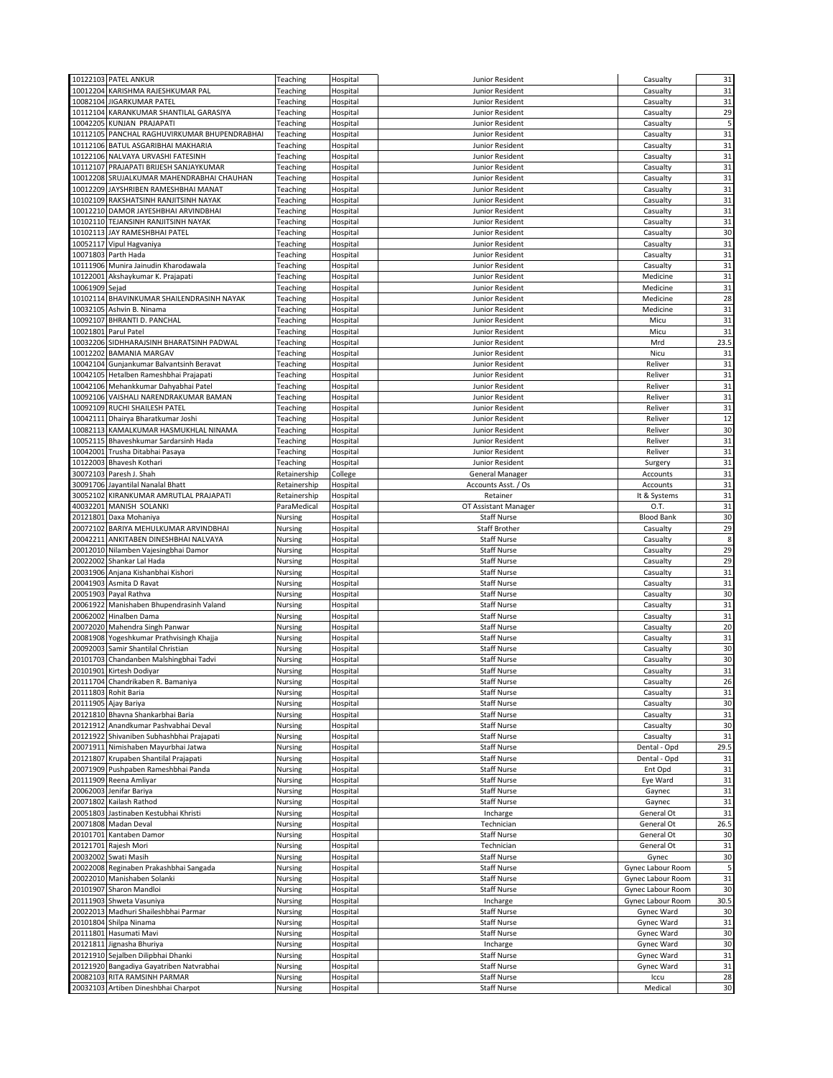|          | 10122103 PATEL ANKUR                                       | Teaching           | Hospital             | Junior Resident                          | Casualty          | 31           |
|----------|------------------------------------------------------------|--------------------|----------------------|------------------------------------------|-------------------|--------------|
|          | 10012204 KARISHMA RAJESHKUMAR PAL                          | Teaching           | Hospital             | Junior Resident                          | Casualty          | 31           |
|          |                                                            |                    |                      |                                          |                   |              |
|          | 10082104 JIGARKUMAR PATEL                                  | Teaching           | Hospital             | Junior Resident                          | Casualty          | 31           |
|          | 10112104 KARANKUMAR SHANTILAL GARASIYA                     | Teaching           | Hospital             | Junior Resident                          | Casualty          | 29           |
|          | 10042205 KUNJAN PRAJAPATI                                  | Teaching           | Hospital             | Junior Resident                          | Casualty          | 5            |
|          | 10112105 PANCHAL RAGHUVIRKUMAR BHUPENDRABHAI               | Teaching           | Hospital             | Junior Resident                          | Casualty          | 31           |
|          |                                                            |                    |                      |                                          |                   |              |
|          | 10112106 BATUL ASGARIBHAI MAKHARIA                         | Teaching           | Hospital             | Junior Resident                          | Casualty          | 31           |
|          | 10122106 NALVAYA URVASHI FATESINH                          | Teaching           | Hospital             | Junior Resident                          | Casualty          | 31           |
|          | 10112107 PRAJAPATI BRIJESH SANJAYKUMAR                     | Teaching           | Hospital             | Junior Resident                          | Casualty          | 31           |
|          | 10012208 SRUJALKUMAR MAHENDRABHAI CHAUHAN                  | Teaching           | Hospital             | Junior Resident                          | Casualty          | 31           |
|          | 10012209 JAYSHRIBEN RAMESHBHAI MANAT                       | Teaching           | Hospital             | Junior Resident                          | Casualty          | 31           |
|          |                                                            |                    |                      |                                          |                   |              |
|          | 10102109 RAKSHATSINH RANJITSINH NAYAK                      | Teaching           | Hospital             | Junior Resident                          | Casualty          | 31           |
|          | 10012210 DAMOR JAYESHBHAI ARVINDBHAI                       | Teaching           | Hospital             | Junior Resident                          | Casualty          | 31           |
|          | 10102110 TEJANSINH RANJITSINH NAYAK                        | Teaching           | Hospital             | Junior Resident                          | Casualty          | 31           |
|          | 10102113 JAY RAMESHBHAI PATEL                              | Teaching           | Hospital             | Junior Resident                          | Casualty          | 30           |
|          | 10052117 Vipul Hagvaniya                                   |                    |                      |                                          |                   | 31           |
|          |                                                            | Teaching           | Hospital             | Junior Resident                          | Casualty          |              |
| 10071803 | Parth Hada                                                 | Teaching           | Hospital             | Junior Resident                          | Casualty          | 31           |
|          | 10111906 Munira Jainudin Kharodawala                       | Teaching           | Hospital             | Junior Resident                          | Casualty          | 31           |
| 10122001 | Akshaykumar K. Prajapati                                   | Teaching           | Hospital             | Junior Resident                          | Medicine          | 31           |
| 10061909 | Sejad                                                      | Teaching           | Hospital             | Junior Resident                          | Medicine          | 31           |
|          |                                                            |                    |                      |                                          |                   |              |
|          | 10102114 BHAVINKUMAR SHAILENDRASINH NAYAK                  | Teaching           | Hospital             | Junior Resident                          | Medicine          | 28           |
|          | 10032105 Ashvin B. Ninama                                  | Teaching           | Hospital             | Junior Resident                          | Medicine          | 31           |
|          | 10092107 BHRANTI D. PANCHAL                                | Teaching           | Hospital             | Junior Resident                          | Micu              | 31           |
| 10021801 | Parul Patel                                                | Teaching           | Hospital             | Junior Resident                          | Micu              | 31           |
|          | 10032206 SIDHHARAJSINH BHARATSINH PADWAL                   | Teaching           | Hospital             | Junior Resident                          | Mrd               | 23.5         |
|          |                                                            |                    |                      |                                          |                   |              |
| 10012202 | <b>BAMANIA MARGAV</b>                                      | Teaching           | Hospital             | Junior Resident                          | Nicu              | 31           |
|          | 10042104 Gunjankumar Balvantsinh Beravat                   | Teaching           | Hospital             | Junior Resident                          | Reliver           | 31           |
|          | 10042105 Hetalben Rameshbhai Prajapati                     | Teaching           | Hospital             | Junior Resident                          | Reliver           | 31           |
|          | 10042106 Mehankkumar Dahyabhai Patel                       | Teaching           | Hospital             | Junior Resident                          | Reliver           | 31           |
|          |                                                            |                    |                      |                                          |                   | 31           |
|          | 10092106 VAISHALI NARENDRAKUMAR BAMAN                      | Teaching           | Hospital             | Junior Resident                          | Reliver           |              |
|          | 10092109 RUCHI SHAILESH PATEL                              | Teaching           | Hospital             | Junior Resident                          | Reliver           | 31           |
|          | 10042111 Dhairya Bharatkumar Joshi                         | Teaching           | Hospital             | Junior Resident                          | Reliver           | 12           |
|          | 10082113 KAMALKUMAR HASMUKHLAL NINAMA                      | Teaching           | Hospital             | Junior Resident                          | Reliver           | 30           |
|          | 10052115 Bhaveshkumar Sardarsinh Hada                      | Teaching           | Hospital             | Junior Resident                          | Reliver           | 31           |
|          |                                                            |                    |                      |                                          |                   |              |
|          | 10042001 Trusha Ditabhai Pasaya                            | Teaching           | Hospital             | Junior Resident                          | Reliver           | 31           |
| 10122003 | Bhavesh Kothari                                            | Teaching           | Hospital             | Junior Resident                          | Surgery           | 31           |
|          | 30072103 Paresh J. Shah                                    | Retainership       | College              | <b>General Manager</b>                   | Accounts          | 31           |
|          | 30091706 Jayantilal Nanalal Bhatt                          | Retainership       | Hospital             | Accounts Asst. / Os                      | Accounts          | 31           |
|          | 30052102 KIRANKUMAR AMRUTLAL PRAJAPATI                     | Retainership       | Hospital             | Retainer                                 | It & Systems      | 31           |
|          |                                                            |                    |                      |                                          |                   |              |
|          | 40032201 MANISH SOLANKI                                    | ParaMedical        | Hospital             | OT Assistant Manager                     | 0.T.              | 31           |
|          | 20121801 Daxa Mohaniya                                     | Nursing            | Hospital             | <b>Staff Nurse</b>                       | <b>Blood Bank</b> | 30           |
| 20072102 | BARIYA MEHULKUMAR ARVINDBHAI                               | Nursing            | Hospital             | <b>Staff Brother</b>                     | Casualty          | 29           |
|          | 20042211 ANKITABEN DINESHBHAI NALVAYA                      | Nursing            | Hospital             | <b>Staff Nurse</b>                       | Casualty          | 8            |
|          |                                                            |                    |                      |                                          |                   |              |
|          |                                                            |                    |                      |                                          |                   |              |
|          | 20012010 Nilamben Vajesingbhai Damor                       | Nursing            | Hospital             | <b>Staff Nurse</b>                       | Casualty          | 29           |
| 20022002 | Shankar Lal Hada                                           | Nursing            | Hospital             | <b>Staff Nurse</b>                       | Casualty          | 29           |
|          | 20031906 Anjana Kishanbhai Kishori                         | Nursing            | Hospital             | <b>Staff Nurse</b>                       | Casualty          | 31           |
|          |                                                            |                    |                      |                                          |                   |              |
| 20041903 | Asmita D Ravat                                             | Nursing            | Hospital             | <b>Staff Nurse</b>                       | Casualty          | 31           |
|          | 20051903 Payal Rathva                                      | Nursing            | Hospital             | <b>Staff Nurse</b>                       | Casualty          | 30           |
| 20061922 | Manishaben Bhupendrasinh Valand                            | Nursing            | Hospital             | <b>Staff Nurse</b>                       | Casualty          | 31           |
|          | 20062002 Hinalben Dama                                     | Nursing            | Hospital             | <b>Staff Nurse</b>                       | Casualty          | 31           |
|          | 20072020 Mahendra Singh Panwar                             | Nursing            | Hospital             | <b>Staff Nurse</b>                       | Casualty          | 20           |
|          |                                                            |                    |                      |                                          |                   |              |
|          | 20081908 Yogeshkumar Prathvisingh Khajja                   | Nursing            | Hospital             | <b>Staff Nurse</b>                       | Casualty          | 31           |
|          | 20092003 Samir Shantilal Christian                         | Nursing            | Hospital             | <b>Staff Nurse</b>                       | Casualty          | 30           |
|          | 20101703 Chandanben Malshingbhai Tadvi                     | Nursing            | Hospital             | <b>Staff Nurse</b>                       | Casualty          | 30           |
|          | 20101901 Kirtesh Dodiyar                                   | Nursing            | Hospital             | <b>Staff Nurse</b>                       | Casualty          | 31           |
|          | 20111704 Chandrikaben R. Bamaniya                          | Nursing            | Hospital             | <b>Staff Nurse</b>                       | Casualty          | 26           |
|          | 20111803 Rohit Baria                                       |                    |                      |                                          |                   |              |
|          |                                                            | Nursing            | Hospital             | <b>Staff Nurse</b>                       | Casualty          | 31           |
| 20111905 | Ajay Bariya                                                | Nursing            | Hospital             | <b>Staff Nurse</b>                       | Casualty          | 30           |
|          | 20121810 Bhavna Shankarbhai Baria                          | Nursing            | Hospital             | <b>Staff Nurse</b>                       | Casualty          | 31           |
|          | 20121912 Anandkumar Pashvabhai Deval                       | Nursing            | Hospital             | Staff Nurse                              | Casualty          | 30           |
|          | 20121922 Shivaniben Subhashbhai Prajapati                  | Nursing            | Hospital             | <b>Staff Nurse</b>                       | Casualty          | 31           |
|          | 20071911 Nimishaben Mayurbhai Jatwa                        |                    |                      |                                          | Dental - Opd      |              |
|          |                                                            | Nursing            | Hospital             | <b>Staff Nurse</b>                       |                   | 29.5         |
|          | 20121807 Krupaben Shantilal Prajapati                      | Nursing            | Hospital             | Staff Nurse                              | Dental - Opd      | 31           |
| 20071909 | Pushpaben Rameshbhai Panda                                 | Nursing            | Hospital             | <b>Staff Nurse</b>                       | Ent Opd           | 31           |
|          | 20111909 Reena Amliyar                                     | Nursing            | Hospital             | <b>Staff Nurse</b>                       | Eye Ward          | 31           |
|          | 20062003 Jenifar Bariya                                    | Nursing            | Hospital             | <b>Staff Nurse</b>                       | Gaynec            | 31           |
|          | Kailash Rathod                                             |                    |                      |                                          |                   |              |
| 20071802 |                                                            | Nursing            | Hospital             | <b>Staff Nurse</b>                       | Gaynec            | 31           |
|          | 20051803 Jastinaben Kestubhai Khristi                      | Nursing            | Hospital             | Incharge                                 | General Ot        | 31           |
|          | 20071808 Madan Deval                                       | Nursing            | Hospital             | Technician                               | General Ot        | 26.5         |
| 20101701 | Kantaben Damor                                             | Nursing            | Hospital             | <b>Staff Nurse</b>                       | General Ot        | 30           |
|          |                                                            |                    | Hospital             |                                          |                   |              |
|          | 20121701 Rajesh Mori                                       | Nursing            |                      | Technician                               | General Ot        | 31           |
|          | 20032002 Swati Masih                                       | Nursing            | Hospital             | <b>Staff Nurse</b>                       | Gynec             | 30           |
|          | 20022008 Reginaben Prakashbhai Sangada                     | Nursing            | Hospital             | <b>Staff Nurse</b>                       | Gynec Labour Room | 5            |
|          | 20022010 Manishaben Solanki                                | Nursing            | Hospital             | <b>Staff Nurse</b>                       | Gynec Labour Room | 31           |
|          | 20101907 Sharon Mandloi                                    | Nursing            | Hospital             | <b>Staff Nurse</b>                       | Gynec Labour Room | 30           |
|          |                                                            |                    |                      |                                          |                   |              |
| 20111903 | Shweta Vasuniya                                            | Nursing            | Hospital             | Incharge                                 | Gynec Labour Room | 30.5         |
|          | 20022013 Madhuri Shaileshbhai Parmar                       | Nursing            | Hospital             | <b>Staff Nurse</b>                       | Gynec Ward        | 30           |
|          | 20101804 Shilpa Ninama                                     | Nursing            | Hospital             | <b>Staff Nurse</b>                       | Gynec Ward        | 31           |
|          | 20111801 Hasumati Mavi                                     | Nursing            | Hospital             | <b>Staff Nurse</b>                       | Gynec Ward        | 30           |
|          | 20121811 Jignasha Bhuriya                                  | Nursing            |                      | Incharge                                 | <b>Gynec Ward</b> |              |
|          |                                                            |                    | Hospital             |                                          |                   | 30           |
|          | 20121910 Sejalben Dilipbhai Dhanki                         | Nursing            | Hospital             | <b>Staff Nurse</b>                       | Gynec Ward        | 31           |
|          | 20121920 Bangadiya Gayatriben Natvrabhai                   | Nursing            | Hospital             | Staff Nurse                              | Gynec Ward        | 31           |
| 20082103 | RITA RAMSINH PARMAR<br>20032103 Artiben Dineshbhai Charpot | Nursing<br>Nursing | Hospital<br>Hospital | <b>Staff Nurse</b><br><b>Staff Nurse</b> | Iccu<br>Medical   | 28<br>$30\,$ |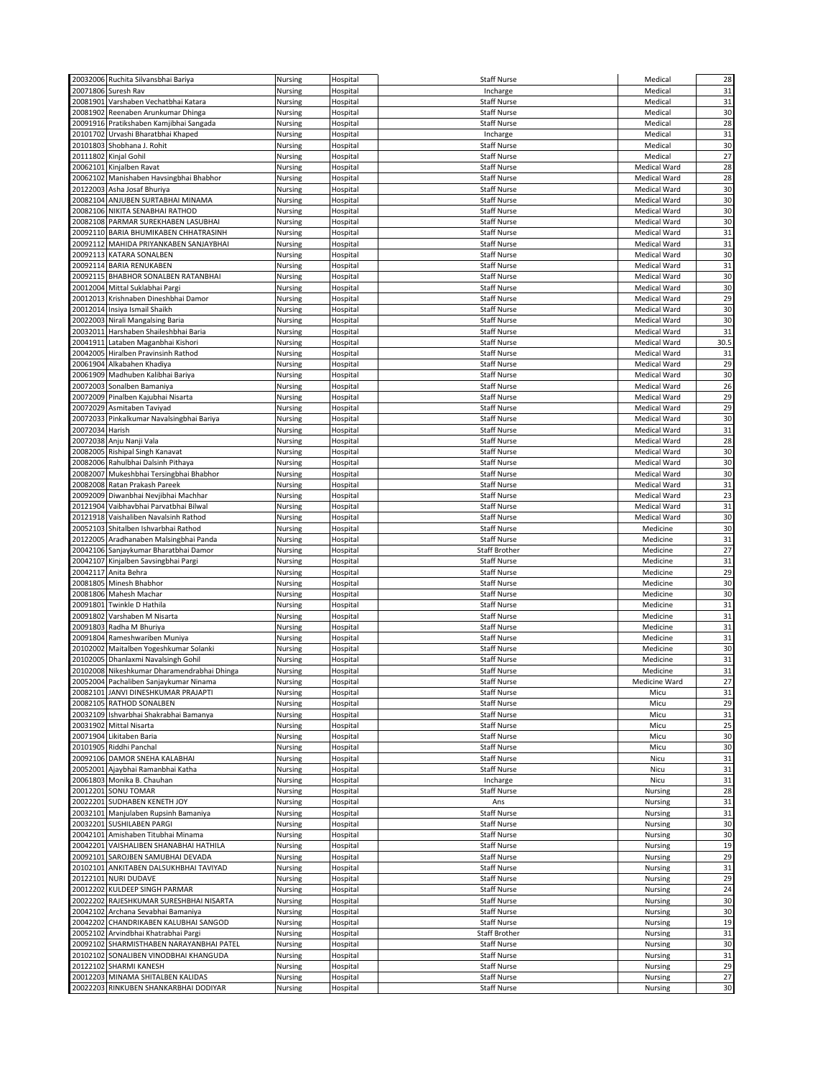|                 | 20032006 Ruchita Silvansbhai Bariya                                        | Nursing            | Hospital             | <b>Staff Nurse</b>                       | Medical             | 28       |
|-----------------|----------------------------------------------------------------------------|--------------------|----------------------|------------------------------------------|---------------------|----------|
| 20071806        | Suresh Rav                                                                 | Nursing            | Hospital             | Incharge                                 | Medical             | 31       |
| 20081901        | Varshaben Vechatbhai Katara                                                | Nursing            | Hospital             | <b>Staff Nurse</b>                       | Medical             | 31       |
|                 |                                                                            |                    |                      |                                          |                     |          |
|                 | 20081902 Reenaben Arunkumar Dhinga                                         | Nursing            | Hospital             | Staff Nurse                              | Medical             | 30       |
|                 | 20091916 Pratikshaben Kamjibhai Sangada                                    | Nursing            | Hospital             | Staff Nurse                              | Medical             | 28       |
|                 | 20101702 Urvashi Bharatbhai Khaped                                         | Nursing            | Hospital             | Incharge                                 | Medical             | 31       |
|                 | 20101803 Shobhana J. Rohit                                                 | Nursing            | Hospital             | Staff Nurse                              | Medical             | 30       |
| 20111802        | Kinjal Gohil                                                               | Nursing            | Hospital             | <b>Staff Nurse</b>                       | Medical             | 27       |
| 20062101        | Kinjalben Ravat                                                            | Nursing            | Hospital             | Staff Nurse                              | Medical Ward        | 28       |
|                 | 20062102 Manishaben Havsingbhai Bhabhor                                    | Nursing            | Hospital             | <b>Staff Nurse</b>                       | Medical Ward        | 28       |
|                 | 20122003 Asha Josaf Bhuriya                                                | Nursing            | Hospital             | <b>Staff Nurse</b>                       | <b>Medical Ward</b> | 30       |
|                 |                                                                            |                    |                      |                                          |                     |          |
|                 | 20082104 ANJUBEN SURTABHAI MINAMA                                          | Nursing            | Hospital             | Staff Nurse                              | <b>Medical Ward</b> | 30       |
|                 | 20082106 NIKITA SENABHAI RATHOD                                            | Nursing            | Hospital             | <b>Staff Nurse</b>                       | Medical Ward        | 30       |
|                 | 20082108 PARMAR SUREKHABEN LASUBHAI                                        | Nursing            | Hospital             | Staff Nurse                              | Medical Ward        | 30       |
|                 | 20092110 BARIA BHUMIKABEN CHHATRASINH                                      | Nursing            | Hospital             | Staff Nurse                              | Medical Ward        | 31       |
|                 | 20092112 MAHIDA PRIYANKABEN SANJAYBHAI                                     | Nursing            | Hospital             | <b>Staff Nurse</b>                       | Medical Ward        | 31       |
|                 | 20092113 KATARA SONALBEN                                                   |                    |                      | <b>Staff Nurse</b>                       | <b>Medical Ward</b> | 30       |
|                 |                                                                            | Nursing            | Hospital             |                                          |                     |          |
|                 | 20092114 BARIA RENUKABEN                                                   | Nursing            | Hospital             | <b>Staff Nurse</b>                       | Medical Ward        | 31       |
|                 | 20092115 BHABHOR SONALBEN RATANBHAI                                        | Nursing            | Hospital             | <b>Staff Nurse</b>                       | <b>Medical Ward</b> | 30       |
|                 | 20012004 Mittal Suklabhai Pargi                                            | Nursing            | Hospital             | <b>Staff Nurse</b>                       | Medical Ward        | 30       |
|                 | 20012013 Krishnaben Dineshbhai Damor                                       | Nursing            | Hospital             | Staff Nurse                              | Medical Ward        | 29       |
|                 | 20012014 Insiya Ismail Shaikh                                              | Nursing            | Hospital             | <b>Staff Nurse</b>                       | Medical Ward        | 30       |
|                 | 20022003 Nirali Mangalsing Baria                                           | Nursing            | Hospital             | Staff Nurse                              | Medical Ward        | 30       |
| 20032011        | Harshaben Shaileshbhai Baria                                               | Nursing            | Hospital             | <b>Staff Nurse</b>                       | <b>Medical Ward</b> | 31       |
|                 |                                                                            |                    |                      |                                          |                     |          |
| 20041911        | Lataben Maganbhai Kishori                                                  | Nursing            | Hospital             | <b>Staff Nurse</b>                       | <b>Medical Ward</b> | 30.5     |
|                 | 20042005 Hiralben Pravinsinh Rathod                                        | Nursing            | Hospital             | <b>Staff Nurse</b>                       | Medical Ward        | 31       |
|                 | 20061904 Alkabahen Khadiya                                                 | Nursing            | Hospital             | <b>Staff Nurse</b>                       | Medical Ward        | 29       |
|                 | 20061909 Madhuben Kalibhai Bariya                                          | Nursing            | Hospital             | <b>Staff Nurse</b>                       | Medical Ward        | 30       |
| 20072003        | Sonalben Bamaniya                                                          | Nursing            | Hospital             | Staff Nurse                              | Medical Ward        | 26       |
|                 | 20072009 Pinalben Kajubhai Nisarta                                         | Nursing            | Hospital             | <b>Staff Nurse</b>                       | Medical Ward        | 29       |
|                 |                                                                            |                    |                      |                                          |                     |          |
|                 | 20072029 Asmitaben Taviyad                                                 | Nursing            | Hospital             | <b>Staff Nurse</b>                       | <b>Medical Ward</b> | 29       |
|                 | 20072033 Pinkalkumar Navalsingbhai Bariya                                  | Nursing            | Hospital             | Staff Nurse                              | Medical Ward        | 30       |
| 20072034 Harish |                                                                            | Nursing            | Hospital             | <b>Staff Nurse</b>                       | <b>Medical Ward</b> | 31       |
|                 | 20072038 Anju Nanji Vala                                                   | Nursing            | Hospital             | <b>Staff Nurse</b>                       | Medical Ward        | 28       |
|                 | 20082005 Rishipal Singh Kanavat                                            | Nursing            | Hospital             | Staff Nurse                              | Medical Ward        | 30       |
|                 | 20082006 Rahulbhai Dalsinh Pithaya                                         | Nursing            | Hospital             | <b>Staff Nurse</b>                       | Medical Ward        | 30       |
|                 |                                                                            |                    |                      |                                          |                     |          |
|                 | 20082007 Mukeshbhai Tersingbhai Bhabhor                                    | Nursing            | Hospital             | Staff Nurse                              | Medical Ward        | 30       |
|                 | 20082008 Ratan Prakash Pareek                                              | Nursing            | Hospital             | <b>Staff Nurse</b>                       | Medical Ward        | 31       |
|                 | 20092009 Diwanbhai Nevjibhai Machhar                                       | Nursing            | Hospital             | <b>Staff Nurse</b>                       | <b>Medical Ward</b> | 23       |
| 20121904        | Vaibhavbhai Parvatbhai Bilwal                                              | Nursing            | Hospital             | Staff Nurse                              | Medical Ward        | 31       |
|                 | 20121918 Vaishaliben Navalsinh Rathod                                      | Nursing            | Hospital             | <b>Staff Nurse</b>                       | Medical Ward        | 30       |
| 20052103        | Shitalben Ishvarbhai Rathod                                                | Nursing            | Hospital             | <b>Staff Nurse</b>                       | Medicine            | 30       |
|                 |                                                                            |                    |                      |                                          |                     |          |
|                 |                                                                            |                    |                      |                                          |                     |          |
| 20122005        | Aradhanaben Malsingbhai Panda                                              | Nursing            | Hospital             | Staff Nurse                              | Medicine            | 31       |
|                 | 20042106 Sanjaykumar Bharatbhai Damor                                      | Nursing            | Hospital             | <b>Staff Brother</b>                     | Medicine            | 27       |
|                 | 20042107 Kinjalben Savsingbhai Pargi                                       | Nursing            | Hospital             | Staff Nurse                              | Medicine            | 31       |
| 20042117        | Anita Behra                                                                | Nursing            | Hospital             | Staff Nurse                              | Medicine            | 29       |
|                 | 20081805 Minesh Bhabhor                                                    | Nursing            | Hospital             | <b>Staff Nurse</b>                       | Medicine            | 30       |
|                 |                                                                            |                    |                      |                                          |                     |          |
|                 | 20081806 Mahesh Machar                                                     | Nursing            | Hospital             | <b>Staff Nurse</b>                       | Medicine            | 30       |
| 20091801        | Twinkle D Hathila                                                          | Nursing            | Hospital             | <b>Staff Nurse</b>                       | Medicine            | 31       |
| 20091802        | Varshaben M Nisarta                                                        | Nursing            | Hospital             | <b>Staff Nurse</b>                       | Medicine            | 31       |
|                 | 20091803 Radha M Bhuriya                                                   | Nursing            | Hospital             | <b>Staff Nurse</b>                       | Medicine            | 31       |
|                 | 20091804 Rameshwariben Muniya                                              | Nursing            | Hospital             | Staff Nurse                              | Medicine            | 31       |
|                 | 20102002 Maitalben Yogeshkumar Solanki                                     | Nursing            | Hospital             | <b>Staff Nurse</b>                       | Medicine            | 30       |
|                 | 20102005 Dhanlaxmi Navalsingh Gohil                                        | Nursing            | Hospital             | <b>Staff Nurse</b>                       | Medicine            | 31       |
|                 |                                                                            |                    |                      |                                          | Medicine            |          |
|                 | 20102008 Nikeshkumar Dharamendrabhai Dhinga                                | Nursing            | Hospital             | <b>Staff Nurse</b>                       |                     | 31<br>27 |
|                 | 20052004 Pachaliben Sanjaykumar Ninama                                     | Nursing            | Hospital             | <b>Staff Nurse</b>                       | Medicine Ward       |          |
|                 | 20082101 JANVI DINESHKUMAR PRAJAPTI                                        | Nursing            | Hospital             | Staff Nurse                              | Micu                | 31       |
|                 | 20082105 RATHOD SONALBEN                                                   | Nursing            | Hospital             | <b>Staff Nurse</b>                       | Micu                | 29       |
|                 | 20032109 Ishvarbhai Shakrabhai Bamanya                                     | Nursing            | Hospital             | Staff Nurse                              | Micu                | 31       |
|                 | 20031902 Mittal Nisarta                                                    | Nursing            | Hospital             | Staff Nurse                              | Micu                | 25       |
|                 | 20071904 Likitaben Baria                                                   | Nursing            | Hospital             | Staff Nurse                              | Micu                | 30       |
|                 | 20101905 Riddhi Panchal                                                    | Nursing            | Hospital             | <b>Staff Nurse</b>                       | Micu                |          |
|                 |                                                                            |                    |                      |                                          |                     | 30       |
|                 | 20092106 DAMOR SNEHA KALABHAI                                              | Nursing            | Hospital             | <b>Staff Nurse</b>                       | Nicu                | 31       |
|                 | 20052001 Ajaybhai Ramanbhai Katha                                          | Nursing            | Hospital             | Staff Nurse                              | Nicu                | 31       |
|                 | 20061803 Monika B. Chauhan                                                 | Nursing            | Hospital             | Incharge                                 | Nicu                | 31       |
|                 | 20012201 SONU TOMAR                                                        | Nursing            | Hospital             | <b>Staff Nurse</b>                       | Nursing             | 28       |
|                 | 20022201 SUDHABEN KENETH JOY                                               | Nursing            | Hospital             | Ans                                      | Nursing             | 31       |
|                 | 20032101 Manjulaben Rupsinh Bamaniya                                       | Nursing            | Hospital             | Staff Nurse                              | Nursing             | 31       |
| 20032201        |                                                                            |                    |                      | <b>Staff Nurse</b>                       |                     |          |
|                 | <b>SUSHILABEN PARGI</b>                                                    | Nursing            | Hospital             |                                          | Nursing             | 30       |
|                 | 20042101 Amishaben Titubhai Minama                                         | Nursing            | Hospital             | Staff Nurse                              | Nursing             | 30       |
|                 | 20042201 VAISHALIBEN SHANABHAI HATHILA                                     | Nursing            | Hospital             | Staff Nurse                              | Nursing             | 19       |
|                 | 20092101 SAROJBEN SAMUBHAI DEVADA                                          | Nursing            | Hospital             | <b>Staff Nurse</b>                       | Nursing             | 29       |
|                 | 20102101 ANKITABEN DALSUKHBHAI TAVIYAD                                     | Nursing            | Hospital             | Staff Nurse                              | Nursing             | 31       |
|                 | 20122101 NURI DUDAVE                                                       | Nursing            | Hospital             | Staff Nurse                              | Nursing             | 29       |
|                 |                                                                            |                    |                      |                                          |                     |          |
|                 | 20012202 KULDEEP SINGH PARMAR                                              | Nursing            | Hospital             | <b>Staff Nurse</b>                       | Nursing             | 24       |
|                 | 20022202 RAJESHKUMAR SURESHBHAI NISARTA                                    | Nursing            | Hospital             | Staff Nurse                              | Nursing             | 30       |
|                 | 20042102 Archana Sevabhai Bamaniya                                         | Nursing            | Hospital             | <b>Staff Nurse</b>                       | Nursing             | 30       |
|                 | 20042202 CHANDRIKABEN KALUBHAI SANGOD                                      | Nursing            | Hospital             | <b>Staff Nurse</b>                       | Nursing             | 19       |
|                 | 20052102 Arvindbhai Khatrabhai Pargi                                       | Nursing            | Hospital             | Staff Brother                            | Nursing             | 31       |
|                 | 20092102 SHARMISTHABEN NARAYANBHAI PATEL                                   | Nursing            | Hospital             | <b>Staff Nurse</b>                       | Nursing             | 30       |
|                 | 20102102 SONALIBEN VINODBHAI KHANGUDA                                      | Nursing            | Hospital             | Staff Nurse                              | Nursing             | 31       |
|                 |                                                                            |                    |                      |                                          |                     |          |
|                 | 20122102 SHARMI KANESH                                                     | Nursing            | Hospital             | Staff Nurse                              | Nursing             | 29       |
|                 | 20012203 MINAMA SHITALBEN KALIDAS<br>20022203 RINKUBEN SHANKARBHAI DODIYAR | Nursing<br>Nursing | Hospital<br>Hospital | <b>Staff Nurse</b><br><b>Staff Nurse</b> | Nursing<br>Nursing  | 27<br>30 |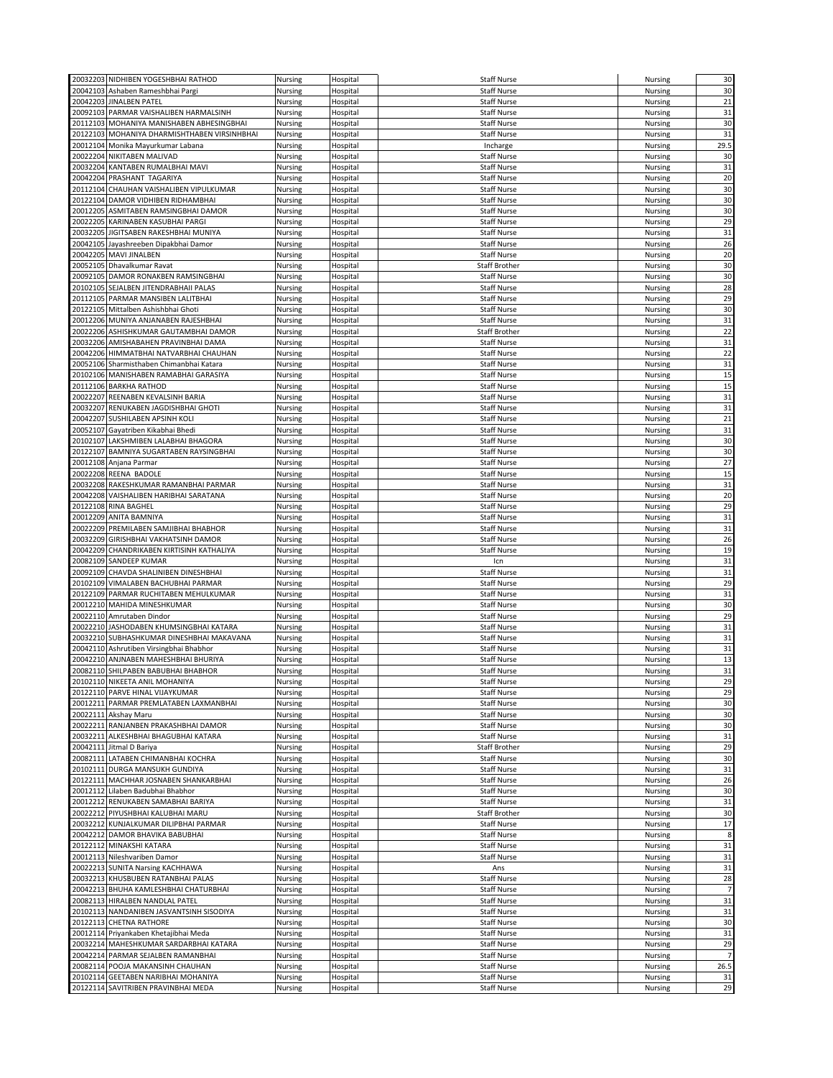|          | 20032203 NIDHIBEN YOGESHBHAI RATHOD          | Nursing            | Hospital | <b>Staff Nurse</b>   | Nursing        | 30             |
|----------|----------------------------------------------|--------------------|----------|----------------------|----------------|----------------|
| 20042103 | Ashaben Rameshbhai Pargi                     | Nursing            | Hospital | <b>Staff Nurse</b>   | Nursing        | 30             |
|          | 20042203 JINALBEN PATEL                      | Nursing            | Hospital | <b>Staff Nurse</b>   | Nursing        | 21             |
|          | 20092103 PARMAR VAISHALIBEN HARMALSINH       | Nursing            | Hospital | <b>Staff Nurse</b>   | Nursing        | 31             |
|          | 20112103 MOHANIYA MANISHABEN ABHESINGBHAI    | Nursing            | Hospital | <b>Staff Nurse</b>   | Nursing        | 30             |
|          |                                              |                    |          |                      |                |                |
|          | 20122103 MOHANIYA DHARMISHTHABEN VIRSINHBHAI | Nursing            | Hospital | <b>Staff Nurse</b>   | Nursing        | 31             |
|          | 20012104 Monika Mayurkumar Labana            | Nursing            | Hospital | Incharge             | Nursing        | 29.5           |
| 20022204 | NIKITABEN MALIVAD                            | Nursing            | Hospital | <b>Staff Nurse</b>   | Nursing        | 30             |
|          | 20032204 KANTABEN RUMALBHAI MAVI             | Nursing            | Hospital | <b>Staff Nurse</b>   | Nursing        | 31             |
|          | 20042204 PRASHANT TAGARIYA                   | Nursing            | Hospital | <b>Staff Nurse</b>   | Nursing        | 20             |
| 20112104 | CHAUHAN VAISHALIBEN VIPULKUMAR               | Nursing            | Hospital | <b>Staff Nurse</b>   | Nursing        | 30             |
|          | 20122104 DAMOR VIDHIBEN RIDHAMBHAI           | Nursing            | Hospital | <b>Staff Nurse</b>   | Nursing        | 30             |
|          | 20012205 ASMITABEN RAMSINGBHAI DAMOR         | Nursing            | Hospital | <b>Staff Nurse</b>   | Nursing        | 30             |
|          | 20022205 KARINABEN KASUBHAI PARGI            | Nursing            | Hospital | <b>Staff Nurse</b>   | Nursing        | 29             |
|          | 20032205 JIGITSABEN RAKESHBHAI MUNIYA        | Nursing            | Hospital | <b>Staff Nurse</b>   | Nursing        | 31             |
|          | 20042105 Jayashreeben Dipakbhai Damor        | Nursing            | Hospital | <b>Staff Nurse</b>   | Nursing        | 26             |
|          | 20042205 MAVI JINALBEN                       | Nursing            | Hospital | <b>Staff Nurse</b>   | Nursing        | 20             |
|          | 20052105 Dhavalkumar Ravat                   | Nursing            | Hospital | Staff Brother        | Nursing        | 30             |
|          |                                              |                    |          |                      |                | 30             |
|          | 20092105 DAMOR RONAKBEN RAMSINGBHAI          | Nursing            | Hospital | <b>Staff Nurse</b>   | Nursing        |                |
|          | 20102105 SEJALBEN JITENDRABHAII PALAS        | Nursing            | Hospital | <b>Staff Nurse</b>   | Nursing        | 28             |
|          | 20112105 PARMAR MANSIBEN LALITBHAI           | Nursing            | Hospital | <b>Staff Nurse</b>   | Nursing        | 29             |
|          | 20122105 Mittalben Ashishbhai Ghoti          | Nursing            | Hospital | <b>Staff Nurse</b>   | <b>Nursing</b> | 30             |
|          | 20012206 MUNIYA ANJANABEN RAJESHBHAI         | Nursing            | Hospital | <b>Staff Nurse</b>   | Nursing        | 31             |
|          | 20022206 ASHISHKUMAR GAUTAMBHAI DAMOR        | Nursing            | Hospital | <b>Staff Brother</b> | Nursing        | 22             |
|          | 20032206 AMISHABAHEN PRAVINBHAI DAMA         | Nursing            | Hospital | <b>Staff Nurse</b>   | Nursing        | 31             |
|          | 20042206 HIMMATBHAI NATVARBHAI CHAUHAN       | Nursing            | Hospital | <b>Staff Nurse</b>   | Nursing        | 22             |
|          | 20052106 Sharmisthaben Chimanbhai Katara     | Nursing            | Hospital | <b>Staff Nurse</b>   | Nursing        | 31             |
|          | 20102106 MANISHABEN RAMABHAI GARASIYA        | Nursing            | Hospital | <b>Staff Nurse</b>   | Nursing        | 15             |
|          | 20112106 BARKHA RATHOD                       | Nursing            | Hospital | <b>Staff Nurse</b>   | Nursing        | 15             |
|          | 20022207 REENABEN KEVALSINH BARIA            | Nursing            | Hospital | <b>Staff Nurse</b>   | Nursing        | 31             |
|          | 20032207 RENUKABEN JAGDISHBHAI GHOTI         | Nursing            | Hospital | <b>Staff Nurse</b>   | Nursing        | 31             |
|          | 20042207 SUSHILABEN APSINH KOLI              | Nursing            | Hospital | <b>Staff Nurse</b>   | Nursing        | 21             |
|          |                                              |                    |          |                      |                |                |
|          | 20052107 Gayatriben Kikabhai Bhedi           | Nursing            | Hospital | <b>Staff Nurse</b>   | Nursing        | 31             |
|          | 20102107 LAKSHMIBEN LALABHAI BHAGORA         | Nursing            | Hospital | <b>Staff Nurse</b>   | Nursing        | 30             |
|          | 20122107 BAMNIYA SUGARTABEN RAYSINGBHAI      | Nursing            | Hospital | <b>Staff Nurse</b>   | <b>Nursing</b> | 30             |
|          | 20012108 Anjana Parmar                       | Nursing            | Hospital | <b>Staff Nurse</b>   | Nursing        | 27             |
|          | 20022208 REENA BADOLE                        | Nursing            | Hospital | <b>Staff Nurse</b>   | Nursing        | 15             |
|          | 20032208 RAKESHKUMAR RAMANBHAI PARMAR        | Nursing            | Hospital | <b>Staff Nurse</b>   | Nursing        | 31             |
|          | 20042208 VAISHALIBEN HARIBHAI SARATANA       | Nursing            | Hospital | <b>Staff Nurse</b>   | Nursing        | 20             |
|          | 20122108 RINA BAGHEL                         | Nursing            | Hospital | <b>Staff Nurse</b>   | Nursing        | 29             |
|          | 20012209 ANITA BAMNIYA                       | Nursing            | Hospital | <b>Staff Nurse</b>   | Nursing        | 31             |
| 20022209 | PREMILABEN SAMJIBHAI BHABHOR                 | Nursing            | Hospital | <b>Staff Nurse</b>   | Nursing        | 31             |
| 20032209 | GIRISHBHAI VAKHATSINH DAMOR                  | Nursing            | Hospital | <b>Staff Nurse</b>   | Nursing        | 26             |
| 20042209 | CHANDRIKABEN KIRTISINH KATHALIYA             | Nursing            | Hospital | <b>Staff Nurse</b>   | <b>Nursing</b> | 19             |
|          | 20082109 SANDEEP KUMAR                       | Nursing            | Hospital | Icn                  | Nursing        | 31             |
|          |                                              |                    |          |                      |                |                |
|          | 20092109 CHAVDA SHALINIBEN DINESHBHAI        | Nursing            | Hospital | <b>Staff Nurse</b>   | Nursing        | 31             |
|          | 20102109 VIMALABEN BACHUBHAI PARMAR          | Nursing            | Hospital | <b>Staff Nurse</b>   | <b>Nursing</b> | 29             |
|          | 20122109 PARMAR RUCHITABEN MEHULKUMAR        | Nursing            | Hospital | <b>Staff Nurse</b>   | Nursing        | 31             |
|          | 20012210 MAHIDA MINESHKUMAR                  |                    | Hospital | <b>Staff Nurse</b>   |                |                |
|          |                                              | Nursing            |          |                      | Nursing        | 30             |
|          | 20022110 Amrutaben Dindor                    | Nursing            | Hospital | <b>Staff Nurse</b>   | <b>Nursing</b> | 29             |
|          | 20022210 JASHODABEN KHUMSINGBHAI KATARA      | Nursing            | Hospital | <b>Staff Nurse</b>   | Nursing        | 31             |
|          | 20032210 SUBHASHKUMAR DINESHBHAI MAKAVANA    | Nursing            | Hospital | <b>Staff Nurse</b>   | Nursing        | 31             |
|          | 20042110 Ashrutiben Virsingbhai Bhabhor      | Nursing            | Hospital | <b>Staff Nurse</b>   | Nursing        | 31             |
|          | 20042210 ANJNABEN MAHESHBHAI BHURIYA         | Nursing            | Hospital | <b>Staff Nurse</b>   | Nursing        | 13             |
|          | 20082110 SHILPABEN BABUBHAI BHABHOR          |                    | Hospital | <b>Staff Nurse</b>   | Nursing        | 31             |
|          | 20102110 NIKEETA ANIL MOHANIYA               | Nursing<br>Nursing | Hospital | <b>Staff Nurse</b>   | <b>Nursing</b> | 29             |
|          |                                              |                    |          |                      |                |                |
|          | 20122110 PARVE HINAL VIJAYKUMAR              | Nursing            | Hospital | <b>Staff Nurse</b>   | Nursing        | 29             |
|          | 20012211 PARMAR PREMLATABEN LAXMANBHAI       | Nursing            | Hospital | <b>Staff Nurse</b>   | Nursing        | 30             |
|          | 20022111 Akshay Maru                         | Nursing            | Hospital | <b>Staff Nurse</b>   | Nursing        | 30             |
|          | 20022211 RANJANBEN PRAKASHBHAI DAMOR         | Nursing            | Hospital | Staff Nurse          | Nursing        | 30             |
|          | 20032211 ALKESHBHAI BHAGUBHAI KATARA         | Nursing            | Hospital | <b>Staff Nurse</b>   | Nursing        | 31             |
|          | 20042111 Jitmal D Bariya                     | Nursing            | Hospital | <b>Staff Brother</b> | Nursing        | 29             |
|          | 20082111 LATABEN CHIMANBHAI KOCHRA           | Nursing            | Hospital | Staff Nurse          | Nursing        | 30             |
|          | 20102111 DURGA MANSUKH GUNDIYA               | Nursing            | Hospital | <b>Staff Nurse</b>   | Nursing        | 31             |
|          | 20122111 MACHHAR JOSNABEN SHANKARBHAI        | Nursing            | Hospital | <b>Staff Nurse</b>   | Nursing        | 26             |
|          | 20012112 Lilaben Badubhai Bhabhor            | Nursing            | Hospital | <b>Staff Nurse</b>   | Nursing        | 30             |
|          | 20012212 RENUKABEN SAMABHAI BARIYA           | Nursing            | Hospital | <b>Staff Nurse</b>   | Nursing        | 31             |
|          | 20022212 PIYUSHBHAI KALUBHAI MARU            | Nursing            | Hospital | <b>Staff Brother</b> | Nursing        | 30             |
|          | 20032212 KUNJALKUMAR DILIPBHAI PARMAR        | Nursing            | Hospital | <b>Staff Nurse</b>   | Nursing        | 17             |
|          | 20042212 DAMOR BHAVIKA BABUBHAI              | Nursing            | Hospital | <b>Staff Nurse</b>   | Nursing        | 8              |
|          | 20122112 MINAKSHI KATARA                     | Nursing            | Hospital | <b>Staff Nurse</b>   | Nursing        |                |
|          |                                              |                    |          | <b>Staff Nurse</b>   |                | 31             |
|          | 20012113 Nileshvariben Damor                 | Nursing            | Hospital |                      | Nursing        | 31             |
|          | 20022213 SUNITA Narsing KACHHAWA             | Nursing            | Hospital | Ans                  | Nursing        | 31             |
|          | 20032213 KHUSBUBEN RATANBHAI PALAS           | Nursing            | Hospital | <b>Staff Nurse</b>   | Nursing        | 28             |
|          | 20042213 BHUHA KAMLESHBHAI CHATURBHAI        | Nursing            | Hospital | <b>Staff Nurse</b>   | Nursing        | $\overline{7}$ |
|          | 20082113 HIRALBEN NANDLAL PATEL              | Nursing            | Hospital | <b>Staff Nurse</b>   | Nursing        | 31             |
|          | 20102113 NANDANIBEN JASVANTSINH SISODIYA     | Nursing            | Hospital | <b>Staff Nurse</b>   | Nursing        | 31             |
|          | 20122113 CHETNA RATHORE                      | Nursing            | Hospital | <b>Staff Nurse</b>   | Nursing        | 30             |
|          | 20012114 Priyankaben Khetajibhai Meda        | Nursing            | Hospital | <b>Staff Nurse</b>   | Nursing        | 31             |
|          | 20032214 MAHESHKUMAR SARDARBHAI KATARA       | Nursing            | Hospital | <b>Staff Nurse</b>   | Nursing        | 29             |
|          | 20042214 PARMAR SEJALBEN RAMANBHAI           | Nursing            | Hospital | <b>Staff Nurse</b>   | Nursing        | $\overline{7}$ |
|          | 20082114 POOJA MAKANSINH CHAUHAN             | Nursing            | Hospital | Staff Nurse          | Nursing        | 26.5           |
|          | 20102114 GEETABEN NARIBHAI MOHANIYA          | Nursing<br>Nursing | Hospital | <b>Staff Nurse</b>   | Nursing        | 31<br>29       |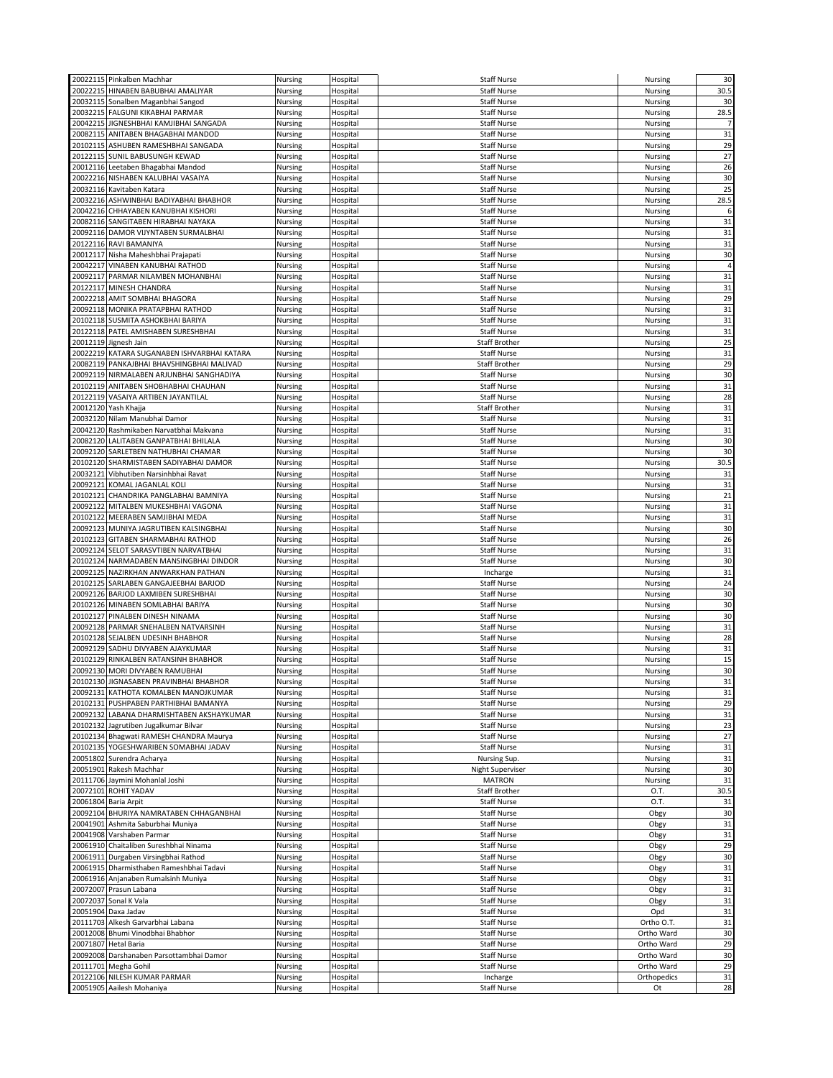|          | 20022115 Pinkalben Machhar                                | Nursing            | Hospital             | <b>Staff Nurse</b>             | Nursing           | 30       |
|----------|-----------------------------------------------------------|--------------------|----------------------|--------------------------------|-------------------|----------|
|          | 20022215 HINABEN BABUBHAI AMALIYAR                        | Nursing            | Hospital             | <b>Staff Nurse</b>             | Nursing           | 30.5     |
|          | 20032115 Sonalben Maganbhai Sangod                        | Nursing            | Hospital             | <b>Staff Nurse</b>             | Nursing           | 30       |
|          |                                                           |                    |                      |                                |                   |          |
|          | 20032215 FALGUNI KIKABHAI PARMAR                          | Nursing            | Hospital             | <b>Staff Nurse</b>             | Nursing           | 28.5     |
|          | 20042215 JIGNESHBHAI KAMJIBHAI SANGADA                    | Nursing            | Hospital             | <b>Staff Nurse</b>             | Nursing           |          |
|          | 20082115 ANITABEN BHAGABHAI MANDOD                        | Nursing            | Hospital             | <b>Staff Nurse</b>             | Nursing           | 31       |
|          | 20102115 ASHUBEN RAMESHBHAI SANGADA                       | Nursing            | Hospital             | <b>Staff Nurse</b>             | Nursing           | 29       |
|          | 20122115 SUNIL BABUSUNGH KEWAD                            | Nursing            | Hospital             | <b>Staff Nurse</b>             | Nursing           | 27       |
|          | 20012116 Leetaben Bhagabhai Mandod                        | Nursing            | Hospital             | <b>Staff Nurse</b>             | Nursing           | 26       |
|          | 20022216 NISHABEN KALUBHAI VASAIYA                        | Nursing            | Hospital             | <b>Staff Nurse</b>             | Nursing           | 30       |
|          | 20032116 Kavitaben Katara                                 | Nursing            | Hospital             | <b>Staff Nurse</b>             | Nursing           | 25       |
|          | 20032216 ASHWINBHAI BADIYABHAI BHABHOR                    | Nursing            | Hospital             | <b>Staff Nurse</b>             | Nursing           | 28.5     |
|          | 20042216 CHHAYABEN KANUBHAI KISHORI                       |                    |                      | <b>Staff Nurse</b>             | Nursing           | 6        |
|          |                                                           | Nursing            | Hospital             |                                |                   |          |
|          | 20082116 SANGITABEN HIRABHAI NAYAKA                       | Nursing            | Hospital             | <b>Staff Nurse</b>             | Nursing           | 31       |
|          | 20092116 DAMOR VIJYNTABEN SURMALBHAI                      | Nursing            | Hospital             | <b>Staff Nurse</b>             | Nursing           | 31       |
|          | 20122116 RAVI BAMANIYA                                    | Nursing            | Hospital             | <b>Staff Nurse</b>             | Nursing           | 31       |
|          | 20012117 Nisha Maheshbhai Prajapati                       | Nursing            | Hospital             | <b>Staff Nurse</b>             | Nursing           | 30       |
|          | 20042217 VINABEN KANUBHAI RATHOD                          | Nursing            | Hospital             | <b>Staff Nurse</b>             | Nursing           | 4        |
|          | 20092117 PARMAR NILAMBEN MOHANBHAI                        | Nursing            | Hospital             | <b>Staff Nurse</b>             | Nursing           | 31       |
|          | 20122117 MINESH CHANDRA                                   | Nursing            | Hospital             | <b>Staff Nurse</b>             | Nursing           | 31       |
|          | 20022218 AMIT SOMBHAI BHAGORA                             | Nursing            | Hospital             | <b>Staff Nurse</b>             | Nursing           | 29       |
|          | 20092118 MONIKA PRATAPBHAI RATHOD                         | Nursing            | Hospital             | <b>Staff Nurse</b>             | <b>Nursing</b>    | 31       |
|          |                                                           |                    |                      |                                |                   |          |
|          | 20102118 SUSMITA ASHOKBHAI BARIYA                         | Nursing            | Hospital             | <b>Staff Nurse</b>             | Nursing           | 31       |
|          | 20122118 PATEL AMISHABEN SURESHBHAI                       | Nursing            | Hospital             | <b>Staff Nurse</b>             | Nursing           | 31       |
|          | 20012119 Jignesh Jain                                     | Nursing            | Hospital             | Staff Brother                  | Nursing           | 25       |
| 20022219 | KATARA SUGANABEN ISHVARBHAI KATARA                        | Nursing            | Hospital             | <b>Staff Nurse</b>             | Nursing           | 31       |
|          | 20082119 PANKAJBHAI BHAVSHINGBHAI MALIVAD                 | Nursing            | Hospital             | <b>Staff Brother</b>           | Nursing           | 29       |
|          | 20092119 NIRMALABEN ARJUNBHAI SANGHADIYA                  | Nursing            | Hospital             | <b>Staff Nurse</b>             | Nursing           | 30       |
|          | 20102119 ANITABEN SHOBHABHAI CHAUHAN                      | Nursing            | Hospital             | <b>Staff Nurse</b>             | Nursing           | 31       |
|          | 20122119 VASAIYA ARTIBEN JAYANTILAL                       | Nursing            | Hospital             | <b>Staff Nurse</b>             | Nursing           | 28       |
|          | 20012120 Yash Khajja                                      | Nursing            | Hospital             | Staff Brother                  | Nursing           | 31       |
|          | 20032120 Nilam Manubhai Damor                             | Nursing            | Hospital             | <b>Staff Nurse</b>             | Nursing           | 31       |
|          |                                                           |                    |                      |                                |                   |          |
|          | 20042120 Rashmikaben Narvatbhai Makvana                   | Nursing            | Hospital             | <b>Staff Nurse</b>             | Nursing           | 31       |
|          | 20082120 LALITABEN GANPATBHAI BHILALA                     | Nursing            | Hospital             | <b>Staff Nurse</b>             | Nursing           | 30       |
|          | 20092120 SARLETBEN NATHUBHAI CHAMAR                       | Nursing            | Hospital             | <b>Staff Nurse</b>             | <b>Nursing</b>    | 30       |
|          | 20102120 SHARMISTABEN SADIYABHAI DAMOR                    | Nursing            | Hospital             | <b>Staff Nurse</b>             | Nursing           | 30.5     |
| 20032121 | Vibhutiben Narsinhbhai Ravat                              | Nursing            | Hospital             | <b>Staff Nurse</b>             | Nursing           | 31       |
|          | 20092121 KOMAL JAGANLAL KOLI                              | Nursing            | Hospital             | <b>Staff Nurse</b>             | Nursing           | 31       |
|          | 20102121 CHANDRIKA PANGLABHAI BAMNIYA                     | Nursing            | Hospital             | <b>Staff Nurse</b>             | Nursing           | 21       |
| 20092122 | MITALBEN MUKESHBHAI VAGONA                                | Nursing            | Hospital             | <b>Staff Nurse</b>             | Nursing           | 31       |
|          | 20102122 MEERABEN SAMJIBHAI MEDA                          | Nursing            | Hospital             | <b>Staff Nurse</b>             | Nursing           | 31       |
| 20092123 | MUNIYA JAGRUTIBEN KALSINGBHAI                             | Nursing            | Hospital             |                                |                   | 30       |
|          |                                                           |                    |                      |                                |                   |          |
|          |                                                           |                    |                      | <b>Staff Nurse</b>             | Nursing           |          |
| 20102123 | GITABEN SHARMABHAI RATHOD                                 | Nursing            | Hospital             | <b>Staff Nurse</b>             | Nursing           | 26       |
|          | 20092124 SELOT SARASVTIBEN NARVATBHAI                     | Nursing            | Hospital             | <b>Staff Nurse</b>             | <b>Nursing</b>    | 31       |
|          | 20102124 NARMADABEN MANSINGBHAI DINDOR                    | Nursing            | Hospital             | <b>Staff Nurse</b>             | Nursing           | 30       |
|          | 20092125 NAZIRKHAN ANWARKHAN PATHAN                       | Nursing            | Hospital             | Incharge                       | Nursing           | 31       |
|          | 20102125 SARLABEN GANGAJEEBHAI BARJOD                     | Nursing            | Hospital             | <b>Staff Nurse</b>             | <b>Nursing</b>    | 24       |
|          | 20092126 BARJOD LAXMIBEN SURESHBHAI                       | Nursing            | Hospital             | <b>Staff Nurse</b>             | Nursing           | 30       |
|          |                                                           |                    |                      | <b>Staff Nurse</b>             |                   |          |
|          | 20102126 MINABEN SOMLABHAI BARIYA                         | Nursing            | Hospital             |                                | Nursing           | 30       |
|          | 20102127 PINALBEN DINESH NINAMA                           | Nursing            | Hospital             | <b>Staff Nurse</b>             | <b>Nursing</b>    | 30       |
|          | 20092128 PARMAR SNEHALBEN NATVARSINH                      | Nursing            | Hospital             | <b>Staff Nurse</b>             | Nursing           | 31       |
|          | 20102128 SEJALBEN UDESINH BHABHOR                         | Nursing            | Hospital             | <b>Staff Nurse</b>             | Nursing           | 28       |
|          | 20092129 SADHU DIVYABEN AJAYKUMAR                         | Nursing            | Hospital             | <b>Staff Nurse</b>             | Nursing           | 31       |
|          | 20102129 RINKALBEN RATANSINH BHABHOR                      | Nursing            | Hospital             | <b>Staff Nurse</b>             | Nursing           | 15       |
|          | 20092130 MORI DIVYABEN RAMUBHAI                           | Nursing            | Hospital             | <b>Staff Nurse</b>             | Nursing           | 30       |
|          | 20102130 JIGNASABEN PRAVINBHAI BHABHOR                    | Nursing            | Hospital             | <b>Staff Nurse</b>             | <b>Nursing</b>    | 31       |
|          | 20092131 KATHOTA KOMALBEN MANOJKUMAR                      | Nursing            | Hospital             | <b>Staff Nurse</b>             | Nursing           | 31       |
|          | 20102131 PUSHPABEN PARTHIBHAI BAMANYA                     | Nursing            | Hospital             | <b>Staff Nurse</b>             | Nursing           | 29       |
|          | 20092132 LABANA DHARMISHTABEN AKSHAYKUMAR                 | Nursing            | Hospital             | <b>Staff Nurse</b>             | Nursing           | 31       |
|          |                                                           |                    |                      |                                |                   |          |
|          | 20102132 Jagrutiben Jugalkumar Bilvar                     | Nursing            | Hospital             | Staff Nurse                    | Nursing           | 23       |
|          | 20102134 Bhagwati RAMESH CHANDRA Maurya                   | Nursing            | Hospital             | <b>Staff Nurse</b>             | Nursing           | 27       |
|          | 20102135 YOGESHWARIBEN SOMABHAI JADAV                     | Nursing            | Hospital             | <b>Staff Nurse</b>             | Nursing           | 31       |
|          | 20051802 Surendra Acharya                                 | Nursing            | Hospital             | Nursing Sup.                   | Nursing           | 31       |
| 20051901 | Rakesh Machhar                                            | Nursing            | Hospital             | <b>Night Superviser</b>        | Nursing           | 30       |
|          | 20111706 Jaymini Mohanlal Joshi                           | Nursing            | Hospital             | <b>MATRON</b>                  | Nursing           | 31       |
|          | 20072101 ROHIT YADAV                                      | Nursing            | Hospital             | <b>Staff Brother</b>           | 0.T.              | 30.5     |
|          | 20061804 Baria Arpit                                      | Nursing            | Hospital             | <b>Staff Nurse</b>             | O.T.              | 31       |
|          | 20092104 BHURIYA NAMRATABEN CHHAGANBHAI                   | Nursing            | Hospital             | <b>Staff Nurse</b>             | Obgy              | 30       |
|          | 20041901 Ashmita Saburbhai Muniya                         | Nursing            | Hospital             | <b>Staff Nurse</b>             | Obgy              | 31       |
|          |                                                           |                    |                      |                                |                   |          |
|          | 20041908 Varshaben Parmar                                 | Nursing            | Hospital             | <b>Staff Nurse</b>             | Obgy              | 31       |
|          | 20061910 Chaitaliben Sureshbhai Ninama                    | Nursing            | Hospital             | <b>Staff Nurse</b>             | Obgy              | 29       |
|          | 20061911 Durgaben Virsingbhai Rathod                      | Nursing            | Hospital             | <b>Staff Nurse</b>             | Obgy              | 30       |
|          | 20061915 Dharmisthaben Rameshbhai Tadavi                  | Nursing            | Hospital             | <b>Staff Nurse</b>             | Obgy              | 31       |
|          | 20061916 Anjanaben Rumalsinh Muniya                       | Nursing            | Hospital             | <b>Staff Nurse</b>             | Obgy              | 31       |
|          | 20072007 Prasun Labana                                    | Nursing            | Hospital             | <b>Staff Nurse</b>             | Obgy              | 31       |
|          | 20072037 Sonal K Vala                                     | Nursing            | Hospital             | Staff Nurse                    | Obgy              | 31       |
|          | 20051904 Daxa Jadav                                       | Nursing            | Hospital             | <b>Staff Nurse</b>             | Opd               | 31       |
|          | 20111703 Alkesh Garvarbhai Labana                         | Nursing            | Hospital             | <b>Staff Nurse</b>             | Ortho O.T.        | 31       |
|          |                                                           |                    |                      |                                |                   |          |
|          | 20012008 Bhumi Vinodbhai Bhabhor                          | Nursing            | Hospital             | <b>Staff Nurse</b>             | Ortho Ward        | 30       |
|          | 20071807 Hetal Baria                                      | Nursing            | Hospital             | <b>Staff Nurse</b>             | Ortho Ward        | 29       |
|          | 20092008 Darshanaben Parsottambhai Damor                  | Nursing            | Hospital             | <b>Staff Nurse</b>             | Ortho Ward        | 30       |
|          | 20111701 Megha Gohil                                      | Nursing            | Hospital             | Staff Nurse                    | Ortho Ward        | 29       |
|          | 20122106 NILESH KUMAR PARMAR<br>20051905 Aailesh Mohaniya | Nursing<br>Nursing | Hospital<br>Hospital | Incharge<br><b>Staff Nurse</b> | Orthopedics<br>Ot | 31<br>28 |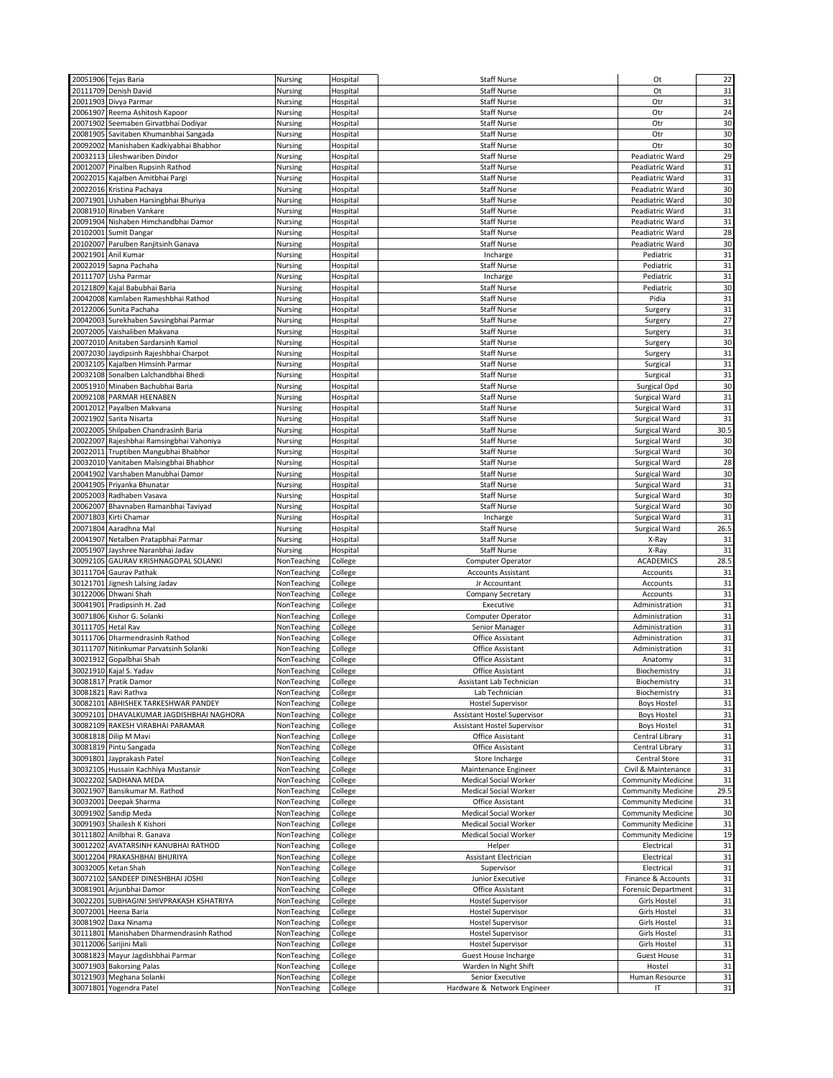|                    | 20051906 Tejas Baria                                                | Nursing                    | Hospital             | <b>Staff Nurse</b>                     | Ot                                                     | 22              |
|--------------------|---------------------------------------------------------------------|----------------------------|----------------------|----------------------------------------|--------------------------------------------------------|-----------------|
|                    | 20111709 Denish David                                               | Nursing                    | Hospital             | <b>Staff Nurse</b>                     | Ot                                                     | 31              |
|                    | 20011903 Divya Parmar                                               | Nursing                    | Hospital             | <b>Staff Nurse</b>                     | Otr                                                    | 31              |
|                    | 20061907 Reema Ashitosh Kapoor                                      | Nursing                    | Hospital             | <b>Staff Nurse</b>                     | Otr                                                    | 24              |
|                    | 20071902 Seemaben Girvatbhai Dodiyar                                | Nursing                    | Hospital             | <b>Staff Nurse</b>                     | Otr                                                    | 30              |
|                    | 20081905 Savitaben Khumanbhai Sangada                               | Nursing                    | Hospital             | <b>Staff Nurse</b>                     | Otr                                                    | 30              |
|                    | 20092002 Manishaben Kadkiyabhai Bhabhor                             | Nursing                    | Hospital             | <b>Staff Nurse</b>                     | Otr                                                    | 30              |
|                    | 20032113 Lileshwariben Dindor                                       | Nursing                    | Hospital             | <b>Staff Nurse</b>                     | Peadiatric Ward                                        | 29              |
|                    | 20012007 Pinalben Rupsinh Rathod                                    | Nursing                    | Hospital             | <b>Staff Nurse</b>                     | Peadiatric Ward                                        | 31              |
|                    | 20022015 Kajalben Amitbhai Pargi                                    | Nursing                    | Hospital             | <b>Staff Nurse</b>                     | Peadiatric Ward                                        | 31              |
|                    | 20022016 Kristina Pachaya                                           | Nursing                    | Hospital             | <b>Staff Nurse</b>                     | Peadiatric Ward                                        | 30              |
|                    | 20071901 Ushaben Harsingbhai Bhuriya                                | Nursing                    | Hospital             | <b>Staff Nurse</b>                     | Peadiatric Ward                                        | 30              |
|                    | 20081910 Rinaben Vankare                                            | Nursing                    |                      | <b>Staff Nurse</b>                     | Peadiatric Ward                                        | 31              |
|                    | 20091904 Nishaben Himchandbhai Damor                                | Nursing                    | Hospital<br>Hospital | <b>Staff Nurse</b>                     | Peadiatric Ward                                        | 31              |
|                    |                                                                     |                            |                      | <b>Staff Nurse</b>                     | Peadiatric Ward                                        | 28              |
|                    | 20102001 Sumit Dangar<br>20102007 Parulben Ranjitsinh Ganava        | Nursing<br>Nursing         | Hospital<br>Hospital | <b>Staff Nurse</b>                     | Peadiatric Ward                                        | 30              |
| 20021901           | Anil Kumar                                                          | Nursing                    | Hospital             | Incharge                               | Pediatric                                              | 31              |
|                    | 20022019 Sapna Pachaha                                              | Nursing                    | Hospital             | <b>Staff Nurse</b>                     | Pediatric                                              | 31              |
|                    | 20111707 Usha Parmar                                                | Nursing                    | Hospital             | Incharge                               | Pediatric                                              | 31              |
|                    | 20121809 Kajal Babubhai Baria                                       | Nursing                    | Hospital             | <b>Staff Nurse</b>                     | Pediatric                                              | 30              |
|                    | 20042008 Kamlaben Rameshbhai Rathod                                 | Nursing                    | Hospital             | <b>Staff Nurse</b>                     | Pidia                                                  | 31              |
|                    | 20122006 Sunita Pachaha                                             | Nursing                    | Hospital             | <b>Staff Nurse</b>                     | Surgery                                                | 31              |
| 20042003           | Surekhaben Savsingbhai Parmar                                       | Nursing                    | Hospital             | <b>Staff Nurse</b>                     | Surgery                                                | 27              |
|                    | 20072005 Vaishaliben Makvana                                        | Nursing                    | Hospital             | <b>Staff Nurse</b>                     | Surgery                                                | 31              |
|                    | 20072010 Anitaben Sardarsinh Kamol                                  | Nursing                    | Hospital             | <b>Staff Nurse</b>                     | Surgery                                                | 30              |
|                    | 20072030 Jaydipsinh Rajeshbhai Charpot                              | Nursing                    | Hospital             | <b>Staff Nurse</b>                     | Surgery                                                | 31              |
|                    | 20032105 Kajalben Himsinh Parmar                                    | Nursing                    | Hospital             | <b>Staff Nurse</b>                     | Surgical                                               | 31              |
|                    | 20032108 Sonalben Lalchandbhai Bhedi                                | Nursing                    | Hospital             | <b>Staff Nurse</b>                     | Surgical                                               | 31              |
|                    | 20051910 Minaben Bachubhai Baria                                    | Nursing                    | Hospital             | <b>Staff Nurse</b>                     | Surgical Opd                                           | 30              |
|                    | 20092108 PARMAR HEENABEN                                            | Nursing                    | Hospital             | <b>Staff Nurse</b>                     | Surgical Ward                                          | 31              |
|                    | 20012012 Payalben Makvana                                           | Nursing                    | Hospital             | <b>Staff Nurse</b>                     | Surgical Ward                                          | 31              |
|                    | 20021902 Sarita Nisarta                                             | Nursing                    | Hospital             | <b>Staff Nurse</b>                     | Surgical Ward                                          | 31              |
|                    | 20022005 Shilpaben Chandrasinh Baria                                | Nursing                    | Hospital             | <b>Staff Nurse</b>                     | Surgical Ward                                          | 30.5            |
|                    | 20022007 Rajeshbhai Ramsingbhai Vahoniya                            | Nursing                    | Hospital             | <b>Staff Nurse</b>                     | Surgical Ward                                          | 30              |
|                    | 20022011 Truptiben Mangubhai Bhabhor                                | Nursing                    | Hospital             | <b>Staff Nurse</b>                     | Surgical Ward                                          | 30              |
|                    | 20032010 Vanitaben Malsingbhai Bhabhor                              | Nursing                    | Hospital             | <b>Staff Nurse</b>                     | Surgical Ward                                          | 28              |
|                    | 20041902 Varshaben Manubhai Damor                                   | Nursing                    | Hospital             | <b>Staff Nurse</b>                     | Surgical Ward                                          | 30              |
|                    | 20041905 Priyanka Bhunatar                                          | Nursing                    | Hospital             | <b>Staff Nurse</b>                     | Surgical Ward                                          | 31              |
|                    | 20052003 Radhaben Vasava                                            | Nursing                    | Hospital             | <b>Staff Nurse</b>                     | Surgical Ward                                          | 30              |
|                    | 20062007 Bhavnaben Ramanbhai Taviyad                                | Nursing                    | Hospital             | <b>Staff Nurse</b>                     | Surgical Ward                                          | 30              |
|                    | 20071803 Kirti Chamar                                               | Nursing                    | Hospital             | Incharge                               | Surgical Ward                                          | 31              |
|                    | 20071804 Aaradhna Mal                                               | Nursing                    | Hospital             | <b>Staff Nurse</b>                     | Surgical Ward                                          | 26.5            |
|                    |                                                                     |                            |                      |                                        |                                                        |                 |
|                    | 20041907 Netalben Pratapbhai Parmar                                 | Nursing                    | Hospital             | <b>Staff Nurse</b>                     | X-Ray                                                  | 31              |
|                    | 20051907 Jayshree Naranbhai Jadav                                   | Nursing                    | Hospital             | <b>Staff Nurse</b>                     | X-Ray                                                  | 31              |
|                    | 30092105 GAURAV KRISHNAGOPAL SOLANKI                                | NonTeaching                | College              | <b>Computer Operator</b>               | <b>ACADEMICS</b>                                       | 28.5            |
|                    | 30111704 Gaurav Pathak                                              | NonTeaching                | College              | <b>Accounts Assistant</b>              | Accounts                                               | 31              |
|                    | 30121701 Jignesh Lalsing Jadav                                      | NonTeaching                | College              | Jr Accountant                          | Accounts                                               | 31              |
|                    | 30122006 Dhwani Shah                                                | NonTeaching                | College              | Company Secretary                      | Accounts                                               | 31              |
|                    | 30041901 Pradipsinh H. Zad                                          | NonTeaching                | College              | Executive                              | Administration                                         | 31              |
|                    | 30071806 Kishor G. Solanki                                          | NonTeaching                | College              | Computer Operator                      | Administration                                         | 31              |
| 30111705 Hetal Rav |                                                                     | NonTeaching                | College              | Senior Manager                         | Administration                                         | 31              |
|                    | 30111706 Dharmendrasinh Rathod                                      | NonTeaching                | College              | Office Assistant                       | Administration                                         | 31              |
|                    | 30111707 Nitinkumar Parvatsinh Solanki                              | NonTeaching                | College              | Office Assistant                       | Administration                                         | 31              |
|                    | 30021912 Gopalbhai Shah                                             | NonTeaching                | College              | Office Assistant                       | Anatomy                                                | 31              |
|                    | 30021910 Kajal S. Yadav                                             | NonTeaching                | College              | Office Assistant                       | Biochemistry                                           | 31              |
|                    | 30081817 Pratik Damor                                               | NonTeaching                | College              | Assistant Lab Technician               | Biochemistry                                           | 31              |
|                    | 30081821 Ravi Rathva                                                | NonTeaching                | College              | Lab Technician                         | Biochemistry                                           | 31              |
|                    | 30082101 ABHISHEK TARKESHWAR PANDEY                                 | NonTeaching                | College              | <b>Hostel Supervisor</b>               | <b>Boys Hostel</b>                                     | 31              |
|                    | 30092101 DHAVALKUMAR JAGDISHBHAI NAGHORA                            | NonTeaching                | College              | <b>Assistant Hostel Supervisor</b>     | <b>Boys Hostel</b>                                     | 31              |
|                    | 30082109 RAKESH VIRABHAI PARAMAR                                    | NonTeaching                | College              | <b>Assistant Hostel Supervisor</b>     | <b>Boys Hostel</b>                                     | 31              |
|                    | 30081818 Dilip M Mavi                                               | NonTeaching                | College              | Office Assistant                       | Central Library                                        | 31              |
|                    | 30081819 Pintu Sangada                                              | NonTeaching                | College              | Office Assistant                       | Central Library                                        | 31              |
|                    | 30091801 Jayprakash Patel                                           | NonTeaching                | College              | Store Incharge                         | Central Store                                          | 31              |
|                    | 30032105 Hussain Kachhiya Mustansir                                 | NonTeaching                | College              | Maintenance Engineer                   | Civil & Maintenance                                    | 31              |
|                    | 30022202 SADHANA MEDA                                               | NonTeaching                | College              | <b>Medical Social Worker</b>           | <b>Community Medicine</b>                              | 31              |
|                    | 30021907 Bansikumar M. Rathod                                       | NonTeaching                | College              | <b>Medical Social Worker</b>           | Community Medicine                                     | 29.5            |
|                    | 30032001 Deepak Sharma                                              | NonTeaching                | College              | Office Assistant                       | <b>Community Medicine</b>                              | 31              |
|                    | 30091902 Sandip Meda                                                | NonTeaching                | College              | <b>Medical Social Worker</b>           | <b>Community Medicine</b>                              | 30              |
|                    | 30091903 Shailesh K Kishori<br>30111802 Anilbhai R. Ganava          | NonTeaching                | College              | <b>Medical Social Worker</b>           | <b>Community Medicine</b><br><b>Community Medicine</b> | 31              |
|                    |                                                                     | NonTeaching<br>NonTeaching | College              | Medical Social Worker                  |                                                        | 19              |
|                    | 30012202 AVATARSINH KANUBHAI RATHOD<br>30012204 PRAKASHBHAI BHURIYA | NonTeaching                | College              | Helper<br><b>Assistant Electrician</b> | Electrical<br>Electrical                               | 31              |
|                    |                                                                     |                            | College              |                                        |                                                        | 31              |
|                    | 30032005 Ketan Shah                                                 | NonTeaching                | College              | Supervisor                             | Electrical                                             | 31              |
|                    | 30072102 SANDEEP DINESHBHAI JOSHI<br>30081901 Arjunbhai Damor       | NonTeaching<br>NonTeaching | College              | Junior Executive<br>Office Assistant   | Finance & Accounts<br><b>Forensic Department</b>       | 31<br>31        |
|                    | 30022201 SUBHAGINI SHIVPRAKASH KSHATRIYA                            | NonTeaching                | College              | <b>Hostel Supervisor</b>               | <b>Girls Hostel</b>                                    |                 |
|                    | 30072001 Heena Baria                                                | NonTeaching                | College<br>College   | <b>Hostel Supervisor</b>               | <b>Girls Hostel</b>                                    | 31<br>31        |
|                    | 30081902 Daxa Ninama                                                | NonTeaching                | College              | <b>Hostel Supervisor</b>               | Girls Hostel                                           | 31              |
|                    | 30111801 Manishaben Dharmendrasinh Rathod                           | NonTeaching                | College              | <b>Hostel Supervisor</b>               | <b>Girls Hostel</b>                                    | 31              |
|                    | 30112006 Sarijini Mali                                              | NonTeaching                | College              | <b>Hostel Supervisor</b>               | <b>Girls Hostel</b>                                    | 31              |
|                    | 30081823 Mayur Jagdishbhai Parmar                                   | NonTeaching                | College              | <b>Guest House Incharge</b>            | <b>Guest House</b>                                     | 31              |
|                    | 30071903 Bakorsing Palas                                            | NonTeaching                | College              | Warden In Night Shift                  | Hostel                                                 | 31              |
|                    | 30121903 Meghana Solanki                                            | NonTeaching                | College              | Senior Executive                       | Human Resource                                         | 31<br>$\sf{31}$ |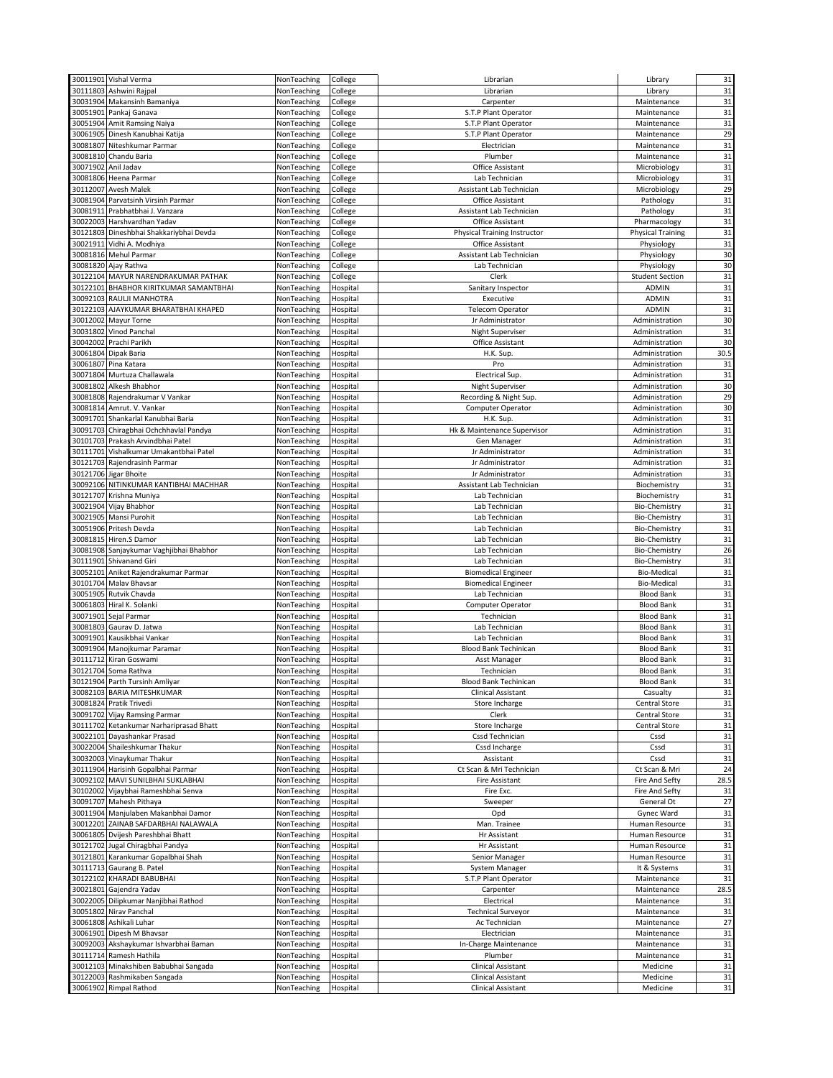|          | 30011901 Vishal Verma                                  | NonTeaching                | College              | Librarian                    | Library                   | 31        |
|----------|--------------------------------------------------------|----------------------------|----------------------|------------------------------|---------------------------|-----------|
|          | 30111803 Ashwini Rajpal                                | NonTeaching                | College              | Librarian                    | Library                   | 31        |
|          | 30031904 Makansinh Bamaniya                            | NonTeaching                | College              | Carpenter                    | Maintenance               | 31        |
|          | 30051901 Pankaj Ganava                                 | NonTeaching                | College              | S.T.P Plant Operator         | Maintenance               | 31        |
|          | 30051904 Amit Ramsing Naiya                            | NonTeaching                | College              | S.T.P Plant Operator         | Maintenance               | 31        |
|          | 30061905 Dinesh Kanubhai Katija                        | NonTeaching                | College              | S.T.P Plant Operator         | Maintenance               | 29        |
|          | 30081807 Niteshkumar Parmar                            | NonTeaching                | College              | Electrician                  | Maintenance               | 31        |
|          | 30081810 Chandu Baria                                  | NonTeaching                | College              | Plumber                      | Maintenance               | 31        |
|          | 30071902 Anil Jadav                                    | NonTeaching                | College              | Office Assistant             | Microbiology              | 31        |
|          | 30081806 Heena Parmar                                  | NonTeaching                | College              | Lab Technician               | Microbiology              | 31        |
|          | 30112007 Avesh Malek                                   | NonTeaching                | College              | Assistant Lab Technician     | Microbiology              | 29        |
|          | 30081904 Parvatsinh Virsinh Parmar                     | NonTeaching                | College              | Office Assistant             | Pathology                 | 31        |
|          | 30081911 Prabhatbhai J. Vanzara                        | NonTeaching                | College              | Assistant Lab Technician     | Pathology                 | 31        |
|          | 30022003 Harshvardhan Yadav                            | NonTeaching                | College              | Office Assistant             | Pharmacology              | 31        |
| 30121803 | Dineshbhai Shakkariybhai Devda                         | NonTeaching                | College              | Physical Training Instructor | <b>Physical Training</b>  | 31        |
|          | 30021911 Vidhi A. Modhiya                              | NonTeaching                | College              | Office Assistant             | Physiology                | 31        |
|          | 30081816 Mehul Parmar                                  | NonTeaching                | College              | Assistant Lab Technician     | Physiology                | 30        |
|          | 30081820 Ajay Rathva                                   | NonTeaching                | College              | Lab Technician               | Physiology                | 30        |
|          | 30122104 MAYUR NARENDRAKUMAR PATHAK                    | NonTeaching                | College              | Clerk                        | <b>Student Section</b>    | 31        |
|          | 30122101 BHABHOR KIRITKUMAR SAMANTBHAI                 | NonTeaching                | Hospital             | Sanitary Inspector           | <b>ADMIN</b>              | 31        |
|          | 30092103 RAULJI MANHOTRA                               | NonTeaching                | Hospital             | Executive                    | ADMIN                     | 31        |
|          | 30122103 AJAYKUMAR BHARATBHAI KHAPED                   | NonTeaching                | Hospital             | <b>Telecom Operator</b>      | ADMIN                     | 31        |
|          | 30012002 Mayur Torne                                   | NonTeaching                | Hospital             | Jr Administrator             | Administration            | 30        |
| 30031802 | Vinod Panchal                                          | NonTeaching                | Hospital             | <b>Night Superviser</b>      | Administration            | 31        |
|          | 30042002 Prachi Parikh                                 | NonTeaching                | Hospital             | Office Assistant             | Administration            | 30        |
|          | 30061804 Dipak Baria                                   | NonTeaching                | Hospital             | H.K. Sup.                    | Administration            | 30.5      |
|          | 30061807 Pina Katara                                   | NonTeaching                | Hospital             | Pro                          | Administration            | 31        |
|          | 30071804 Murtuza Challawala                            | NonTeaching                | Hospital             | Electrical Sup.              | Administration            | 31        |
|          | 30081802 Alkesh Bhabhor                                | NonTeaching                | Hospital             | Night Superviser             | Administration            | 30        |
|          | 30081808 Rajendrakumar V Vankar                        | NonTeaching                | Hospital             | Recording & Night Sup        | Administration            | 29        |
| 30081814 | Amrut. V. Vankar                                       | NonTeaching                | Hospital             | Computer Operator            | Administration            | 30        |
|          | 30091701 Shankarlal Kanubhai Baria                     | NonTeaching                | Hospital             | H.K. Sup.                    | Administration            | 31        |
|          | 30091703 Chiragbhai Ochchhavlal Pandya                 | NonTeaching                | Hospital             | Hk & Maintenance Supervisor  | Administration            | 31        |
|          | 30101703 Prakash Arvindbhai Patel                      | NonTeaching                | Hospital             | Gen Manager                  | Administration            | 31        |
|          | 30111701 Vishalkumar Umakantbhai Patel                 | NonTeaching                | Hospital             | Jr Administrator             | Administration            | 31        |
|          | 30121703 Rajendrasinh Parmar                           | NonTeaching                | Hospital             | Jr Administrator             | Administration            | 31        |
|          | 30121706 Jigar Bhoite                                  | NonTeaching                | Hospital             | Jr Administrator             | Administration            | 31        |
|          | 30092106 NITINKUMAR KANTIBHAI MACHHAR                  | NonTeaching                | Hospital             | Assistant Lab Technician     | Biochemistry              | 31        |
|          | 30121707 Krishna Muniya                                | NonTeaching                | Hospital             | Lab Technician               | Biochemistry              | 31        |
|          | 30021904 Vijay Bhabhor                                 | NonTeaching                | Hospital             | Lab Technician               | Bio-Chemistry             | 31        |
|          | 30021905 Mansi Purohit                                 | NonTeaching                | Hospital             | Lab Technician               | <b>Bio-Chemistry</b>      | 31        |
|          | 30051906 Pritesh Devda                                 | NonTeaching                | Hospital             | Lab Technician               | <b>Bio-Chemistry</b>      | 31        |
|          | 30081815 Hiren.S Damor                                 | NonTeaching                | Hospital             | Lab Technician               | <b>Bio-Chemistry</b>      | 31        |
|          | 30081908 Sanjaykumar Vaghjibhai Bhabhor                | NonTeaching                | Hospital             | Lab Technician               | <b>Bio-Chemistry</b>      | 26        |
|          | 30111901 Shivanand Giri                                | NonTeaching                | Hospital             | Lab Technician               | <b>Bio-Chemistry</b>      | 31        |
| 30052101 | Aniket Rajendrakumar Parmar                            | NonTeaching                | Hospital             | <b>Biomedical Engineer</b>   | <b>Bio-Medical</b>        | 31        |
|          | 30101704 Malav Bhavsar                                 | NonTeaching                | Hospital             | <b>Biomedical Engineer</b>   | <b>Bio-Medical</b>        | 31        |
|          | 30051905 Rutvik Chavda                                 | NonTeaching                | Hospital             | Lab Technician               | <b>Blood Bank</b>         | 31        |
|          | 30061803 Hiral K. Solanki                              | NonTeaching                | Hospital             | <b>Computer Operator</b>     | <b>Blood Bank</b>         | 31        |
|          | 30071901 Sejal Parmar                                  | NonTeaching                | Hospital             | Technician                   | <b>Blood Bank</b>         | 31        |
|          | 30081803 Gaurav D. Jatwa                               | NonTeaching                | Hospital             | Lab Technician               | <b>Blood Bank</b>         | 31        |
| 30091901 | Kausikbhai Vankar                                      | NonTeaching                | Hospital             | Lab Technician               | <b>Blood Bank</b>         | 31        |
|          | 30091904 Manojkumar Paramar                            | NonTeaching                | Hospital             | <b>Blood Bank Techinican</b> | <b>Blood Bank</b>         | 31        |
|          | 30111712 Kiran Goswami                                 | NonTeaching                | Hospital             | Asst Manager                 | <b>Blood Bank</b>         | 31        |
|          | 30121704 Soma Rathva<br>30121904 Parth Tursinh Amliyar | NonTeaching                | Hospital             | Technician                   | <b>Blood Bank</b>         | 31<br>31  |
|          |                                                        | NonTeaching                | Hospital             | <b>Blood Bank Techinican</b> | <b>Blood Bank</b>         |           |
|          | 30082103 BARIA MITESHKUMAR<br>30081824 Pratik Trivedi  | NonTeaching<br>NonTeaching | Hospital<br>Hospital | Clinical Assistant           | Casualty<br>Central Store | 31<br>31  |
|          | 30091702 Vijay Ramsing Parmar                          | NonTeaching                | Hospital             | Store Incharge<br>Clerk      | Central Store             | 31        |
|          | 30111702 Ketankumar Narhariprasad Bhatt                | NonTeaching                | Hospital             | Store Incharge               | <b>Central Store</b>      | 31        |
|          | 30022101 Dayashankar Prasad                            | NonTeaching                | Hospital             | Cssd Technician              | Cssd                      | 31        |
|          | 30022004 Shaileshkumar Thakur                          | NonTeaching                | Hospital             | Cssd Incharge                | Cssd                      | 31        |
|          | 30032003 Vinaykumar Thakur                             | NonTeaching                | Hospital             | Assistant                    | Cssd                      | 31        |
|          | 30111904 Harisinh Gopalbhai Parmar                     | NonTeaching                | Hospital             | Ct Scan & Mri Technician     | Ct Scan & Mri             | 24        |
|          | 30092102 MAVI SUNILBHAI SUKLABHAI                      | NonTeaching                | Hospital             | Fire Assistant               | Fire And Sefty            | 28.5      |
|          | 30102002 Vijaybhai Rameshbhai Senva                    | NonTeaching                | Hospital             | Fire Exc.                    | Fire And Sefty            | 31        |
|          | 30091707 Mahesh Pithaya                                | NonTeaching                | Hospital             | Sweeper                      | General Ot                | 27        |
|          | 30011904 Manjulaben Makanbhai Damor                    | NonTeaching                | Hospital             | Opd                          | Gynec Ward                | 31        |
|          | 30012201 ZAINAB SAFDARBHAI NALAWALA                    | NonTeaching                | Hospital             | Man. Trainee                 | Human Resource            | 31        |
|          | 30061805 Dvijesh Pareshbhai Bhatt                      | NonTeaching                | Hospital             | Hr Assistant                 | Human Resource            | 31        |
|          | 30121702 Jugal Chiragbhai Pandya                       | NonTeaching                | Hospital             | Hr Assistant                 | Human Resource            | 31        |
|          | 30121801 Karankumar Gopalbhai Shah                     | NonTeaching                | Hospital             | Senior Manager               | Human Resource            | 31        |
|          | 30111713 Gaurang B. Patel                              | NonTeaching                | Hospital             | System Manager               | It & Systems              | 31        |
|          | 30122102 KHARADI BABUBHAI                              | NonTeaching                | Hospital             | S.T.P Plant Operator         | Maintenance               | 31        |
|          | 30021801 Gajendra Yadav                                | NonTeaching                | Hospital             | Carpenter                    | Maintenance               | 28.5      |
|          | 30022005 Dilipkumar Nanjibhai Rathod                   | NonTeaching                | Hospital             | Electrical                   | Maintenance               | 31        |
|          | 30051802 Nirav Panchal                                 | NonTeaching                | Hospital             | <b>Technical Surveyor</b>    | Maintenance               | 31        |
|          | 30061808 Ashikali Luhar                                | NonTeaching                | Hospital             | Ac Technician                | Maintenance               | 27        |
|          | 30061901 Dipesh M Bhavsar                              | NonTeaching                | Hospital             | Electrician                  | Maintenance               | 31        |
| 30092003 | Akshaykumar Ishvarbhai Baman                           | NonTeaching                | Hospital             | In-Charge Maintenance        | Maintenance               | 31        |
|          | 30111714 Ramesh Hathila                                | NonTeaching                | Hospital             | Plumber                      | Maintenance               | 31        |
|          | 30012103 Minakshiben Babubhai Sangada                  | NonTeaching                | Hospital             | Clinical Assistant           | Medicine                  | 31        |
|          | 30122003 Rashmikaben Sangada                           | NonTeaching                | Hospital             | Clinical Assistant           | Medicine                  | 31        |
|          | 30061902 Rimpal Rathod                                 | NonTeaching                | Hospital             | Clinical Assistant           | Medicine                  | $\bf{31}$ |